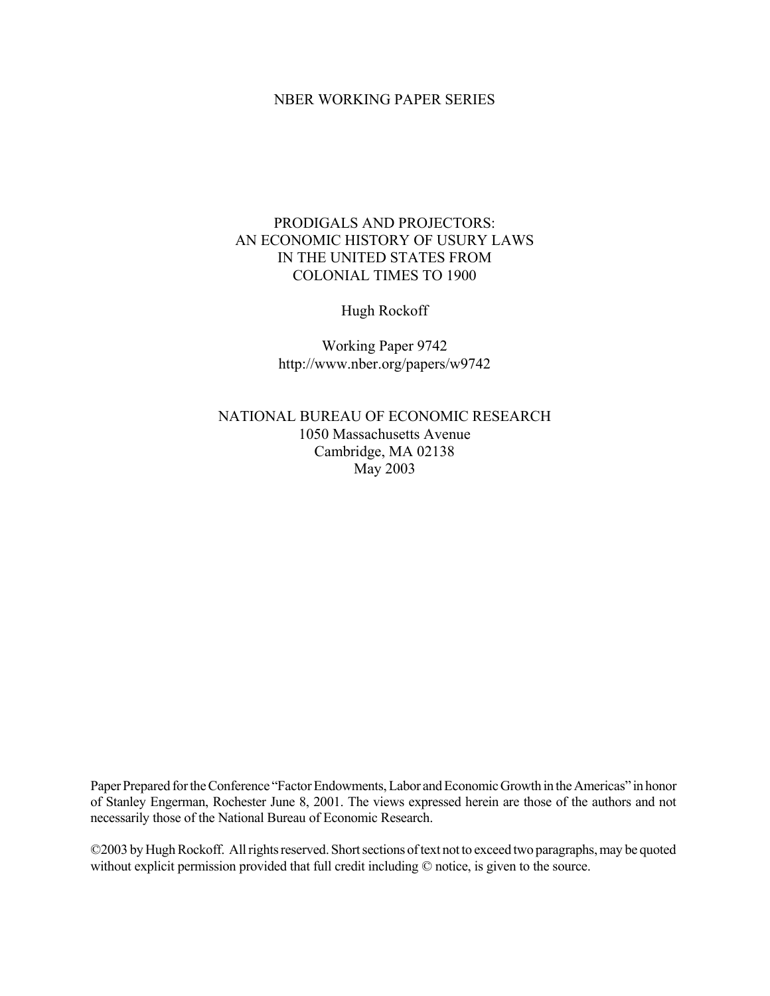## NBER WORKING PAPER SERIES

# PRODIGALS AND PROJECTORS: AN ECONOMIC HISTORY OF USURY LAWS IN THE UNITED STATES FROM COLONIAL TIMES TO 1900

Hugh Rockoff

Working Paper 9742 http://www.nber.org/papers/w9742

NATIONAL BUREAU OF ECONOMIC RESEARCH 1050 Massachusetts Avenue Cambridge, MA 02138 May 2003

Paper Prepared for the Conference "Factor Endowments, Labor and Economic Growth in the Americas" in honor of Stanley Engerman, Rochester June 8, 2001. The views expressed herein are those of the authors and not necessarily those of the National Bureau of Economic Research.

©2003 by Hugh Rockoff. All rights reserved. Short sections of text not to exceed two paragraphs, may be quoted without explicit permission provided that full credit including  $\heartsuit$  notice, is given to the source.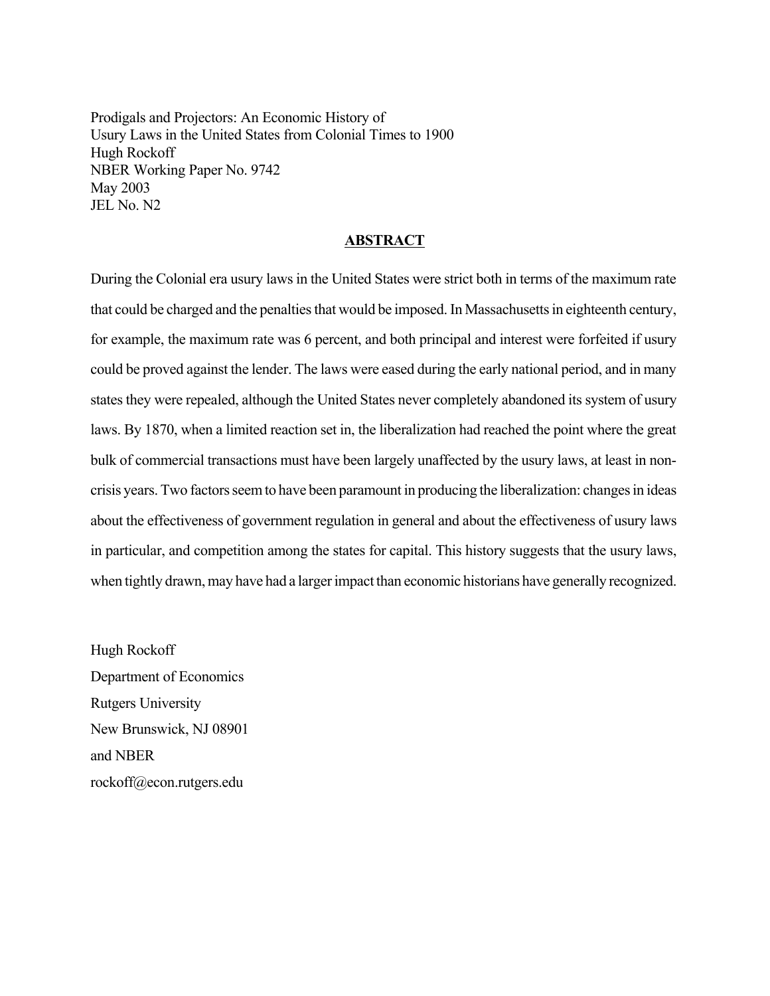Prodigals and Projectors: An Economic History of Usury Laws in the United States from Colonial Times to 1900 Hugh Rockoff NBER Working Paper No. 9742 May 2003 JEL No. N2

#### **ABSTRACT**

During the Colonial era usury laws in the United States were strict both in terms of the maximum rate that could be charged and the penalties that would be imposed. In Massachusetts in eighteenth century, for example, the maximum rate was 6 percent, and both principal and interest were forfeited if usury could be proved against the lender. The laws were eased during the early national period, and in many states they were repealed, although the United States never completely abandoned its system of usury laws. By 1870, when a limited reaction set in, the liberalization had reached the point where the great bulk of commercial transactions must have been largely unaffected by the usury laws, at least in noncrisis years. Two factors seem to have been paramount in producing the liberalization: changes in ideas about the effectiveness of government regulation in general and about the effectiveness of usury laws in particular, and competition among the states for capital. This history suggests that the usury laws, when tightly drawn, may have had a larger impact than economic historians have generally recognized.

Hugh Rockoff Department of Economics Rutgers University New Brunswick, NJ 08901 and NBER rockoff@econ.rutgers.edu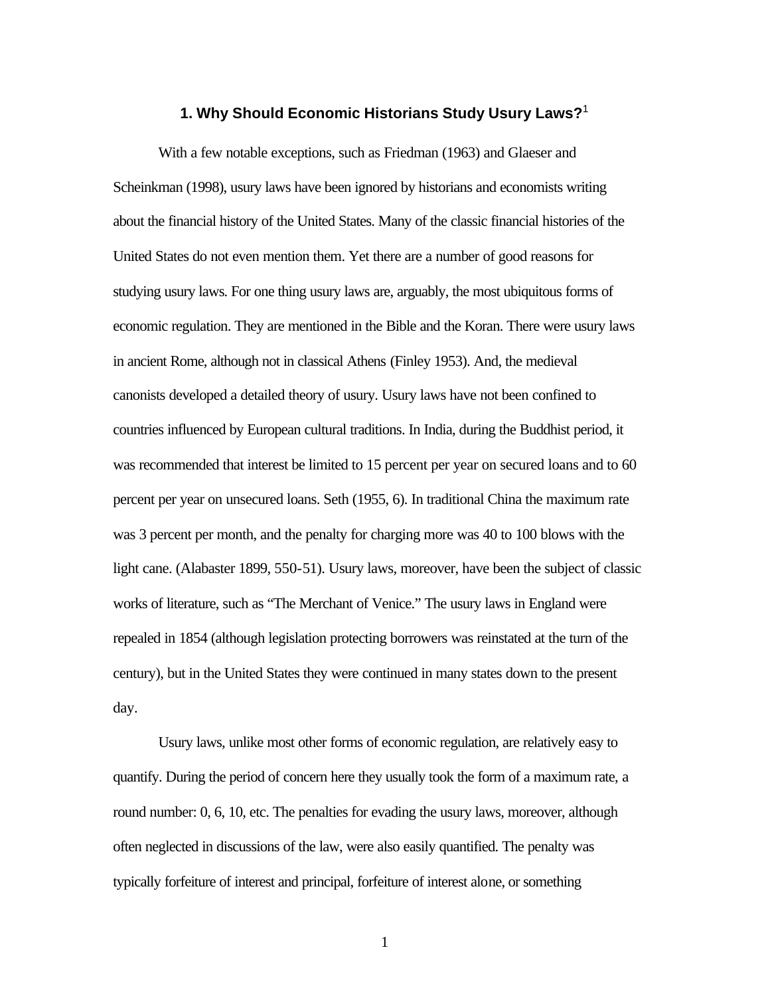### **1. Why Should Economic Historians Study Usury Laws?**<sup>1</sup>

With a few notable exceptions, such as Friedman (1963) and Glaeser and Scheinkman (1998), usury laws have been ignored by historians and economists writing about the financial history of the United States. Many of the classic financial histories of the United States do not even mention them. Yet there are a number of good reasons for studying usury laws. For one thing usury laws are, arguably, the most ubiquitous forms of economic regulation. They are mentioned in the Bible and the Koran. There were usury laws in ancient Rome, although not in classical Athens (Finley 1953). And, the medieval canonists developed a detailed theory of usury. Usury laws have not been confined to countries influenced by European cultural traditions. In India, during the Buddhist period, it was recommended that interest be limited to 15 percent per year on secured loans and to 60 percent per year on unsecured loans. Seth (1955, 6). In traditional China the maximum rate was 3 percent per month, and the penalty for charging more was 40 to 100 blows with the light cane. (Alabaster 1899, 550-51). Usury laws, moreover, have been the subject of classic works of literature, such as "The Merchant of Venice." The usury laws in England were repealed in 1854 (although legislation protecting borrowers was reinstated at the turn of the century), but in the United States they were continued in many states down to the present day.

Usury laws, unlike most other forms of economic regulation, are relatively easy to quantify. During the period of concern here they usually took the form of a maximum rate, a round number: 0, 6, 10, etc. The penalties for evading the usury laws, moreover, although often neglected in discussions of the law, were also easily quantified. The penalty was typically forfeiture of interest and principal, forfeiture of interest alone, or something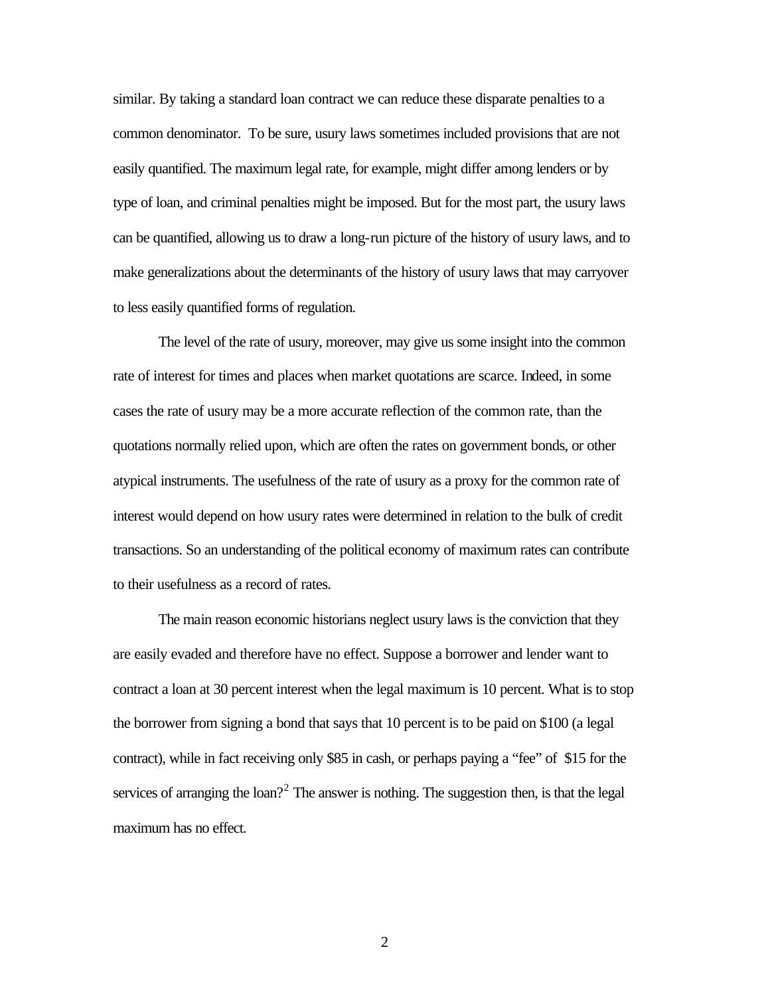similar. By taking a standard loan contract we can reduce these disparate penalties to a common denominator. To be sure, usury laws sometimes included provisions that are not easily quantified. The maximum legal rate, for example, might differ among lenders or by type of loan, and criminal penalties might be imposed. But for the most part, the usury laws can be quantified, allowing us to draw a long-run picture of the history of usury laws, and to make generalizations about the determinants of the history of usury laws that may carryover to less easily quantified forms of regulation.

The level of the rate of usury, moreover, may give us some insight into the common rate of interest for times and places when market quotations are scarce. Indeed, in some cases the rate of usury may be a more accurate reflection of the common rate, than the quotations normally relied upon, which are often the rates on government bonds, or other atypical instruments. The usefulness of the rate of usury as a proxy for the common rate of interest would depend on how usury rates were determined in relation to the bulk of credit transactions. So an understanding of the political economy of maximum rates can contribute to their usefulness as a record of rates.

The main reason economic historians neglect usury laws is the conviction that they are easily evaded and therefore have no effect. Suppose a borrower and lender want to contract a loan at 30 percent interest when the legal maximum is 10 percent. What is to stop the borrower from signing a bond that says that 10 percent is to be paid on \$100 (a legal contract), while in fact receiving only \$85 in cash, or perhaps paying a "fee" of \$15 for the services of arranging the loan?<sup>2</sup> The answer is nothing. The suggestion then, is that the legal maximum has no effect.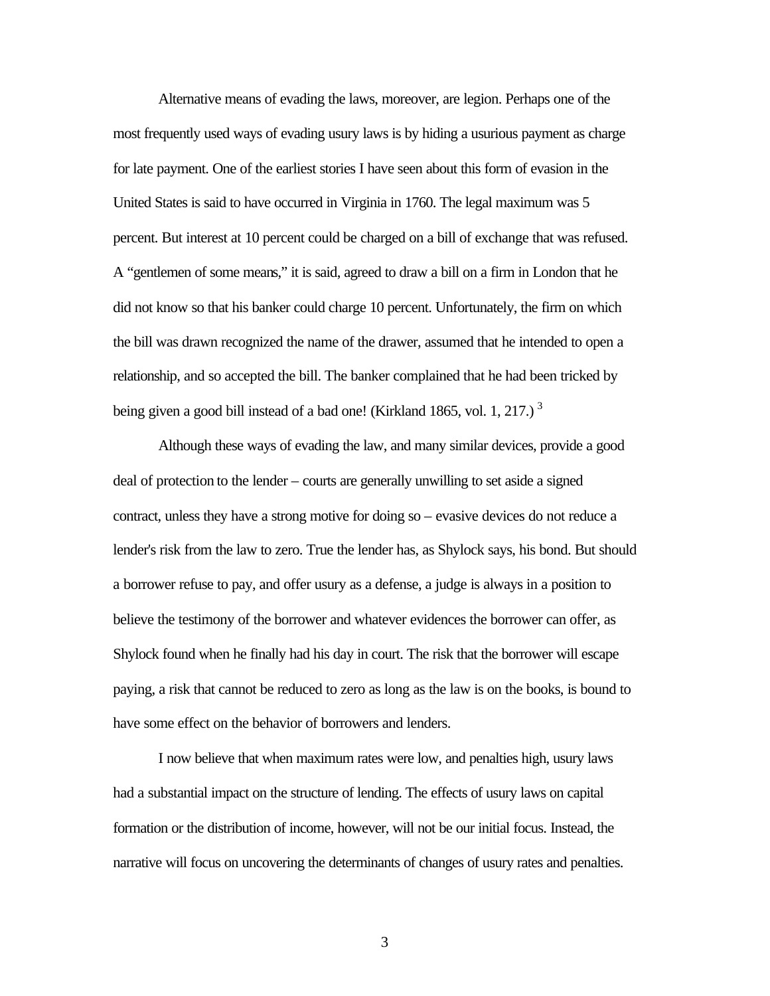Alternative means of evading the laws, moreover, are legion. Perhaps one of the most frequently used ways of evading usury laws is by hiding a usurious payment as charge for late payment. One of the earliest stories I have seen about this form of evasion in the United States is said to have occurred in Virginia in 1760. The legal maximum was 5 percent. But interest at 10 percent could be charged on a bill of exchange that was refused. A "gentlemen of some means," it is said, agreed to draw a bill on a firm in London that he did not know so that his banker could charge 10 percent. Unfortunately, the firm on which the bill was drawn recognized the name of the drawer, assumed that he intended to open a relationship, and so accepted the bill. The banker complained that he had been tricked by being given a good bill instead of a bad one! (Kirkland 1865, vol. 1, 217.)<sup>3</sup>

Although these ways of evading the law, and many similar devices, provide a good deal of protection to the lender – courts are generally unwilling to set aside a signed contract, unless they have a strong motive for doing so – evasive devices do not reduce a lender's risk from the law to zero. True the lender has, as Shylock says, his bond. But should a borrower refuse to pay, and offer usury as a defense, a judge is always in a position to believe the testimony of the borrower and whatever evidences the borrower can offer, as Shylock found when he finally had his day in court. The risk that the borrower will escape paying, a risk that cannot be reduced to zero as long as the law is on the books, is bound to have some effect on the behavior of borrowers and lenders.

I now believe that when maximum rates were low, and penalties high, usury laws had a substantial impact on the structure of lending. The effects of usury laws on capital formation or the distribution of income, however, will not be our initial focus. Instead, the narrative will focus on uncovering the determinants of changes of usury rates and penalties.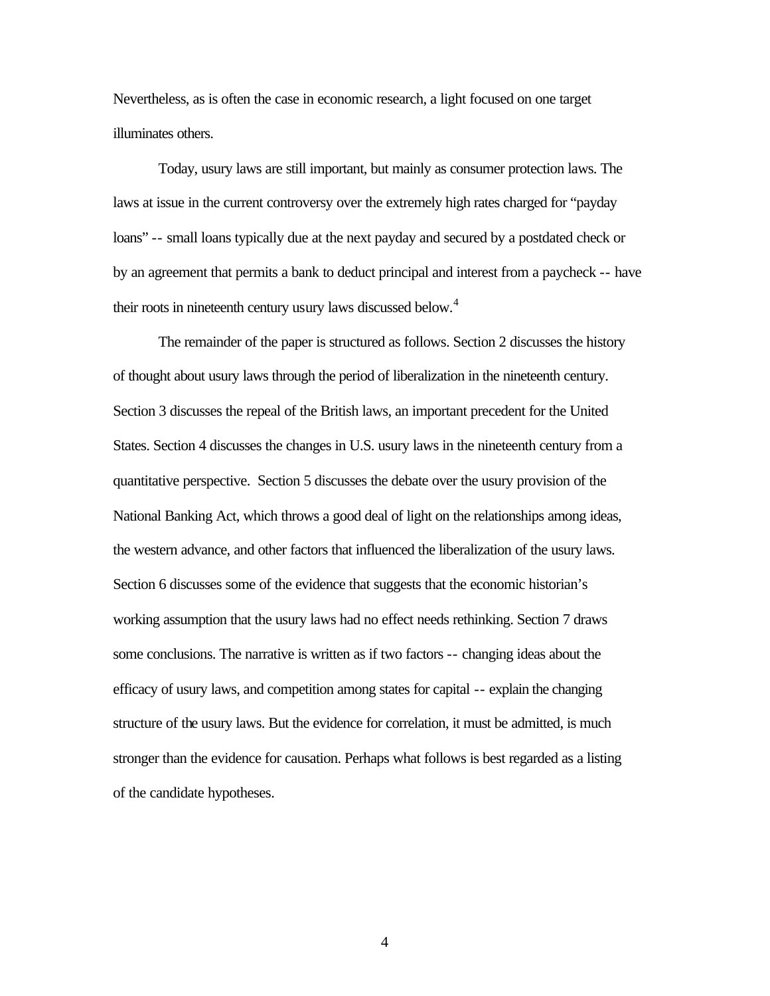Nevertheless, as is often the case in economic research, a light focused on one target illuminates others.

Today, usury laws are still important, but mainly as consumer protection laws. The laws at issue in the current controversy over the extremely high rates charged for "payday loans" -- small loans typically due at the next payday and secured by a postdated check or by an agreement that permits a bank to deduct principal and interest from a paycheck -- have their roots in nineteenth century usury laws discussed below.<sup>4</sup>

The remainder of the paper is structured as follows. Section 2 discusses the history of thought about usury laws through the period of liberalization in the nineteenth century. Section 3 discusses the repeal of the British laws, an important precedent for the United States. Section 4 discusses the changes in U.S. usury laws in the nineteenth century from a quantitative perspective. Section 5 discusses the debate over the usury provision of the National Banking Act, which throws a good deal of light on the relationships among ideas, the western advance, and other factors that influenced the liberalization of the usury laws. Section 6 discusses some of the evidence that suggests that the economic historian's working assumption that the usury laws had no effect needs rethinking. Section 7 draws some conclusions. The narrative is written as if two factors -- changing ideas about the efficacy of usury laws, and competition among states for capital -- explain the changing structure of the usury laws. But the evidence for correlation, it must be admitted, is much stronger than the evidence for causation. Perhaps what follows is best regarded as a listing of the candidate hypotheses.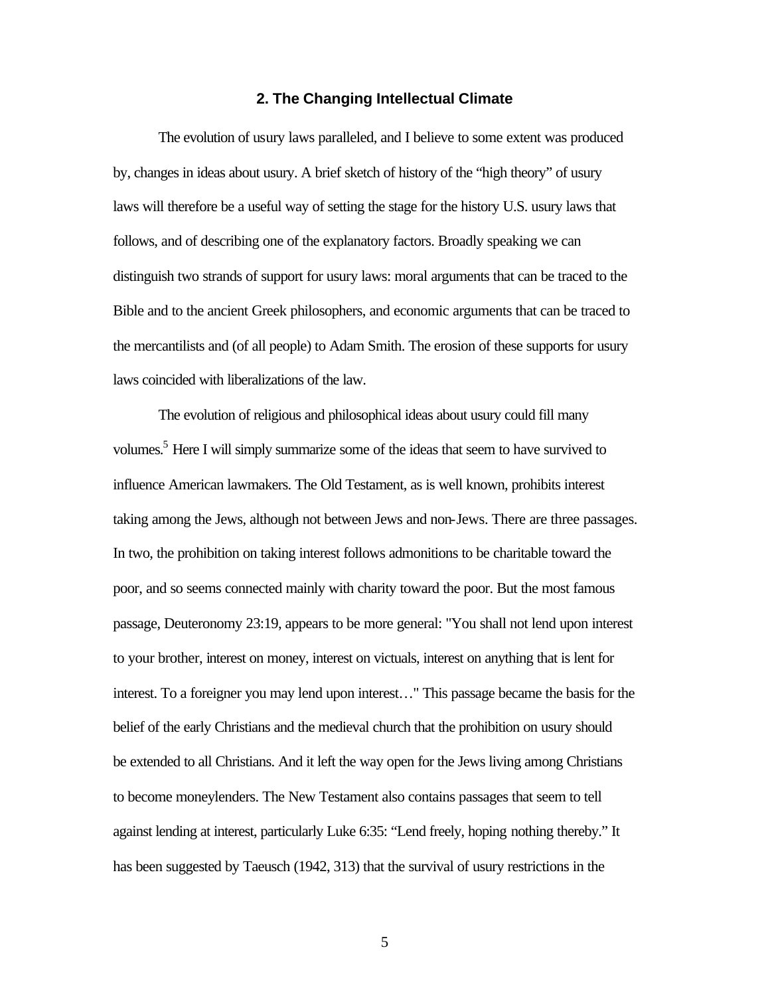#### **2. The Changing Intellectual Climate**

The evolution of usury laws paralleled, and I believe to some extent was produced by, changes in ideas about usury. A brief sketch of history of the "high theory" of usury laws will therefore be a useful way of setting the stage for the history U.S. usury laws that follows, and of describing one of the explanatory factors. Broadly speaking we can distinguish two strands of support for usury laws: moral arguments that can be traced to the Bible and to the ancient Greek philosophers, and economic arguments that can be traced to the mercantilists and (of all people) to Adam Smith. The erosion of these supports for usury laws coincided with liberalizations of the law.

The evolution of religious and philosophical ideas about usury could fill many volumes.<sup>5</sup> Here I will simply summarize some of the ideas that seem to have survived to influence American lawmakers. The Old Testament, as is well known, prohibits interest taking among the Jews, although not between Jews and non-Jews. There are three passages. In two, the prohibition on taking interest follows admonitions to be charitable toward the poor, and so seems connected mainly with charity toward the poor. But the most famous passage, Deuteronomy 23:19, appears to be more general: "You shall not lend upon interest to your brother, interest on money, interest on victuals, interest on anything that is lent for interest. To a foreigner you may lend upon interest…" This passage became the basis for the belief of the early Christians and the medieval church that the prohibition on usury should be extended to all Christians. And it left the way open for the Jews living among Christians to become moneylenders. The New Testament also contains passages that seem to tell against lending at interest, particularly Luke 6:35: "Lend freely, hoping nothing thereby." It has been suggested by Taeusch (1942, 313) that the survival of usury restrictions in the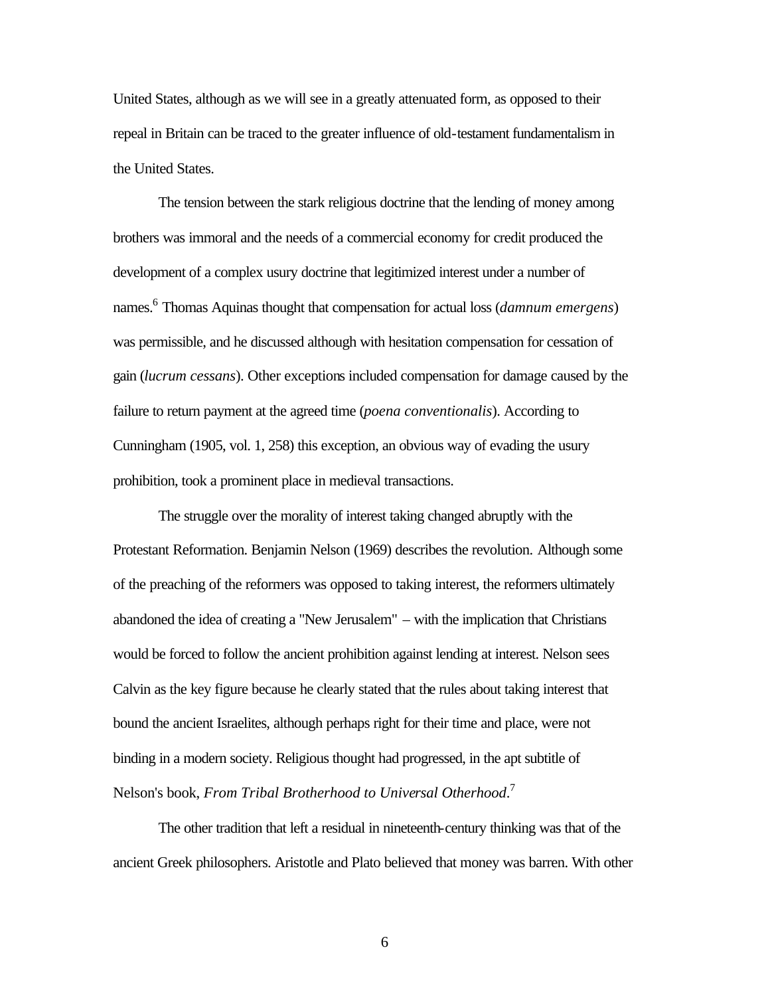United States, although as we will see in a greatly attenuated form, as opposed to their repeal in Britain can be traced to the greater influence of old-testament fundamentalism in the United States.

The tension between the stark religious doctrine that the lending of money among brothers was immoral and the needs of a commercial economy for credit produced the development of a complex usury doctrine that legitimized interest under a number of names.<sup>6</sup> Thomas Aquinas thought that compensation for actual loss (*damnum emergens*) was permissible, and he discussed although with hesitation compensation for cessation of gain (*lucrum cessans*). Other exceptions included compensation for damage caused by the failure to return payment at the agreed time (*poena conventionalis*). According to Cunningham (1905, vol. 1, 258) this exception, an obvious way of evading the usury prohibition, took a prominent place in medieval transactions.

The struggle over the morality of interest taking changed abruptly with the Protestant Reformation. Benjamin Nelson (1969) describes the revolution. Although some of the preaching of the reformers was opposed to taking interest, the reformers ultimately abandoned the idea of creating a "New Jerusalem" – with the implication that Christians would be forced to follow the ancient prohibition against lending at interest. Nelson sees Calvin as the key figure because he clearly stated that the rules about taking interest that bound the ancient Israelites, although perhaps right for their time and place, were not binding in a modern society. Religious thought had progressed, in the apt subtitle of Nelson's book, *From Tribal Brotherhood to Universal Otherhood*. 7

The other tradition that left a residual in nineteenth-century thinking was that of the ancient Greek philosophers. Aristotle and Plato believed that money was barren. With other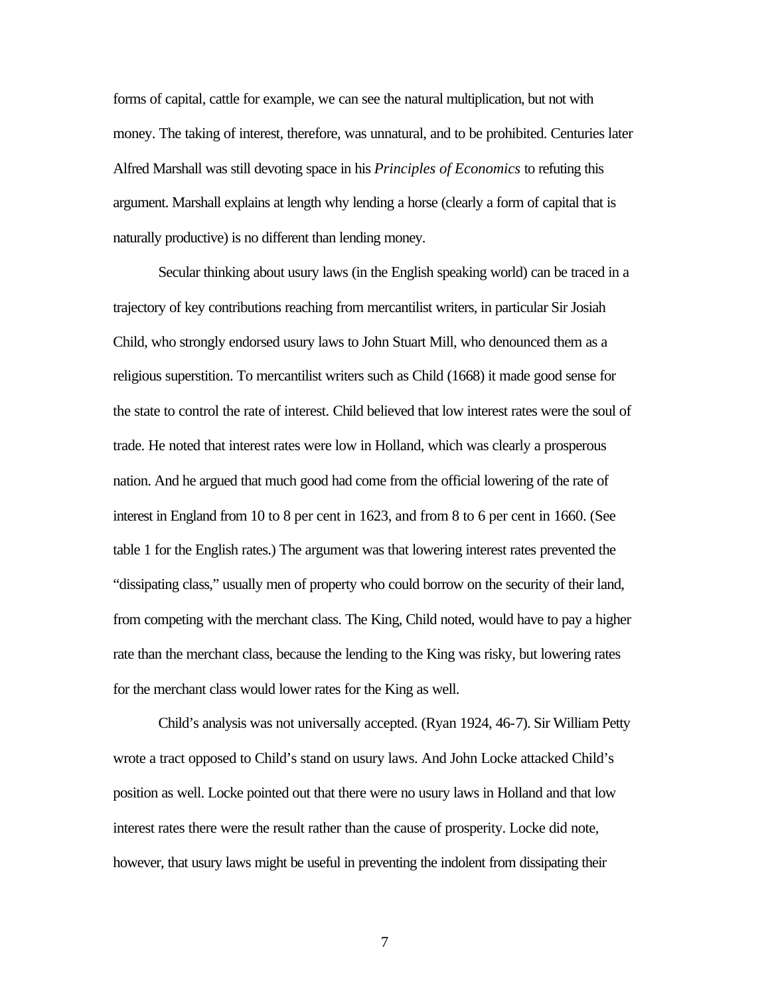forms of capital, cattle for example, we can see the natural multiplication, but not with money. The taking of interest, therefore, was unnatural, and to be prohibited. Centuries later Alfred Marshall was still devoting space in his *Principles of Economics* to refuting this argument. Marshall explains at length why lending a horse (clearly a form of capital that is naturally productive) is no different than lending money.

Secular thinking about usury laws (in the English speaking world) can be traced in a trajectory of key contributions reaching from mercantilist writers, in particular Sir Josiah Child, who strongly endorsed usury laws to John Stuart Mill, who denounced them as a religious superstition. To mercantilist writers such as Child (1668) it made good sense for the state to control the rate of interest. Child believed that low interest rates were the soul of trade. He noted that interest rates were low in Holland, which was clearly a prosperous nation. And he argued that much good had come from the official lowering of the rate of interest in England from 10 to 8 per cent in 1623, and from 8 to 6 per cent in 1660. (See table 1 for the English rates.) The argument was that lowering interest rates prevented the "dissipating class," usually men of property who could borrow on the security of their land, from competing with the merchant class. The King, Child noted, would have to pay a higher rate than the merchant class, because the lending to the King was risky, but lowering rates for the merchant class would lower rates for the King as well.

Child's analysis was not universally accepted. (Ryan 1924, 46-7). Sir William Petty wrote a tract opposed to Child's stand on usury laws. And John Locke attacked Child's position as well. Locke pointed out that there were no usury laws in Holland and that low interest rates there were the result rather than the cause of prosperity. Locke did note, however, that usury laws might be useful in preventing the indolent from dissipating their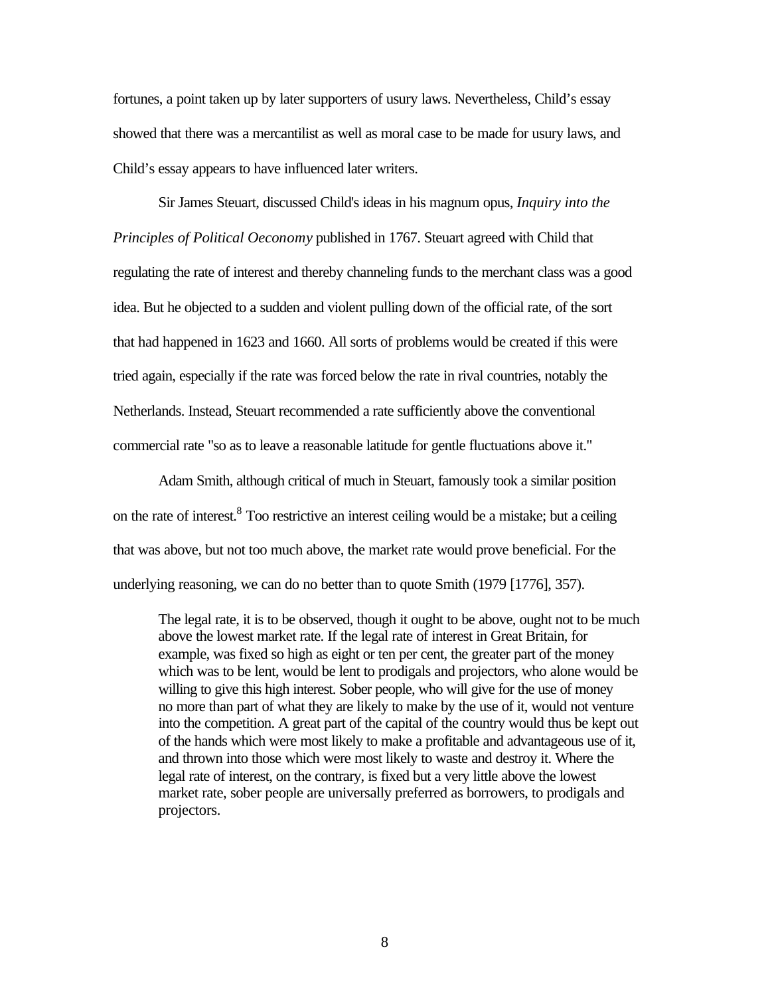fortunes, a point taken up by later supporters of usury laws. Nevertheless, Child's essay showed that there was a mercantilist as well as moral case to be made for usury laws, and Child's essay appears to have influenced later writers.

Sir James Steuart, discussed Child's ideas in his magnum opus, *Inquiry into the Principles of Political Oeconomy* published in 1767. Steuart agreed with Child that regulating the rate of interest and thereby channeling funds to the merchant class was a good idea. But he objected to a sudden and violent pulling down of the official rate, of the sort that had happened in 1623 and 1660. All sorts of problems would be created if this were tried again, especially if the rate was forced below the rate in rival countries, notably the Netherlands. Instead, Steuart recommended a rate sufficiently above the conventional commercial rate "so as to leave a reasonable latitude for gentle fluctuations above it."

Adam Smith, although critical of much in Steuart, famously took a similar position on the rate of interest.<sup>8</sup> Too restrictive an interest ceiling would be a mistake; but a ceiling that was above, but not too much above, the market rate would prove beneficial. For the underlying reasoning, we can do no better than to quote Smith (1979 [1776], 357).

The legal rate, it is to be observed, though it ought to be above, ought not to be much above the lowest market rate. If the legal rate of interest in Great Britain, for example, was fixed so high as eight or ten per cent, the greater part of the money which was to be lent, would be lent to prodigals and projectors, who alone would be willing to give this high interest. Sober people, who will give for the use of money no more than part of what they are likely to make by the use of it, would not venture into the competition. A great part of the capital of the country would thus be kept out of the hands which were most likely to make a profitable and advantageous use of it, and thrown into those which were most likely to waste and destroy it. Where the legal rate of interest, on the contrary, is fixed but a very little above the lowest market rate, sober people are universally preferred as borrowers, to prodigals and projectors.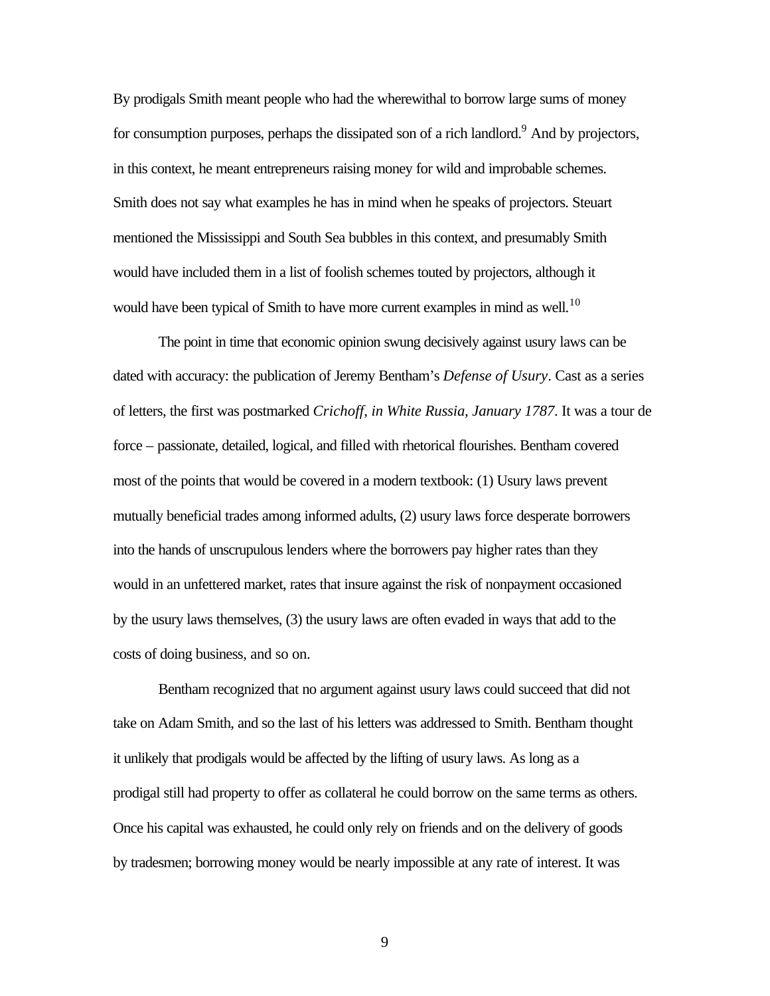By prodigals Smith meant people who had the wherewithal to borrow large sums of money for consumption purposes, perhaps the dissipated son of a rich landlord.<sup>9</sup> And by projectors, in this context, he meant entrepreneurs raising money for wild and improbable schemes. Smith does not say what examples he has in mind when he speaks of projectors. Steuart mentioned the Mississippi and South Sea bubbles in this context, and presumably Smith would have included them in a list of foolish schemes touted by projectors, although it would have been typical of Smith to have more current examples in mind as well.<sup>10</sup>

The point in time that economic opinion swung decisively against usury laws can be dated with accuracy: the publication of Jeremy Bentham's *Defense of Usury*. Cast as a series of letters, the first was postmarked *Crichoff*, *in White Russia, January 1787*. It was a tour de force – passionate, detailed, logical, and filled with rhetorical flourishes. Bentham covered most of the points that would be covered in a modern textbook: (1) Usury laws prevent mutually beneficial trades among informed adults, (2) usury laws force desperate borrowers into the hands of unscrupulous lenders where the borrowers pay higher rates than they would in an unfettered market, rates that insure against the risk of nonpayment occasioned by the usury laws themselves, (3) the usury laws are often evaded in ways that add to the costs of doing business, and so on.

Bentham recognized that no argument against usury laws could succeed that did not take on Adam Smith, and so the last of his letters was addressed to Smith. Bentham thought it unlikely that prodigals would be affected by the lifting of usury laws. As long as a prodigal still had property to offer as collateral he could borrow on the same terms as others. Once his capital was exhausted, he could only rely on friends and on the delivery of goods by tradesmen; borrowing money would be nearly impossible at any rate of interest. It was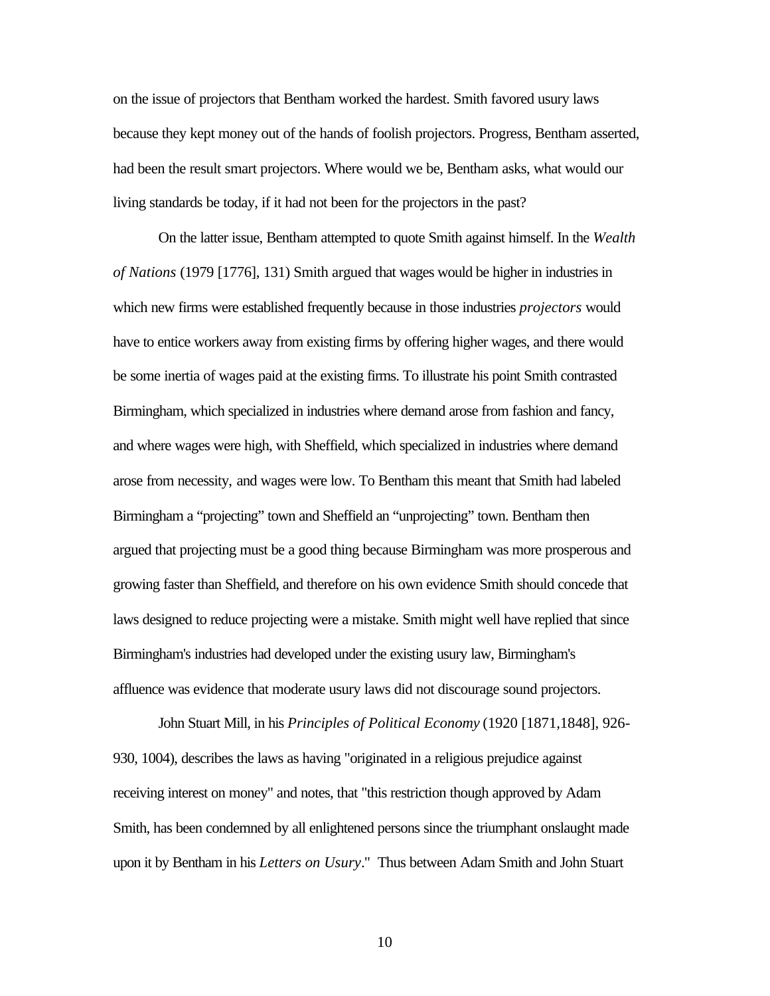on the issue of projectors that Bentham worked the hardest. Smith favored usury laws because they kept money out of the hands of foolish projectors. Progress, Bentham asserted, had been the result smart projectors. Where would we be, Bentham asks, what would our living standards be today, if it had not been for the projectors in the past?

On the latter issue, Bentham attempted to quote Smith against himself. In the *Wealth of Nations* (1979 [1776], 131) Smith argued that wages would be higher in industries in which new firms were established frequently because in those industries *projectors* would have to entice workers away from existing firms by offering higher wages, and there would be some inertia of wages paid at the existing firms. To illustrate his point Smith contrasted Birmingham, which specialized in industries where demand arose from fashion and fancy, and where wages were high, with Sheffield, which specialized in industries where demand arose from necessity, and wages were low. To Bentham this meant that Smith had labeled Birmingham a "projecting" town and Sheffield an "unprojecting" town. Bentham then argued that projecting must be a good thing because Birmingham was more prosperous and growing faster than Sheffield, and therefore on his own evidence Smith should concede that laws designed to reduce projecting were a mistake. Smith might well have replied that since Birmingham's industries had developed under the existing usury law, Birmingham's affluence was evidence that moderate usury laws did not discourage sound projectors.

John Stuart Mill, in his *Principles of Political Economy* (1920 [1871,1848], 926- 930, 1004), describes the laws as having "originated in a religious prejudice against receiving interest on money" and notes, that "this restriction though approved by Adam Smith, has been condemned by all enlightened persons since the triumphant onslaught made upon it by Bentham in his *Letters on Usury*." Thus between Adam Smith and John Stuart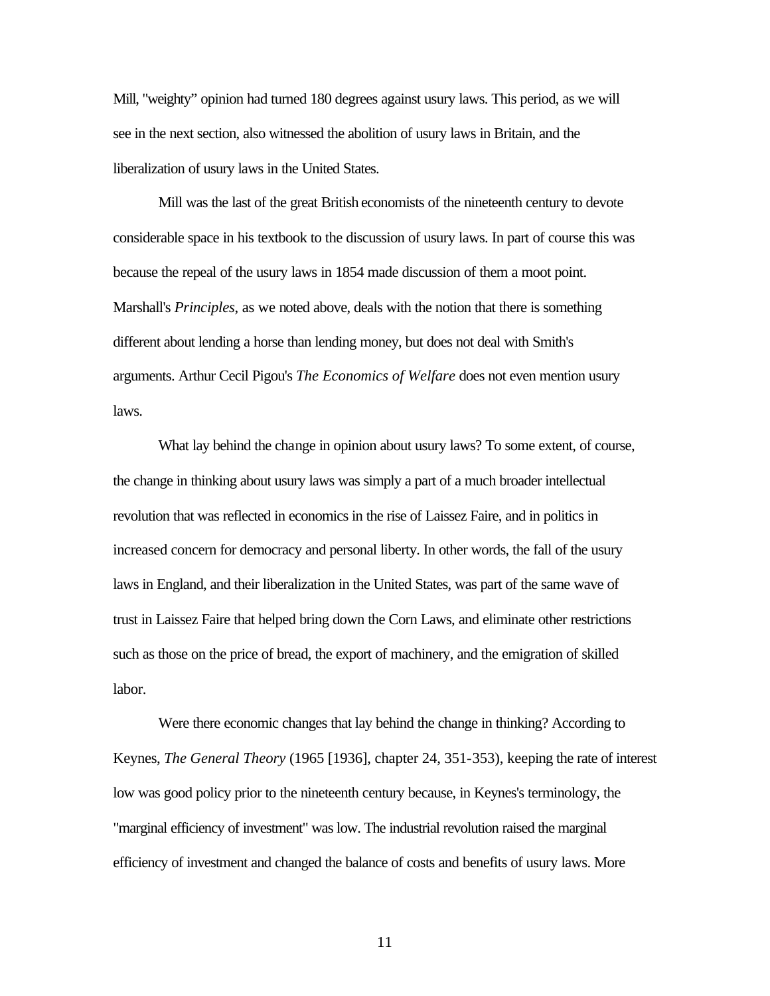Mill, "weighty" opinion had turned 180 degrees against usury laws. This period, as we will see in the next section, also witnessed the abolition of usury laws in Britain, and the liberalization of usury laws in the United States.

Mill was the last of the great British economists of the nineteenth century to devote considerable space in his textbook to the discussion of usury laws. In part of course this was because the repeal of the usury laws in 1854 made discussion of them a moot point. Marshall's *Principles*, as we noted above, deals with the notion that there is something different about lending a horse than lending money, but does not deal with Smith's arguments. Arthur Cecil Pigou's *The Economics of Welfare* does not even mention usury laws.

What lay behind the change in opinion about usury laws? To some extent, of course, the change in thinking about usury laws was simply a part of a much broader intellectual revolution that was reflected in economics in the rise of Laissez Faire, and in politics in increased concern for democracy and personal liberty. In other words, the fall of the usury laws in England, and their liberalization in the United States, was part of the same wave of trust in Laissez Faire that helped bring down the Corn Laws, and eliminate other restrictions such as those on the price of bread, the export of machinery, and the emigration of skilled labor.

Were there economic changes that lay behind the change in thinking? According to Keynes, *The General Theory* (1965 [1936], chapter 24, 351-353), keeping the rate of interest low was good policy prior to the nineteenth century because, in Keynes's terminology, the "marginal efficiency of investment" was low. The industrial revolution raised the marginal efficiency of investment and changed the balance of costs and benefits of usury laws. More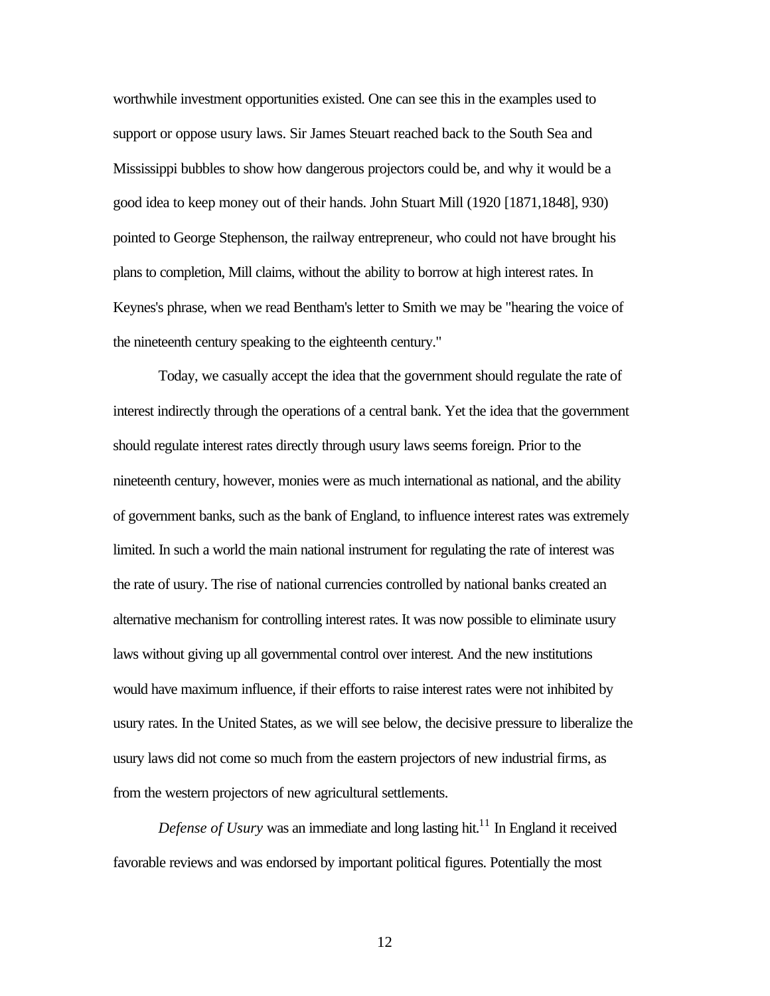worthwhile investment opportunities existed. One can see this in the examples used to support or oppose usury laws. Sir James Steuart reached back to the South Sea and Mississippi bubbles to show how dangerous projectors could be, and why it would be a good idea to keep money out of their hands. John Stuart Mill (1920 [1871,1848], 930) pointed to George Stephenson, the railway entrepreneur, who could not have brought his plans to completion, Mill claims, without the ability to borrow at high interest rates. In Keynes's phrase, when we read Bentham's letter to Smith we may be "hearing the voice of the nineteenth century speaking to the eighteenth century."

Today, we casually accept the idea that the government should regulate the rate of interest indirectly through the operations of a central bank. Yet the idea that the government should regulate interest rates directly through usury laws seems foreign. Prior to the nineteenth century, however, monies were as much international as national, and the ability of government banks, such as the bank of England, to influence interest rates was extremely limited. In such a world the main national instrument for regulating the rate of interest was the rate of usury. The rise of national currencies controlled by national banks created an alternative mechanism for controlling interest rates. It was now possible to eliminate usury laws without giving up all governmental control over interest. And the new institutions would have maximum influence, if their efforts to raise interest rates were not inhibited by usury rates. In the United States, as we will see below, the decisive pressure to liberalize the usury laws did not come so much from the eastern projectors of new industrial firms, as from the western projectors of new agricultural settlements.

*Defense of Usury* was an immediate and long lasting hit.<sup>11</sup> In England it received favorable reviews and was endorsed by important political figures. Potentially the most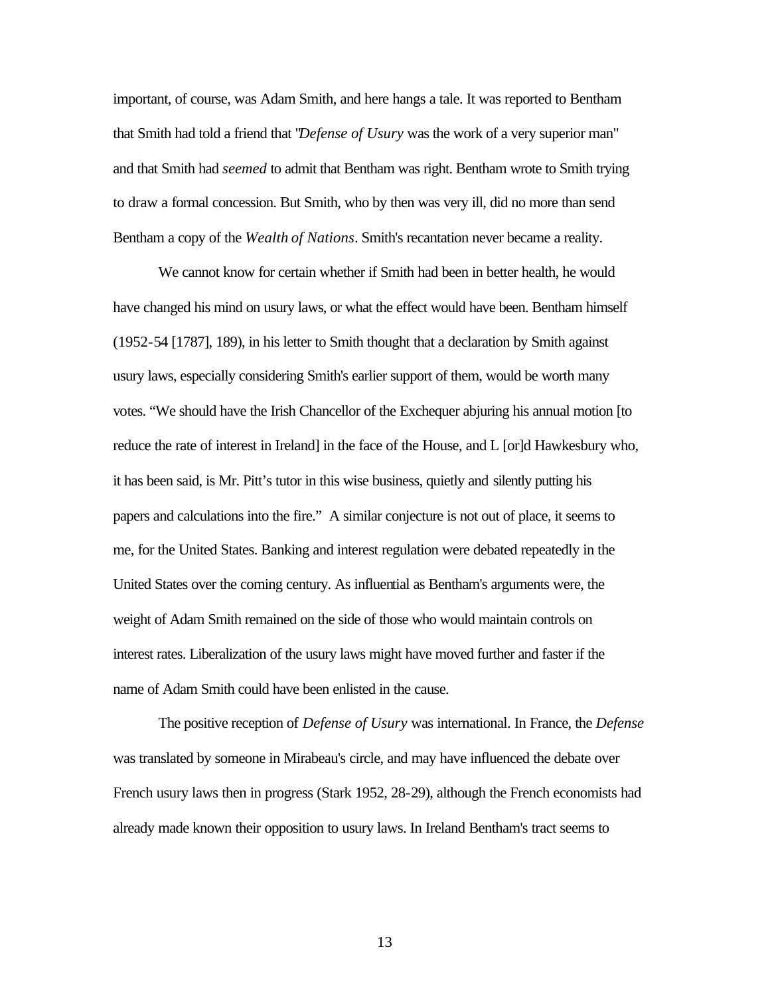important, of course, was Adam Smith, and here hangs a tale. It was reported to Bentham that Smith had told a friend that "*Defense of Usury* was the work of a very superior man" and that Smith had *seemed* to admit that Bentham was right. Bentham wrote to Smith trying to draw a formal concession. But Smith, who by then was very ill, did no more than send Bentham a copy of the *Wealth of Nations*. Smith's recantation never became a reality.

We cannot know for certain whether if Smith had been in better health, he would have changed his mind on usury laws, or what the effect would have been. Bentham himself (1952-54 [1787], 189), in his letter to Smith thought that a declaration by Smith against usury laws, especially considering Smith's earlier support of them, would be worth many votes. "We should have the Irish Chancellor of the Exchequer abjuring his annual motion [to reduce the rate of interest in Ireland] in the face of the House, and L [or]d Hawkesbury who, it has been said, is Mr. Pitt's tutor in this wise business, quietly and silently putting his papers and calculations into the fire." A similar conjecture is not out of place, it seems to me, for the United States. Banking and interest regulation were debated repeatedly in the United States over the coming century. As influential as Bentham's arguments were, the weight of Adam Smith remained on the side of those who would maintain controls on interest rates. Liberalization of the usury laws might have moved further and faster if the name of Adam Smith could have been enlisted in the cause.

The positive reception of *Defense of Usury* was international. In France, the *Defense* was translated by someone in Mirabeau's circle, and may have influenced the debate over French usury laws then in progress (Stark 1952, 28-29), although the French economists had already made known their opposition to usury laws. In Ireland Bentham's tract seems to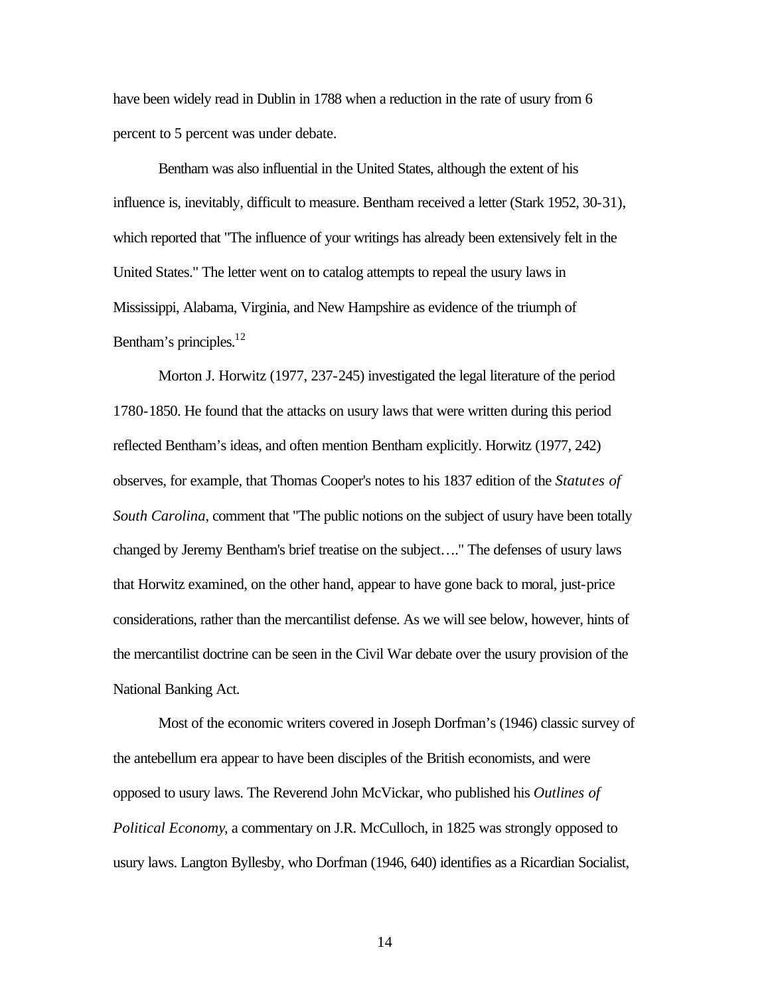have been widely read in Dublin in 1788 when a reduction in the rate of usury from 6 percent to 5 percent was under debate.

Bentham was also influential in the United States, although the extent of his influence is, inevitably, difficult to measure. Bentham received a letter (Stark 1952, 30-31), which reported that "The influence of your writings has already been extensively felt in the United States." The letter went on to catalog attempts to repeal the usury laws in Mississippi, Alabama, Virginia, and New Hampshire as evidence of the triumph of Bentham's principles.<sup>12</sup>

Morton J. Horwitz (1977, 237-245) investigated the legal literature of the period 1780-1850. He found that the attacks on usury laws that were written during this period reflected Bentham's ideas, and often mention Bentham explicitly. Horwitz (1977, 242) observes, for example, that Thomas Cooper's notes to his 1837 edition of the *Statutes of South Carolina*, comment that "The public notions on the subject of usury have been totally changed by Jeremy Bentham's brief treatise on the subject…." The defenses of usury laws that Horwitz examined, on the other hand, appear to have gone back to moral, just-price considerations, rather than the mercantilist defense. As we will see below, however, hints of the mercantilist doctrine can be seen in the Civil War debate over the usury provision of the National Banking Act.

Most of the economic writers covered in Joseph Dorfman's (1946) classic survey of the antebellum era appear to have been disciples of the British economists, and were opposed to usury laws. The Reverend John McVickar, who published his *Outlines of Political Economy*, a commentary on J.R. McCulloch, in 1825 was strongly opposed to usury laws. Langton Byllesby, who Dorfman (1946, 640) identifies as a Ricardian Socialist,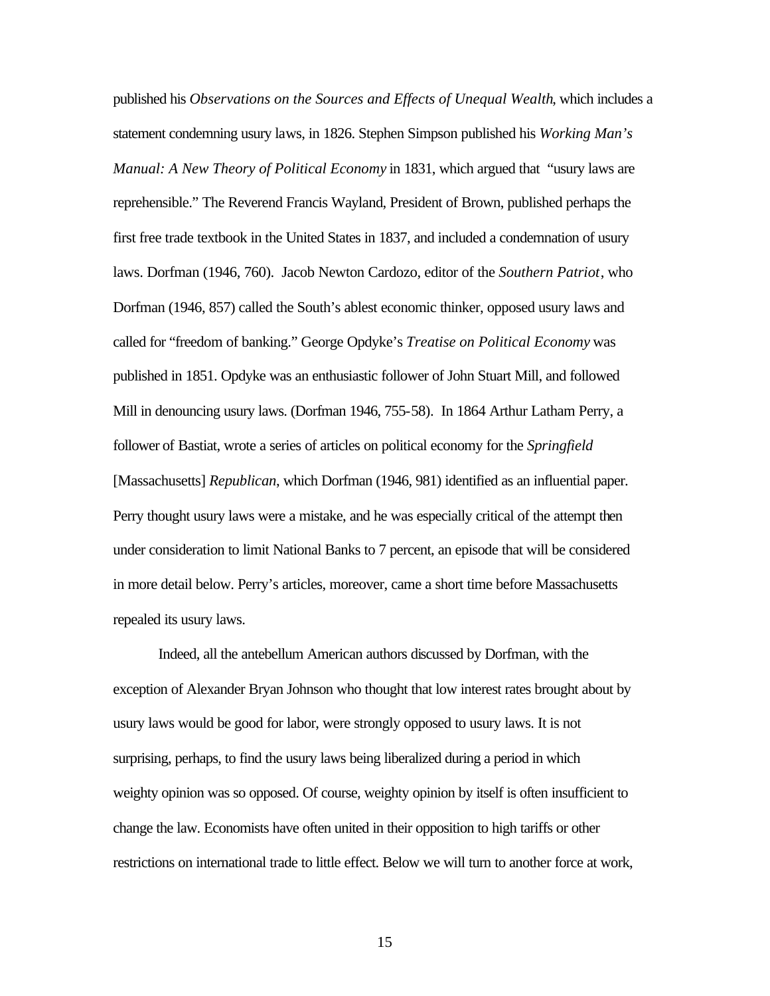published his *Observations on the Sources and Effects of Unequal Wealth*, which includes a statement condemning usury laws, in 1826. Stephen Simpson published his *Working Man's Manual: A New Theory of Political Economy* in 1831, which argued that "usury laws are reprehensible." The Reverend Francis Wayland, President of Brown, published perhaps the first free trade textbook in the United States in 1837, and included a condemnation of usury laws. Dorfman (1946, 760). Jacob Newton Cardozo, editor of the *Southern Patriot*, who Dorfman (1946, 857) called the South's ablest economic thinker, opposed usury laws and called for "freedom of banking." George Opdyke's *Treatise on Political Economy* was published in 1851. Opdyke was an enthusiastic follower of John Stuart Mill, and followed Mill in denouncing usury laws. (Dorfman 1946, 755-58). In 1864 Arthur Latham Perry, a follower of Bastiat, wrote a series of articles on political economy for the *Springfield* [Massachusetts] *Republican*, which Dorfman (1946, 981) identified as an influential paper. Perry thought usury laws were a mistake, and he was especially critical of the attempt then under consideration to limit National Banks to 7 percent, an episode that will be considered in more detail below. Perry's articles, moreover, came a short time before Massachusetts repealed its usury laws.

Indeed, all the antebellum American authors discussed by Dorfman, with the exception of Alexander Bryan Johnson who thought that low interest rates brought about by usury laws would be good for labor, were strongly opposed to usury laws. It is not surprising, perhaps, to find the usury laws being liberalized during a period in which weighty opinion was so opposed. Of course, weighty opinion by itself is often insufficient to change the law. Economists have often united in their opposition to high tariffs or other restrictions on international trade to little effect. Below we will turn to another force at work,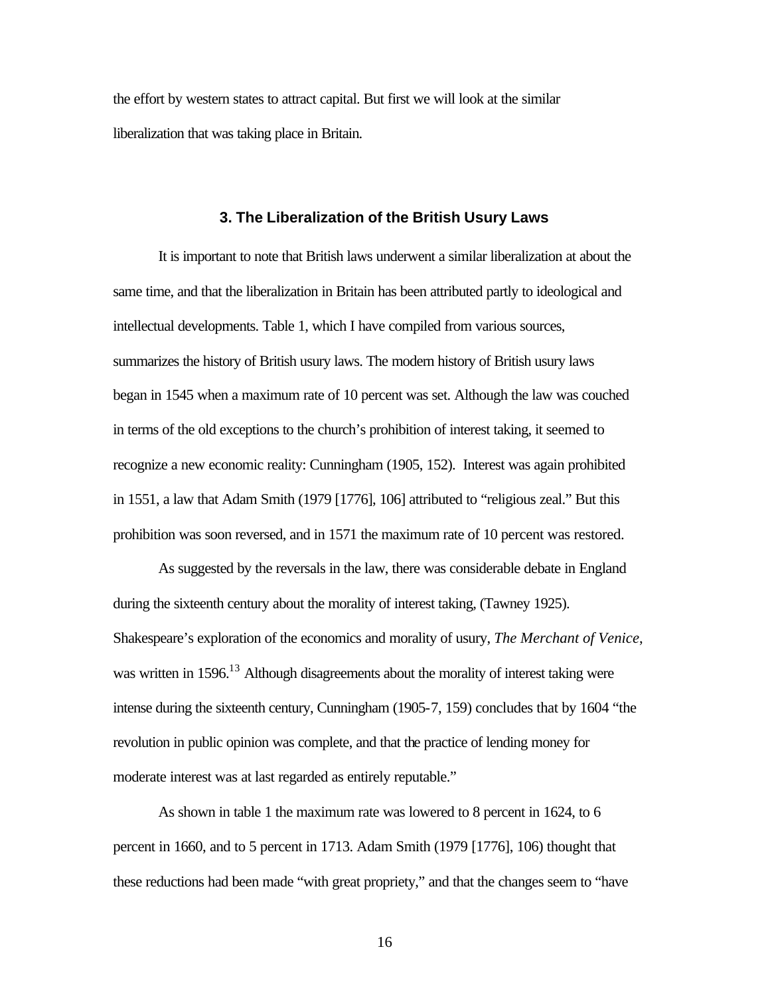the effort by western states to attract capital. But first we will look at the similar liberalization that was taking place in Britain.

#### **3. The Liberalization of the British Usury Laws**

It is important to note that British laws underwent a similar liberalization at about the same time, and that the liberalization in Britain has been attributed partly to ideological and intellectual developments. Table 1, which I have compiled from various sources, summarizes the history of British usury laws. The modern history of British usury laws began in 1545 when a maximum rate of 10 percent was set. Although the law was couched in terms of the old exceptions to the church's prohibition of interest taking, it seemed to recognize a new economic reality: Cunningham (1905, 152). Interest was again prohibited in 1551, a law that Adam Smith (1979 [1776], 106] attributed to "religious zeal." But this prohibition was soon reversed, and in 1571 the maximum rate of 10 percent was restored.

As suggested by the reversals in the law, there was considerable debate in England during the sixteenth century about the morality of interest taking, (Tawney 1925). Shakespeare's exploration of the economics and morality of usury, *The Merchant of Venice*, was written in 1596.<sup>13</sup> Although disagreements about the morality of interest taking were intense during the sixteenth century, Cunningham (1905-7, 159) concludes that by 1604 "the revolution in public opinion was complete, and that the practice of lending money for moderate interest was at last regarded as entirely reputable."

As shown in table 1 the maximum rate was lowered to 8 percent in 1624, to 6 percent in 1660, and to 5 percent in 1713. Adam Smith (1979 [1776], 106) thought that these reductions had been made "with great propriety," and that the changes seem to "have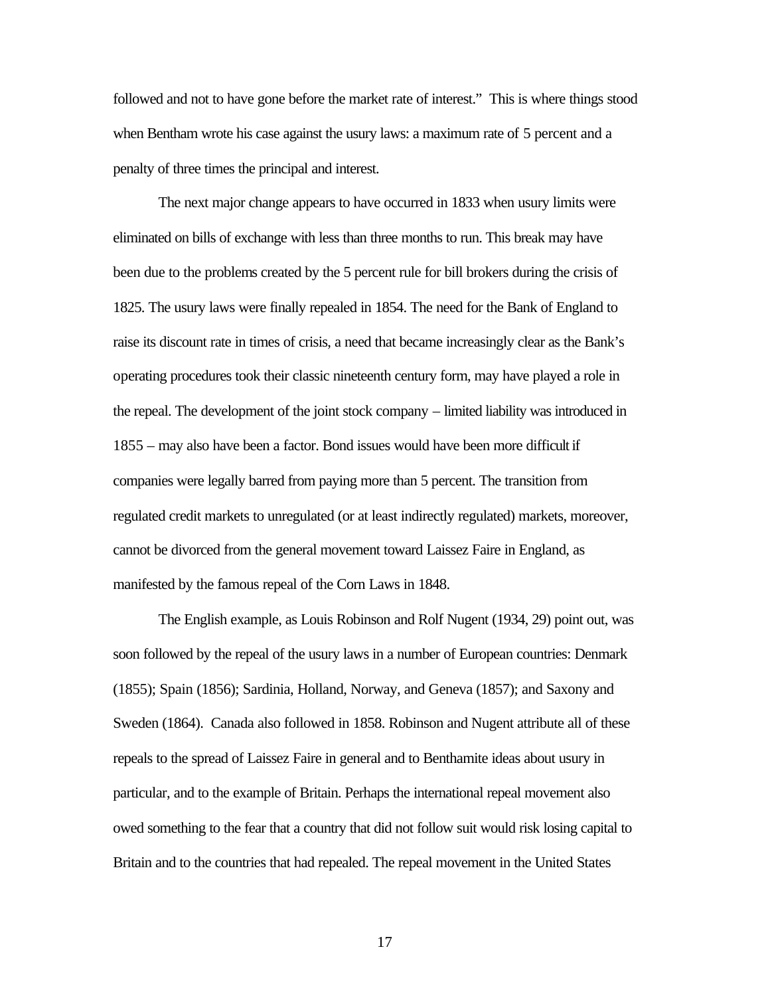followed and not to have gone before the market rate of interest." This is where things stood when Bentham wrote his case against the usury laws: a maximum rate of 5 percent and a penalty of three times the principal and interest.

The next major change appears to have occurred in 1833 when usury limits were eliminated on bills of exchange with less than three months to run. This break may have been due to the problems created by the 5 percent rule for bill brokers during the crisis of 1825. The usury laws were finally repealed in 1854. The need for the Bank of England to raise its discount rate in times of crisis, a need that became increasingly clear as the Bank's operating procedures took their classic nineteenth century form, may have played a role in the repeal. The development of the joint stock company – limited liability was introduced in 1855 – may also have been a factor. Bond issues would have been more difficult if companies were legally barred from paying more than 5 percent. The transition from regulated credit markets to unregulated (or at least indirectly regulated) markets, moreover, cannot be divorced from the general movement toward Laissez Faire in England, as manifested by the famous repeal of the Corn Laws in 1848.

The English example, as Louis Robinson and Rolf Nugent (1934, 29) point out, was soon followed by the repeal of the usury laws in a number of European countries: Denmark (1855); Spain (1856); Sardinia, Holland, Norway, and Geneva (1857); and Saxony and Sweden (1864). Canada also followed in 1858. Robinson and Nugent attribute all of these repeals to the spread of Laissez Faire in general and to Benthamite ideas about usury in particular, and to the example of Britain. Perhaps the international repeal movement also owed something to the fear that a country that did not follow suit would risk losing capital to Britain and to the countries that had repealed. The repeal movement in the United States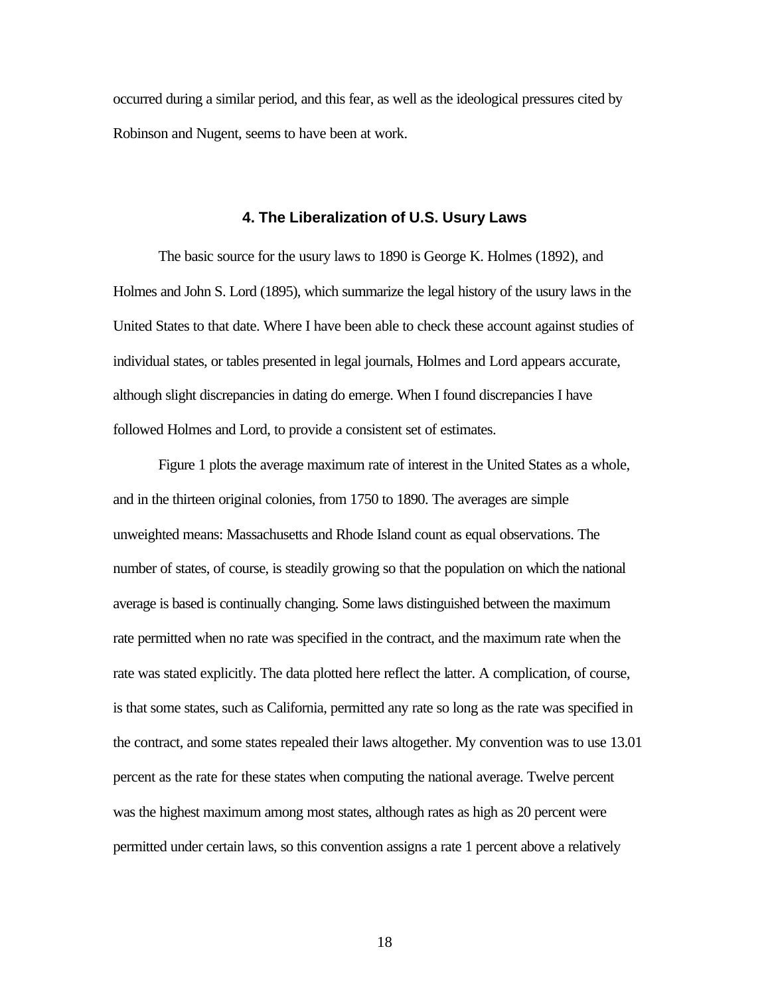occurred during a similar period, and this fear, as well as the ideological pressures cited by Robinson and Nugent, seems to have been at work.

#### **4. The Liberalization of U.S. Usury Laws**

The basic source for the usury laws to 1890 is George K. Holmes (1892), and Holmes and John S. Lord (1895), which summarize the legal history of the usury laws in the United States to that date. Where I have been able to check these account against studies of individual states, or tables presented in legal journals, Holmes and Lord appears accurate, although slight discrepancies in dating do emerge. When I found discrepancies I have followed Holmes and Lord, to provide a consistent set of estimates.

Figure 1 plots the average maximum rate of interest in the United States as a whole, and in the thirteen original colonies, from 1750 to 1890. The averages are simple unweighted means: Massachusetts and Rhode Island count as equal observations. The number of states, of course, is steadily growing so that the population on which the national average is based is continually changing. Some laws distinguished between the maximum rate permitted when no rate was specified in the contract, and the maximum rate when the rate was stated explicitly. The data plotted here reflect the latter. A complication, of course, is that some states, such as California, permitted any rate so long as the rate was specified in the contract, and some states repealed their laws altogether. My convention was to use 13.01 percent as the rate for these states when computing the national average. Twelve percent was the highest maximum among most states, although rates as high as 20 percent were permitted under certain laws, so this convention assigns a rate 1 percent above a relatively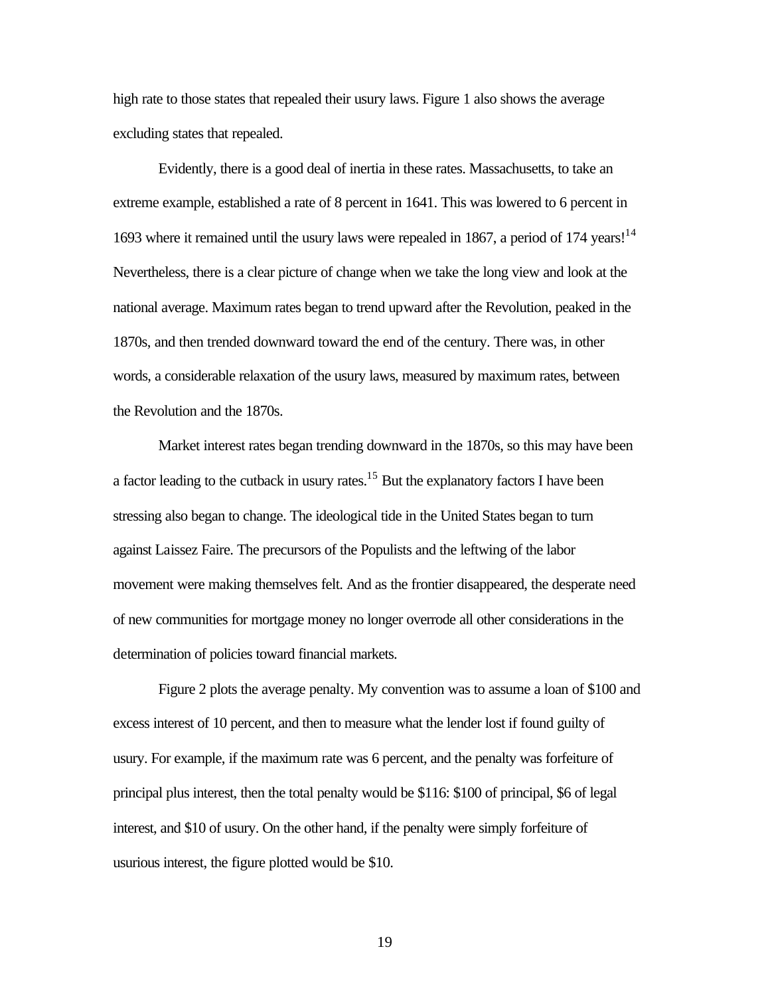high rate to those states that repealed their usury laws. Figure 1 also shows the average excluding states that repealed.

Evidently, there is a good deal of inertia in these rates. Massachusetts, to take an extreme example, established a rate of 8 percent in 1641. This was lowered to 6 percent in 1693 where it remained until the usury laws were repealed in 1867, a period of 174 years!<sup>14</sup> Nevertheless, there is a clear picture of change when we take the long view and look at the national average. Maximum rates began to trend upward after the Revolution, peaked in the 1870s, and then trended downward toward the end of the century. There was, in other words, a considerable relaxation of the usury laws, measured by maximum rates, between the Revolution and the 1870s.

Market interest rates began trending downward in the 1870s, so this may have been a factor leading to the cutback in usury rates.<sup>15</sup> But the explanatory factors I have been stressing also began to change. The ideological tide in the United States began to turn against Laissez Faire. The precursors of the Populists and the leftwing of the labor movement were making themselves felt. And as the frontier disappeared, the desperate need of new communities for mortgage money no longer overrode all other considerations in the determination of policies toward financial markets.

Figure 2 plots the average penalty. My convention was to assume a loan of \$100 and excess interest of 10 percent, and then to measure what the lender lost if found guilty of usury. For example, if the maximum rate was 6 percent, and the penalty was forfeiture of principal plus interest, then the total penalty would be \$116: \$100 of principal, \$6 of legal interest, and \$10 of usury. On the other hand, if the penalty were simply forfeiture of usurious interest, the figure plotted would be \$10.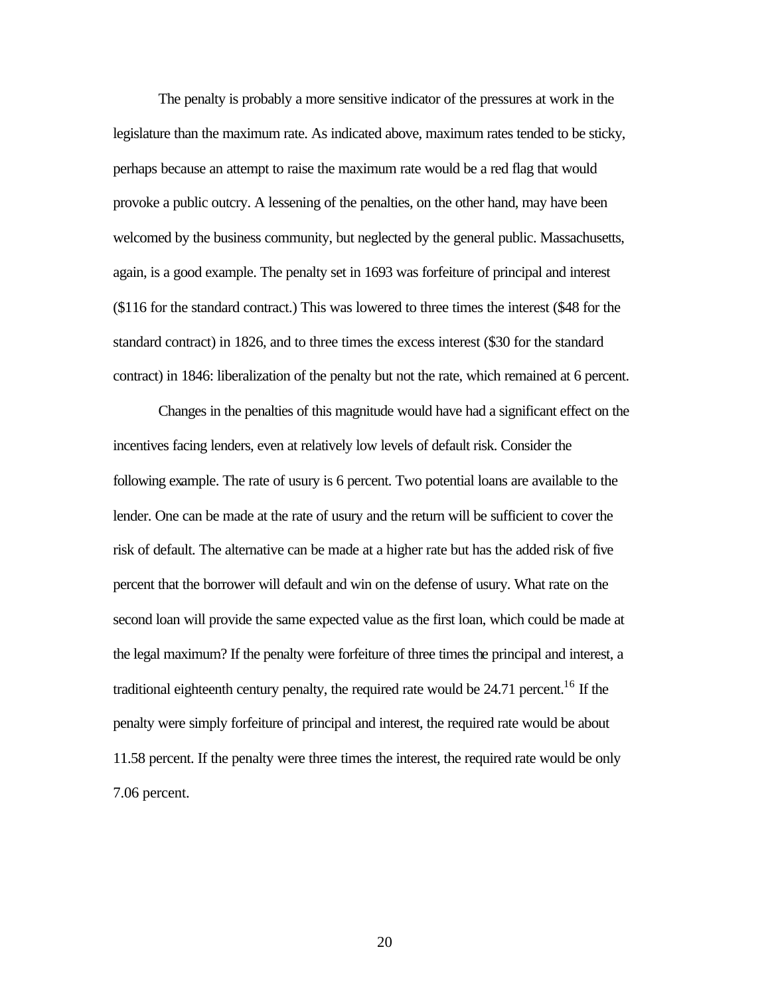The penalty is probably a more sensitive indicator of the pressures at work in the legislature than the maximum rate. As indicated above, maximum rates tended to be sticky, perhaps because an attempt to raise the maximum rate would be a red flag that would provoke a public outcry. A lessening of the penalties, on the other hand, may have been welcomed by the business community, but neglected by the general public. Massachusetts, again, is a good example. The penalty set in 1693 was forfeiture of principal and interest (\$116 for the standard contract.) This was lowered to three times the interest (\$48 for the standard contract) in 1826, and to three times the excess interest (\$30 for the standard contract) in 1846: liberalization of the penalty but not the rate, which remained at 6 percent.

Changes in the penalties of this magnitude would have had a significant effect on the incentives facing lenders, even at relatively low levels of default risk. Consider the following example. The rate of usury is 6 percent. Two potential loans are available to the lender. One can be made at the rate of usury and the return will be sufficient to cover the risk of default. The alternative can be made at a higher rate but has the added risk of five percent that the borrower will default and win on the defense of usury. What rate on the second loan will provide the same expected value as the first loan, which could be made at the legal maximum? If the penalty were forfeiture of three times the principal and interest, a traditional eighteenth century penalty, the required rate would be  $24.71$  percent.<sup>16</sup> If the penalty were simply forfeiture of principal and interest, the required rate would be about 11.58 percent. If the penalty were three times the interest, the required rate would be only 7.06 percent.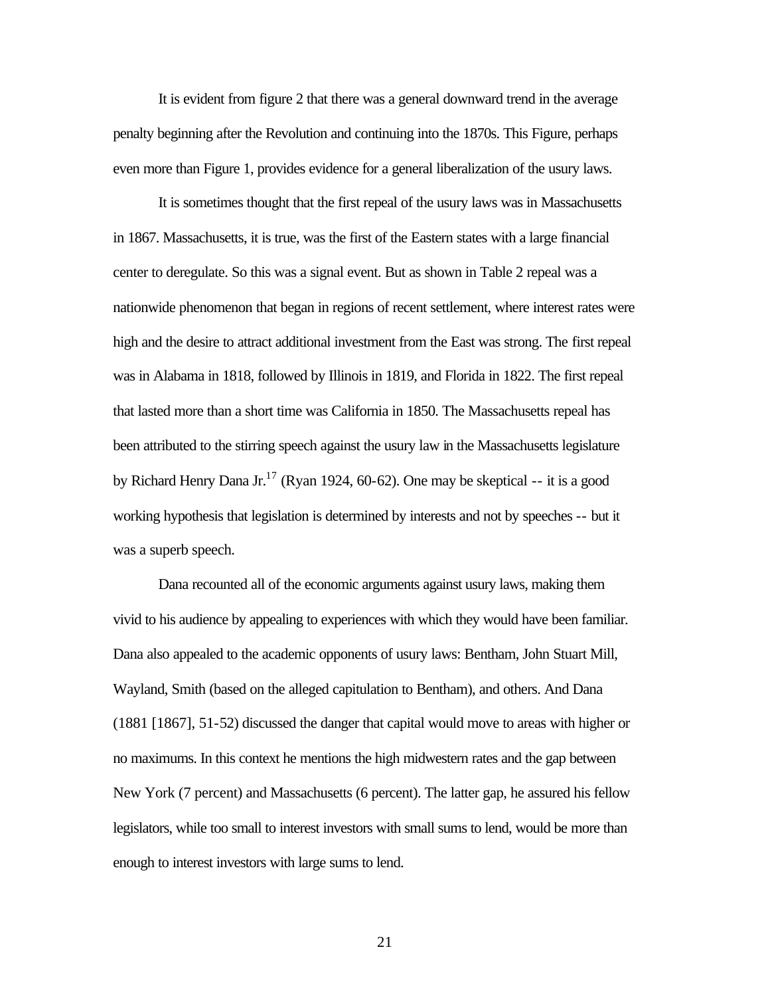It is evident from figure 2 that there was a general downward trend in the average penalty beginning after the Revolution and continuing into the 1870s. This Figure, perhaps even more than Figure 1, provides evidence for a general liberalization of the usury laws.

It is sometimes thought that the first repeal of the usury laws was in Massachusetts in 1867. Massachusetts, it is true, was the first of the Eastern states with a large financial center to deregulate. So this was a signal event. But as shown in Table 2 repeal was a nationwide phenomenon that began in regions of recent settlement, where interest rates were high and the desire to attract additional investment from the East was strong. The first repeal was in Alabama in 1818, followed by Illinois in 1819, and Florida in 1822. The first repeal that lasted more than a short time was California in 1850. The Massachusetts repeal has been attributed to the stirring speech against the usury law in the Massachusetts legislature by Richard Henry Dana Jr.<sup>17</sup> (Ryan 1924, 60-62). One may be skeptical  $-$  it is a good working hypothesis that legislation is determined by interests and not by speeches -- but it was a superb speech.

Dana recounted all of the economic arguments against usury laws, making them vivid to his audience by appealing to experiences with which they would have been familiar. Dana also appealed to the academic opponents of usury laws: Bentham, John Stuart Mill, Wayland, Smith (based on the alleged capitulation to Bentham), and others. And Dana (1881 [1867], 51-52) discussed the danger that capital would move to areas with higher or no maximums. In this context he mentions the high midwestern rates and the gap between New York (7 percent) and Massachusetts (6 percent). The latter gap, he assured his fellow legislators, while too small to interest investors with small sums to lend, would be more than enough to interest investors with large sums to lend.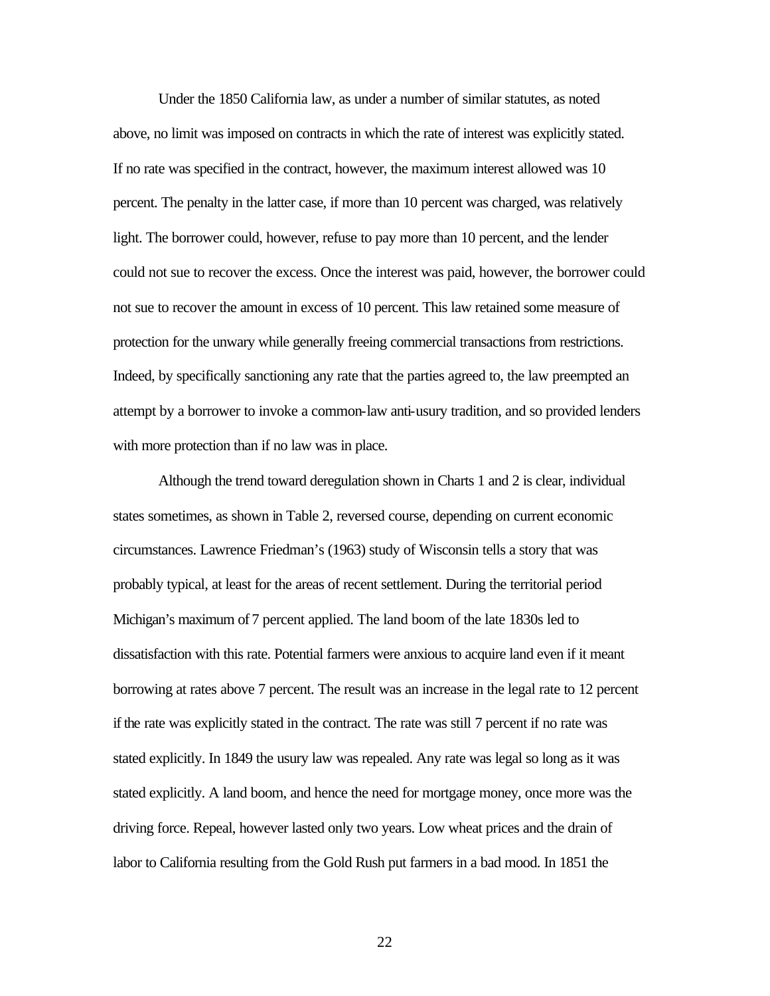Under the 1850 California law, as under a number of similar statutes, as noted above, no limit was imposed on contracts in which the rate of interest was explicitly stated. If no rate was specified in the contract, however, the maximum interest allowed was 10 percent. The penalty in the latter case, if more than 10 percent was charged, was relatively light. The borrower could, however, refuse to pay more than 10 percent, and the lender could not sue to recover the excess. Once the interest was paid, however, the borrower could not sue to recover the amount in excess of 10 percent. This law retained some measure of protection for the unwary while generally freeing commercial transactions from restrictions. Indeed, by specifically sanctioning any rate that the parties agreed to, the law preempted an attempt by a borrower to invoke a common-law anti-usury tradition, and so provided lenders with more protection than if no law was in place.

Although the trend toward deregulation shown in Charts 1 and 2 is clear, individual states sometimes, as shown in Table 2, reversed course, depending on current economic circumstances. Lawrence Friedman's (1963) study of Wisconsin tells a story that was probably typical, at least for the areas of recent settlement. During the territorial period Michigan's maximum of 7 percent applied. The land boom of the late 1830s led to dissatisfaction with this rate. Potential farmers were anxious to acquire land even if it meant borrowing at rates above 7 percent. The result was an increase in the legal rate to 12 percent if the rate was explicitly stated in the contract. The rate was still 7 percent if no rate was stated explicitly. In 1849 the usury law was repealed. Any rate was legal so long as it was stated explicitly. A land boom, and hence the need for mortgage money, once more was the driving force. Repeal, however lasted only two years. Low wheat prices and the drain of labor to California resulting from the Gold Rush put farmers in a bad mood. In 1851 the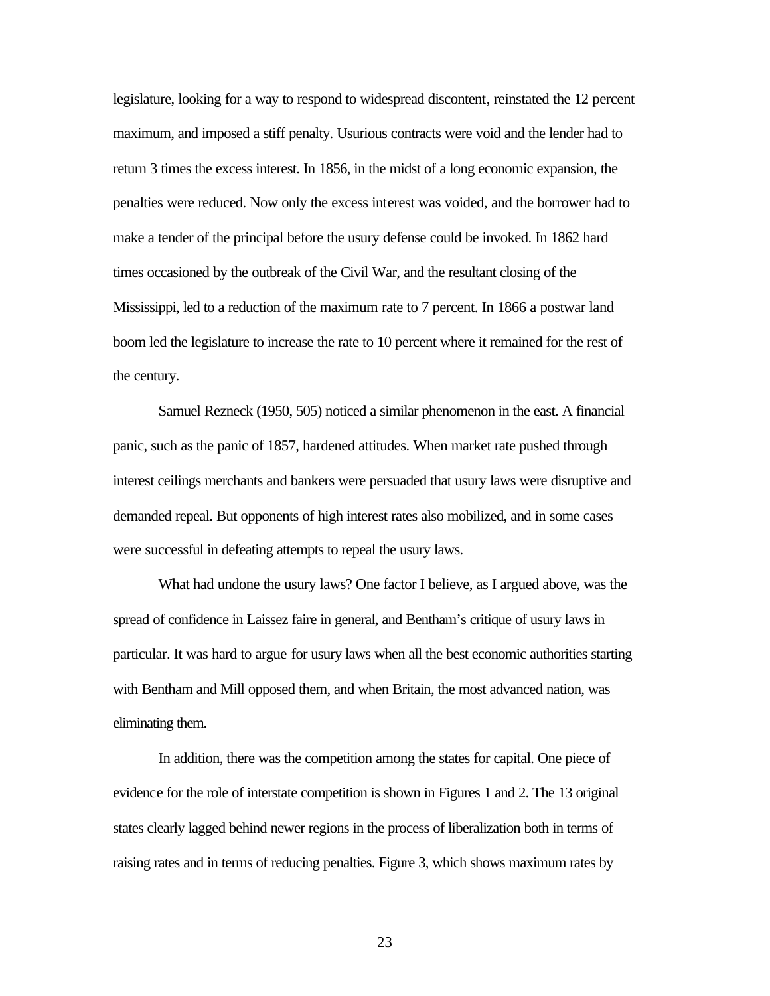legislature, looking for a way to respond to widespread discontent, reinstated the 12 percent maximum, and imposed a stiff penalty. Usurious contracts were void and the lender had to return 3 times the excess interest. In 1856, in the midst of a long economic expansion, the penalties were reduced. Now only the excess interest was voided, and the borrower had to make a tender of the principal before the usury defense could be invoked. In 1862 hard times occasioned by the outbreak of the Civil War, and the resultant closing of the Mississippi, led to a reduction of the maximum rate to 7 percent. In 1866 a postwar land boom led the legislature to increase the rate to 10 percent where it remained for the rest of the century.

Samuel Rezneck (1950, 505) noticed a similar phenomenon in the east. A financial panic, such as the panic of 1857, hardened attitudes. When market rate pushed through interest ceilings merchants and bankers were persuaded that usury laws were disruptive and demanded repeal. But opponents of high interest rates also mobilized, and in some cases were successful in defeating attempts to repeal the usury laws.

What had undone the usury laws? One factor I believe, as I argued above, was the spread of confidence in Laissez faire in general, and Bentham's critique of usury laws in particular. It was hard to argue for usury laws when all the best economic authorities starting with Bentham and Mill opposed them, and when Britain, the most advanced nation, was eliminating them.

In addition, there was the competition among the states for capital. One piece of evidence for the role of interstate competition is shown in Figures 1 and 2. The 13 original states clearly lagged behind newer regions in the process of liberalization both in terms of raising rates and in terms of reducing penalties. Figure 3, which shows maximum rates by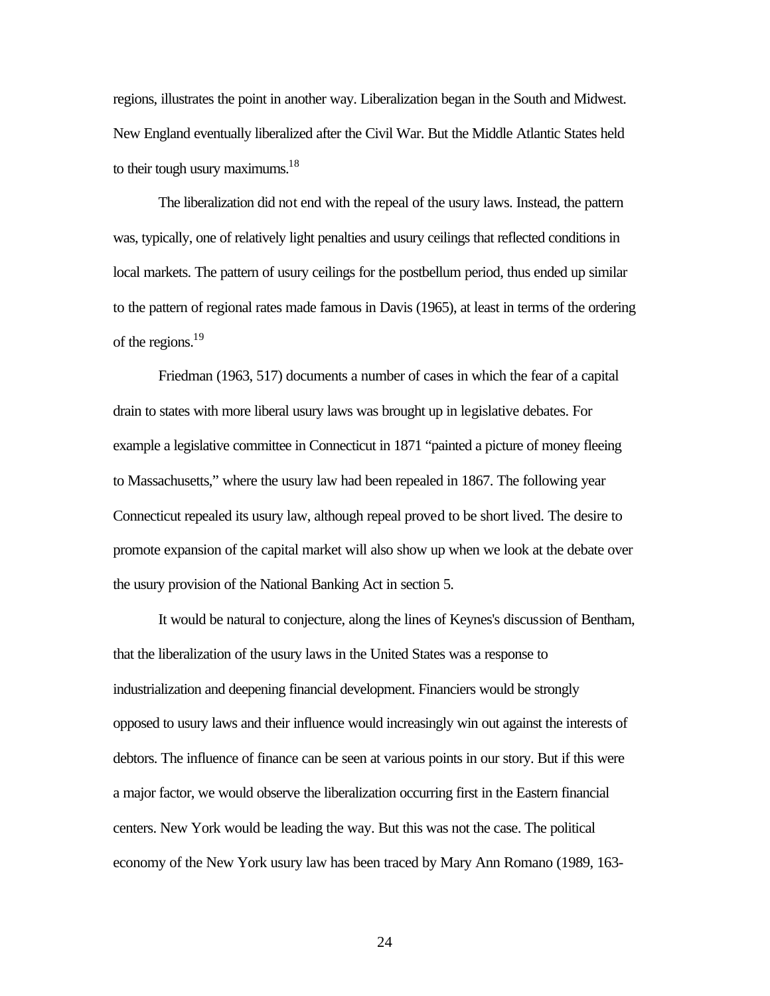regions, illustrates the point in another way. Liberalization began in the South and Midwest. New England eventually liberalized after the Civil War. But the Middle Atlantic States held to their tough usury maximums. $18$ 

The liberalization did not end with the repeal of the usury laws. Instead, the pattern was, typically, one of relatively light penalties and usury ceilings that reflected conditions in local markets. The pattern of usury ceilings for the postbellum period, thus ended up similar to the pattern of regional rates made famous in Davis (1965), at least in terms of the ordering of the regions.<sup>19</sup>

Friedman (1963, 517) documents a number of cases in which the fear of a capital drain to states with more liberal usury laws was brought up in legislative debates. For example a legislative committee in Connecticut in 1871 "painted a picture of money fleeing to Massachusetts," where the usury law had been repealed in 1867. The following year Connecticut repealed its usury law, although repeal proved to be short lived. The desire to promote expansion of the capital market will also show up when we look at the debate over the usury provision of the National Banking Act in section 5.

It would be natural to conjecture, along the lines of Keynes's discussion of Bentham, that the liberalization of the usury laws in the United States was a response to industrialization and deepening financial development. Financiers would be strongly opposed to usury laws and their influence would increasingly win out against the interests of debtors. The influence of finance can be seen at various points in our story. But if this were a major factor, we would observe the liberalization occurring first in the Eastern financial centers. New York would be leading the way. But this was not the case. The political economy of the New York usury law has been traced by Mary Ann Romano (1989, 163-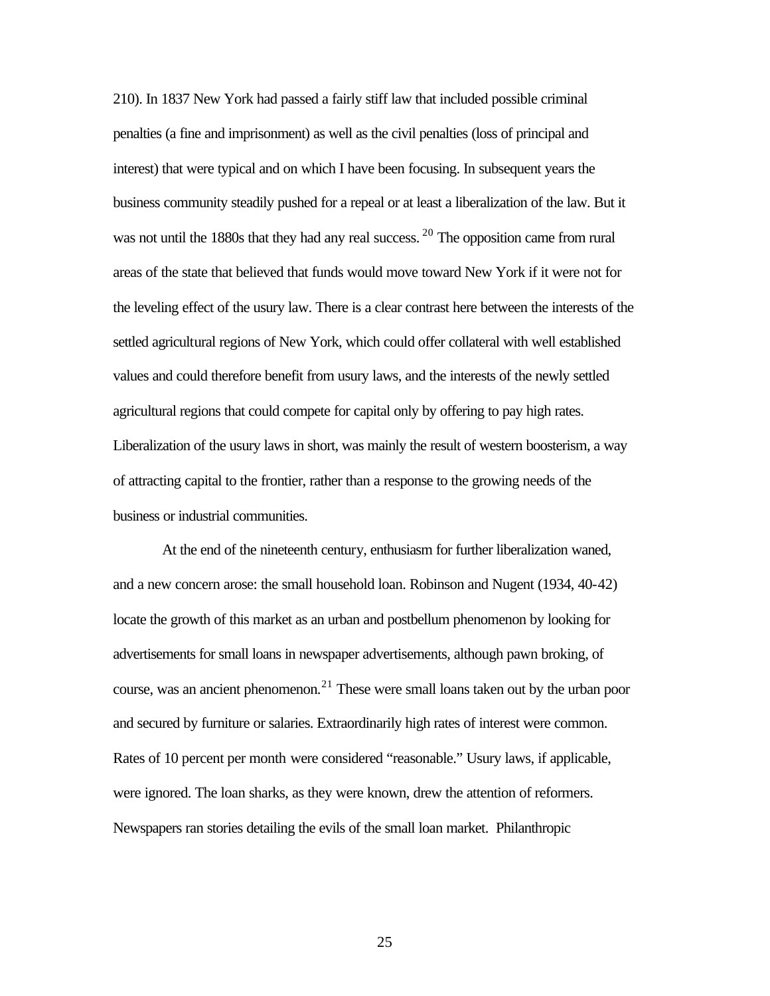210). In 1837 New York had passed a fairly stiff law that included possible criminal penalties (a fine and imprisonment) as well as the civil penalties (loss of principal and interest) that were typical and on which I have been focusing. In subsequent years the business community steadily pushed for a repeal or at least a liberalization of the law. But it was not until the 1880s that they had any real success.  $^{20}$  The opposition came from rural areas of the state that believed that funds would move toward New York if it were not for the leveling effect of the usury law. There is a clear contrast here between the interests of the settled agricultural regions of New York, which could offer collateral with well established values and could therefore benefit from usury laws, and the interests of the newly settled agricultural regions that could compete for capital only by offering to pay high rates. Liberalization of the usury laws in short, was mainly the result of western boosterism, a way of attracting capital to the frontier, rather than a response to the growing needs of the business or industrial communities.

 At the end of the nineteenth century, enthusiasm for further liberalization waned, and a new concern arose: the small household loan. Robinson and Nugent (1934, 40-42) locate the growth of this market as an urban and postbellum phenomenon by looking for advertisements for small loans in newspaper advertisements, although pawn broking, of course, was an ancient phenomenon.<sup>21</sup> These were small loans taken out by the urban poor and secured by furniture or salaries. Extraordinarily high rates of interest were common. Rates of 10 percent per month were considered "reasonable." Usury laws, if applicable, were ignored. The loan sharks, as they were known, drew the attention of reformers. Newspapers ran stories detailing the evils of the small loan market. Philanthropic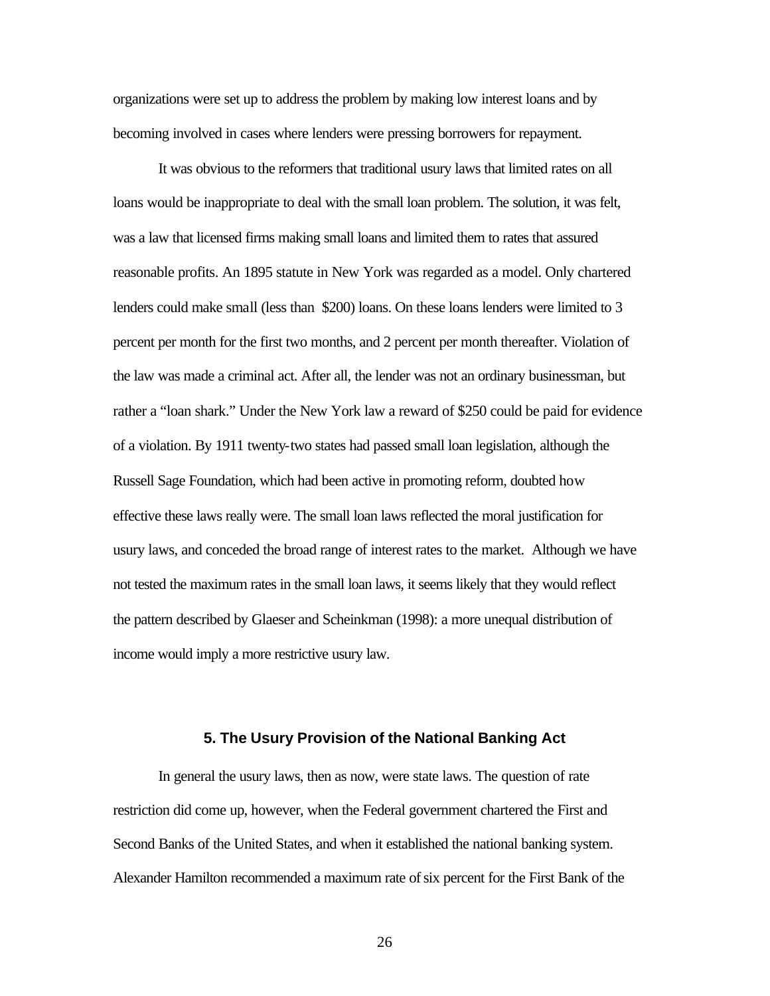organizations were set up to address the problem by making low interest loans and by becoming involved in cases where lenders were pressing borrowers for repayment.

It was obvious to the reformers that traditional usury laws that limited rates on all loans would be inappropriate to deal with the small loan problem. The solution, it was felt, was a law that licensed firms making small loans and limited them to rates that assured reasonable profits. An 1895 statute in New York was regarded as a model. Only chartered lenders could make small (less than \$200) loans. On these loans lenders were limited to 3 percent per month for the first two months, and 2 percent per month thereafter. Violation of the law was made a criminal act. After all, the lender was not an ordinary businessman, but rather a "loan shark." Under the New York law a reward of \$250 could be paid for evidence of a violation. By 1911 twenty-two states had passed small loan legislation, although the Russell Sage Foundation, which had been active in promoting reform, doubted how effective these laws really were. The small loan laws reflected the moral justification for usury laws, and conceded the broad range of interest rates to the market. Although we have not tested the maximum rates in the small loan laws, it seems likely that they would reflect the pattern described by Glaeser and Scheinkman (1998): a more unequal distribution of income would imply a more restrictive usury law.

#### **5. The Usury Provision of the National Banking Act**

In general the usury laws, then as now, were state laws. The question of rate restriction did come up, however, when the Federal government chartered the First and Second Banks of the United States, and when it established the national banking system. Alexander Hamilton recommended a maximum rate of six percent for the First Bank of the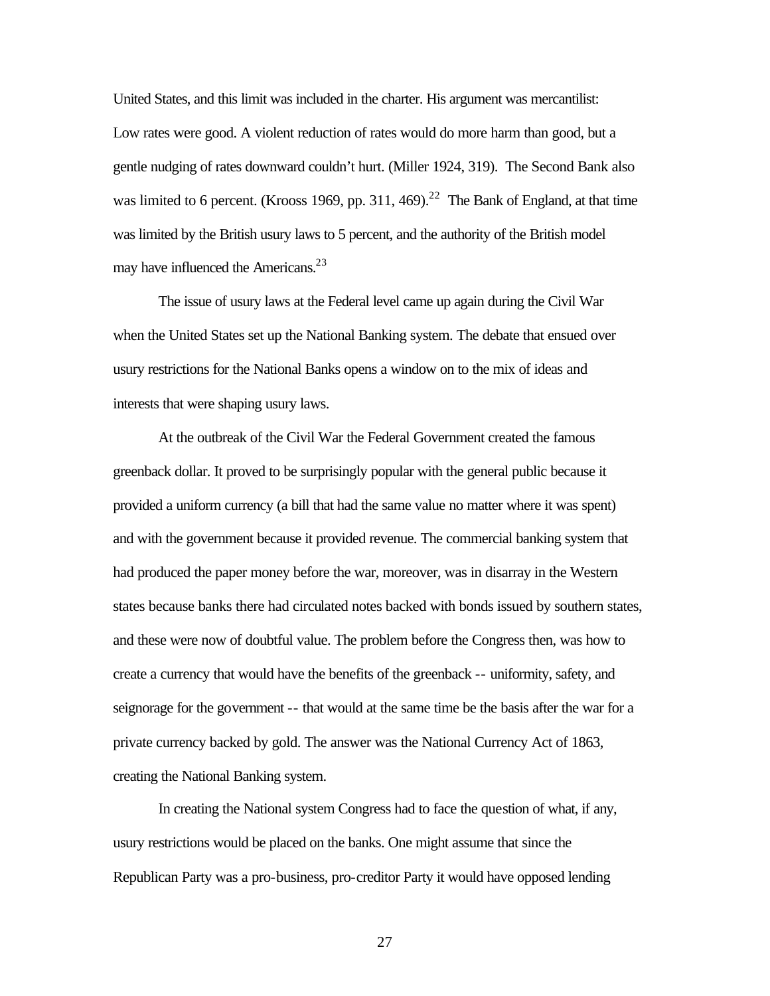United States, and this limit was included in the charter. His argument was mercantilist: Low rates were good. A violent reduction of rates would do more harm than good, but a gentle nudging of rates downward couldn't hurt. (Miller 1924, 319). The Second Bank also was limited to 6 percent. (Krooss 1969, pp. 311, 469).<sup>22</sup> The Bank of England, at that time was limited by the British usury laws to 5 percent, and the authority of the British model may have influenced the Americans.<sup>23</sup>

The issue of usury laws at the Federal level came up again during the Civil War when the United States set up the National Banking system. The debate that ensued over usury restrictions for the National Banks opens a window on to the mix of ideas and interests that were shaping usury laws.

At the outbreak of the Civil War the Federal Government created the famous greenback dollar. It proved to be surprisingly popular with the general public because it provided a uniform currency (a bill that had the same value no matter where it was spent) and with the government because it provided revenue. The commercial banking system that had produced the paper money before the war, moreover, was in disarray in the Western states because banks there had circulated notes backed with bonds issued by southern states, and these were now of doubtful value. The problem before the Congress then, was how to create a currency that would have the benefits of the greenback -- uniformity, safety, and seignorage for the government -- that would at the same time be the basis after the war for a private currency backed by gold. The answer was the National Currency Act of 1863, creating the National Banking system.

In creating the National system Congress had to face the question of what, if any, usury restrictions would be placed on the banks. One might assume that since the Republican Party was a pro-business, pro-creditor Party it would have opposed lending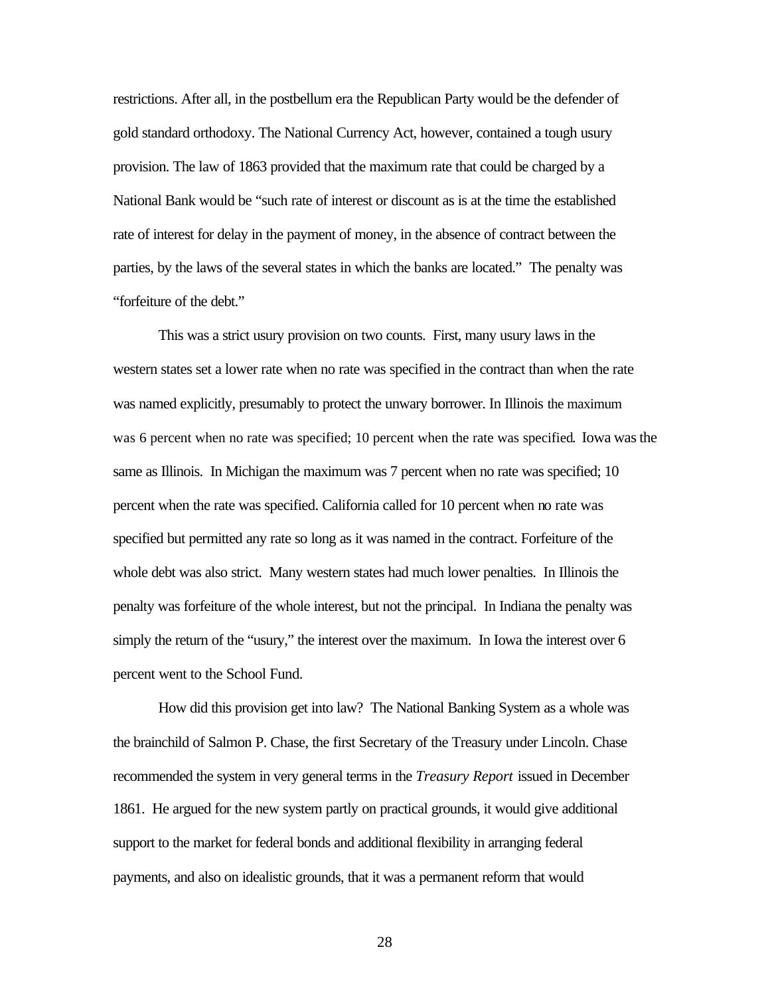restrictions. After all, in the postbellum era the Republican Party would be the defender of gold standard orthodoxy. The National Currency Act, however, contained a tough usury provision. The law of 1863 provided that the maximum rate that could be charged by a National Bank would be "such rate of interest or discount as is at the time the established rate of interest for delay in the payment of money, in the absence of contract between the parties, by the laws of the several states in which the banks are located." The penalty was "forfeiture of the debt."

This was a strict usury provision on two counts. First, many usury laws in the western states set a lower rate when no rate was specified in the contract than when the rate was named explicitly, presumably to protect the unwary borrower. In Illinois the maximum was 6 percent when no rate was specified; 10 percent when the rate was specified. Iowa was the same as Illinois. In Michigan the maximum was 7 percent when no rate was specified; 10 percent when the rate was specified. California called for 10 percent when no rate was specified but permitted any rate so long as it was named in the contract. Forfeiture of the whole debt was also strict. Many western states had much lower penalties. In Illinois the penalty was forfeiture of the whole interest, but not the principal. In Indiana the penalty was simply the return of the "usury," the interest over the maximum. In Iowa the interest over 6 percent went to the School Fund.

How did this provision get into law? The National Banking System as a whole was the brainchild of Salmon P. Chase, the first Secretary of the Treasury under Lincoln. Chase recommended the system in very general terms in the *Treasury Report* issued in December 1861. He argued for the new system partly on practical grounds, it would give additional support to the market for federal bonds and additional flexibility in arranging federal payments, and also on idealistic grounds, that it was a permanent reform that would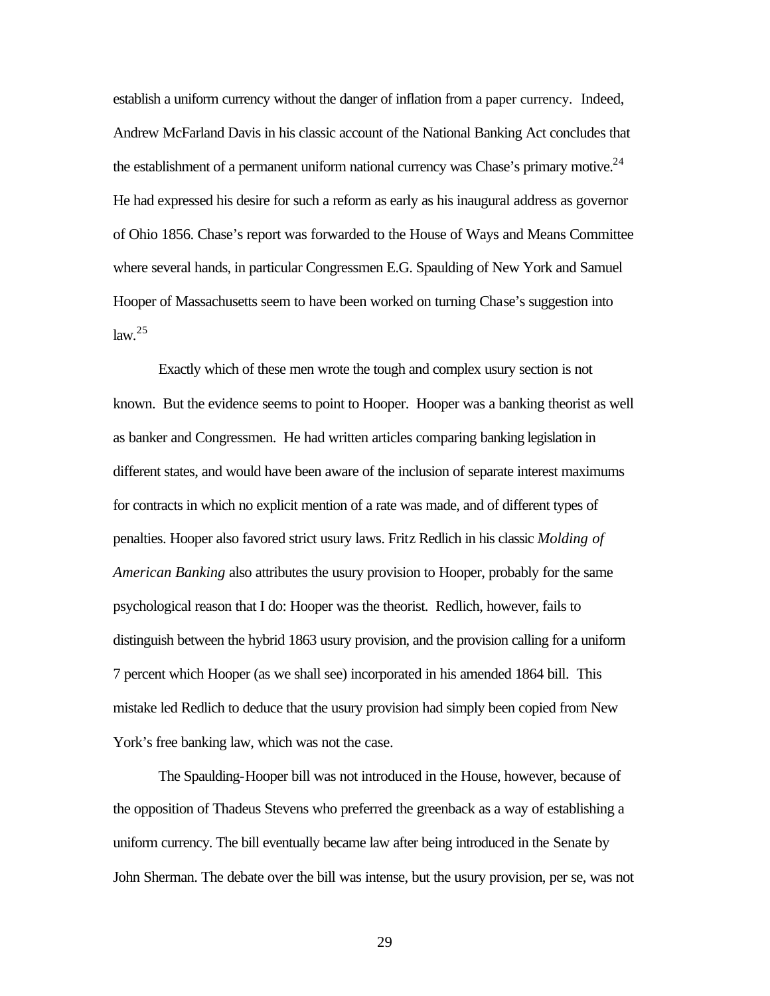establish a uniform currency without the danger of inflation from a paper currency. Indeed, Andrew McFarland Davis in his classic account of the National Banking Act concludes that the establishment of a permanent uniform national currency was Chase's primary motive. $24$ He had expressed his desire for such a reform as early as his inaugural address as governor of Ohio 1856. Chase's report was forwarded to the House of Ways and Means Committee where several hands, in particular Congressmen E.G. Spaulding of New York and Samuel Hooper of Massachusetts seem to have been worked on turning Chase's suggestion into  $law.<sup>25</sup>$ 

Exactly which of these men wrote the tough and complex usury section is not known. But the evidence seems to point to Hooper. Hooper was a banking theorist as well as banker and Congressmen. He had written articles comparing banking legislation in different states, and would have been aware of the inclusion of separate interest maximums for contracts in which no explicit mention of a rate was made, and of different types of penalties. Hooper also favored strict usury laws. Fritz Redlich in his classic *Molding of American Banking* also attributes the usury provision to Hooper, probably for the same psychological reason that I do: Hooper was the theorist. Redlich, however, fails to distinguish between the hybrid 1863 usury provision, and the provision calling for a uniform 7 percent which Hooper (as we shall see) incorporated in his amended 1864 bill. This mistake led Redlich to deduce that the usury provision had simply been copied from New York's free banking law, which was not the case.

The Spaulding-Hooper bill was not introduced in the House, however, because of the opposition of Thadeus Stevens who preferred the greenback as a way of establishing a uniform currency. The bill eventually became law after being introduced in the Senate by John Sherman. The debate over the bill was intense, but the usury provision, per se, was not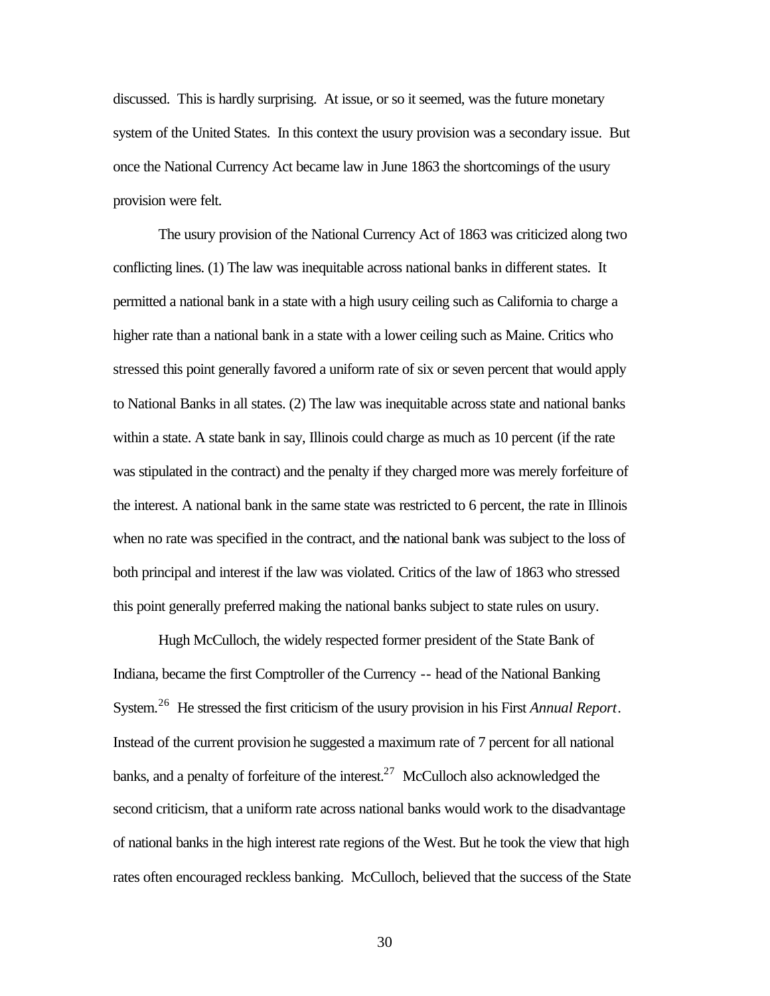discussed. This is hardly surprising. At issue, or so it seemed, was the future monetary system of the United States. In this context the usury provision was a secondary issue. But once the National Currency Act became law in June 1863 the shortcomings of the usury provision were felt.

The usury provision of the National Currency Act of 1863 was criticized along two conflicting lines. (1) The law was inequitable across national banks in different states. It permitted a national bank in a state with a high usury ceiling such as California to charge a higher rate than a national bank in a state with a lower ceiling such as Maine. Critics who stressed this point generally favored a uniform rate of six or seven percent that would apply to National Banks in all states. (2) The law was inequitable across state and national banks within a state. A state bank in say, Illinois could charge as much as 10 percent (if the rate was stipulated in the contract) and the penalty if they charged more was merely forfeiture of the interest. A national bank in the same state was restricted to 6 percent, the rate in Illinois when no rate was specified in the contract, and the national bank was subject to the loss of both principal and interest if the law was violated. Critics of the law of 1863 who stressed this point generally preferred making the national banks subject to state rules on usury.

Hugh McCulloch, the widely respected former president of the State Bank of Indiana, became the first Comptroller of the Currency -- head of the National Banking System.<sup>26</sup> He stressed the first criticism of the usury provision in his First *Annual Report*. Instead of the current provision he suggested a maximum rate of 7 percent for all national banks, and a penalty of forfeiture of the interest.<sup>27</sup> McCulloch also acknowledged the second criticism, that a uniform rate across national banks would work to the disadvantage of national banks in the high interest rate regions of the West. But he took the view that high rates often encouraged reckless banking. McCulloch, believed that the success of the State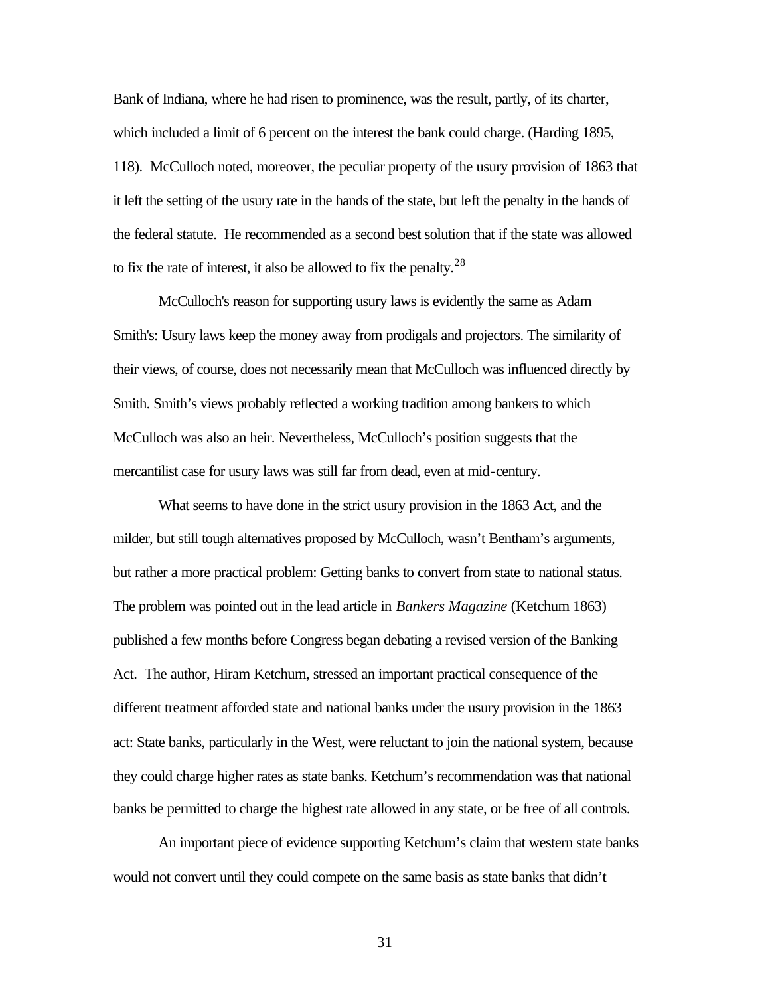Bank of Indiana, where he had risen to prominence, was the result, partly, of its charter, which included a limit of 6 percent on the interest the bank could charge. (Harding 1895, 118). McCulloch noted, moreover, the peculiar property of the usury provision of 1863 that it left the setting of the usury rate in the hands of the state, but left the penalty in the hands of the federal statute. He recommended as a second best solution that if the state was allowed to fix the rate of interest, it also be allowed to fix the penalty.<sup>28</sup>

McCulloch's reason for supporting usury laws is evidently the same as Adam Smith's: Usury laws keep the money away from prodigals and projectors. The similarity of their views, of course, does not necessarily mean that McCulloch was influenced directly by Smith. Smith's views probably reflected a working tradition among bankers to which McCulloch was also an heir. Nevertheless, McCulloch's position suggests that the mercantilist case for usury laws was still far from dead, even at mid-century.

What seems to have done in the strict usury provision in the 1863 Act, and the milder, but still tough alternatives proposed by McCulloch, wasn't Bentham's arguments, but rather a more practical problem: Getting banks to convert from state to national status. The problem was pointed out in the lead article in *Bankers Magazine* (Ketchum 1863) published a few months before Congress began debating a revised version of the Banking Act. The author, Hiram Ketchum, stressed an important practical consequence of the different treatment afforded state and national banks under the usury provision in the 1863 act: State banks, particularly in the West, were reluctant to join the national system, because they could charge higher rates as state banks. Ketchum's recommendation was that national banks be permitted to charge the highest rate allowed in any state, or be free of all controls.

An important piece of evidence supporting Ketchum's claim that western state banks would not convert until they could compete on the same basis as state banks that didn't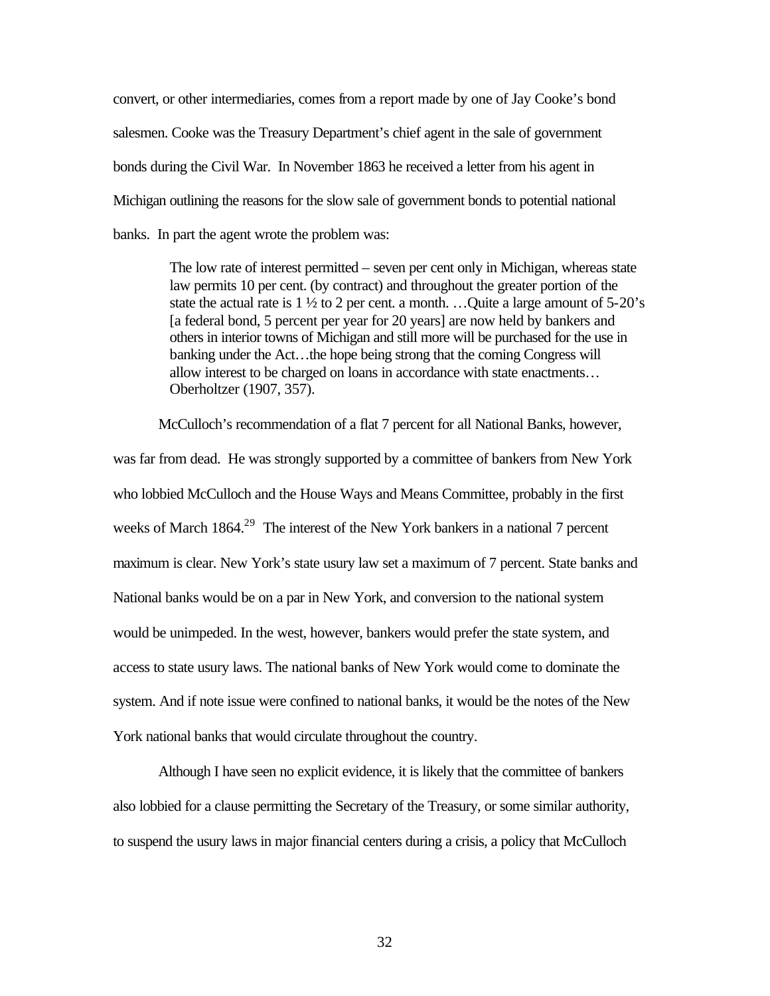convert, or other intermediaries, comes from a report made by one of Jay Cooke's bond salesmen. Cooke was the Treasury Department's chief agent in the sale of government bonds during the Civil War. In November 1863 he received a letter from his agent in Michigan outlining the reasons for the slow sale of government bonds to potential national banks. In part the agent wrote the problem was:

> The low rate of interest permitted – seven per cent only in Michigan, whereas state law permits 10 per cent. (by contract) and throughout the greater portion of the state the actual rate is  $1\frac{1}{2}$  to 2 per cent. a month. ...Quite a large amount of 5-20's [a federal bond, 5 percent per year for 20 years] are now held by bankers and others in interior towns of Michigan and still more will be purchased for the use in banking under the Act…the hope being strong that the coming Congress will allow interest to be charged on loans in accordance with state enactments… Oberholtzer (1907, 357).

McCulloch's recommendation of a flat 7 percent for all National Banks, however, was far from dead. He was strongly supported by a committee of bankers from New York who lobbied McCulloch and the House Ways and Means Committee, probably in the first weeks of March 1864.<sup>29</sup> The interest of the New York bankers in a national 7 percent maximum is clear. New York's state usury law set a maximum of 7 percent. State banks and National banks would be on a par in New York, and conversion to the national system would be unimpeded. In the west, however, bankers would prefer the state system, and access to state usury laws. The national banks of New York would come to dominate the system. And if note issue were confined to national banks, it would be the notes of the New York national banks that would circulate throughout the country.

Although I have seen no explicit evidence, it is likely that the committee of bankers also lobbied for a clause permitting the Secretary of the Treasury, or some similar authority, to suspend the usury laws in major financial centers during a crisis, a policy that McCulloch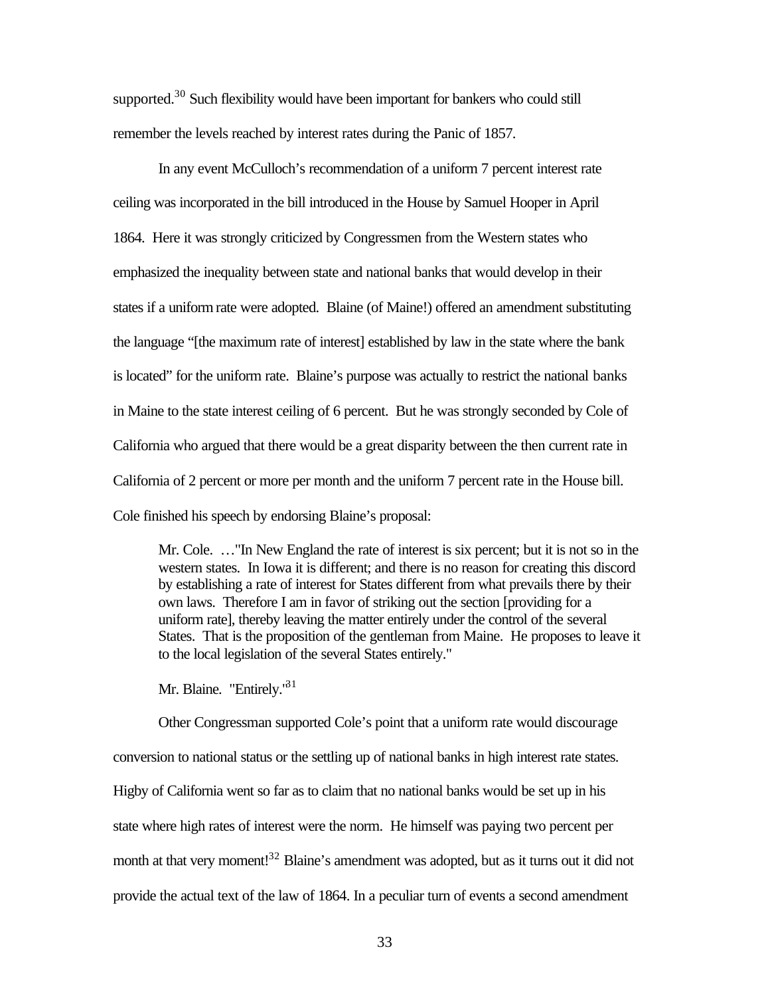supported.<sup>30</sup> Such flexibility would have been important for bankers who could still remember the levels reached by interest rates during the Panic of 1857.

In any event McCulloch's recommendation of a uniform 7 percent interest rate ceiling was incorporated in the bill introduced in the House by Samuel Hooper in April 1864. Here it was strongly criticized by Congressmen from the Western states who emphasized the inequality between state and national banks that would develop in their states if a uniform rate were adopted. Blaine (of Maine!) offered an amendment substituting the language "[the maximum rate of interest] established by law in the state where the bank is located" for the uniform rate. Blaine's purpose was actually to restrict the national banks in Maine to the state interest ceiling of 6 percent. But he was strongly seconded by Cole of California who argued that there would be a great disparity between the then current rate in California of 2 percent or more per month and the uniform 7 percent rate in the House bill. Cole finished his speech by endorsing Blaine's proposal:

Mr. Cole. …"In New England the rate of interest is six percent; but it is not so in the western states. In Iowa it is different; and there is no reason for creating this discord by establishing a rate of interest for States different from what prevails there by their own laws. Therefore I am in favor of striking out the section [providing for a uniform rate], thereby leaving the matter entirely under the control of the several States. That is the proposition of the gentleman from Maine. He proposes to leave it to the local legislation of the several States entirely."

Mr. Blaine. "Entirely."<sup>31</sup>

Other Congressman supported Cole's point that a uniform rate would discourage conversion to national status or the settling up of national banks in high interest rate states. Higby of California went so far as to claim that no national banks would be set up in his state where high rates of interest were the norm. He himself was paying two percent per month at that very moment!<sup>32</sup> Blaine's amendment was adopted, but as it turns out it did not provide the actual text of the law of 1864. In a peculiar turn of events a second amendment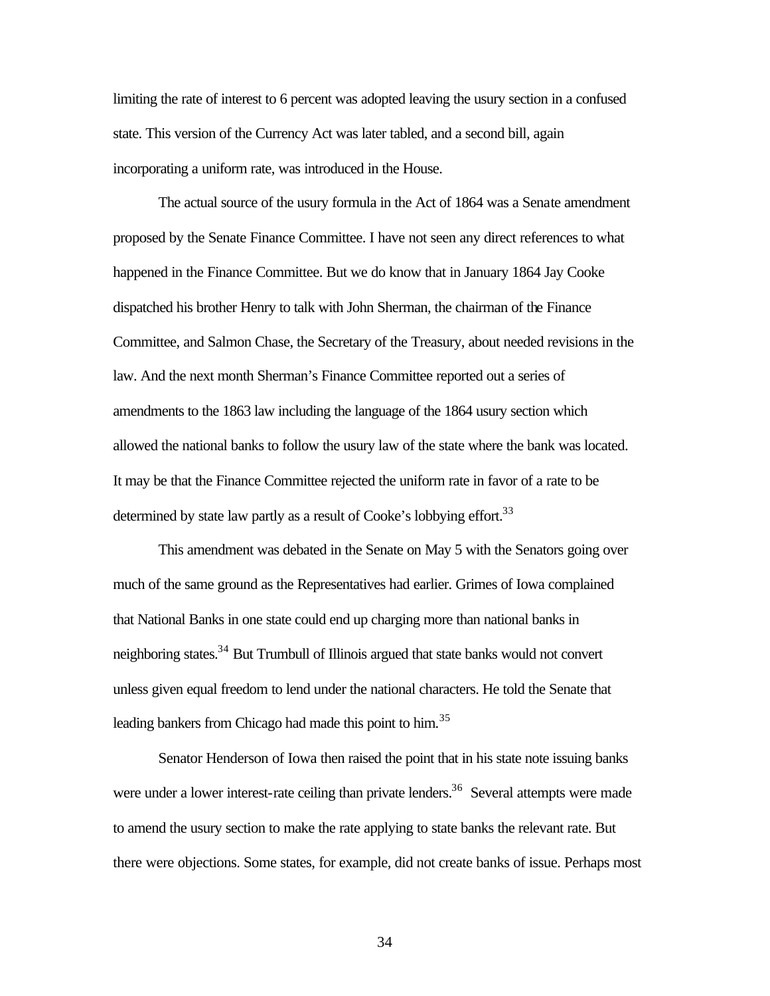limiting the rate of interest to 6 percent was adopted leaving the usury section in a confused state. This version of the Currency Act was later tabled, and a second bill, again incorporating a uniform rate, was introduced in the House.

The actual source of the usury formula in the Act of 1864 was a Senate amendment proposed by the Senate Finance Committee. I have not seen any direct references to what happened in the Finance Committee. But we do know that in January 1864 Jay Cooke dispatched his brother Henry to talk with John Sherman, the chairman of the Finance Committee, and Salmon Chase, the Secretary of the Treasury, about needed revisions in the law. And the next month Sherman's Finance Committee reported out a series of amendments to the 1863 law including the language of the 1864 usury section which allowed the national banks to follow the usury law of the state where the bank was located. It may be that the Finance Committee rejected the uniform rate in favor of a rate to be determined by state law partly as a result of Cooke's lobbying effort.<sup>33</sup>

This amendment was debated in the Senate on May 5 with the Senators going over much of the same ground as the Representatives had earlier. Grimes of Iowa complained that National Banks in one state could end up charging more than national banks in neighboring states.<sup>34</sup> But Trumbull of Illinois argued that state banks would not convert unless given equal freedom to lend under the national characters. He told the Senate that leading bankers from Chicago had made this point to him.<sup>35</sup>

Senator Henderson of Iowa then raised the point that in his state note issuing banks were under a lower interest-rate ceiling than private lenders.<sup>36</sup> Several attempts were made to amend the usury section to make the rate applying to state banks the relevant rate. But there were objections. Some states, for example, did not create banks of issue. Perhaps most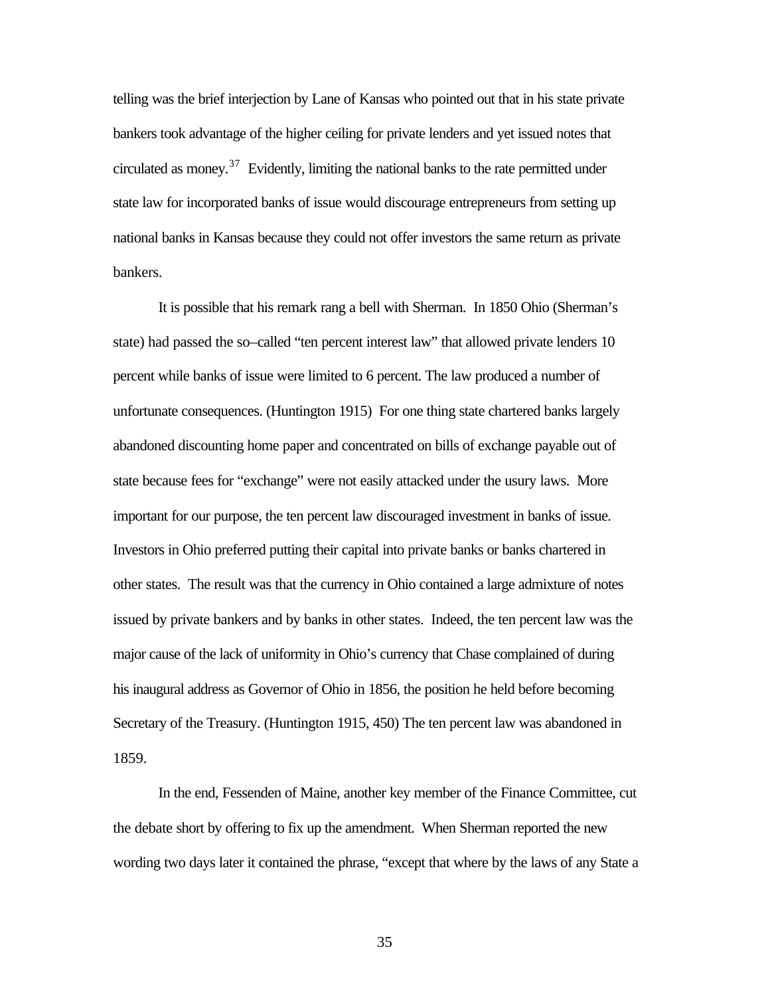telling was the brief interjection by Lane of Kansas who pointed out that in his state private bankers took advantage of the higher ceiling for private lenders and yet issued notes that circulated as money.<sup>37</sup> Evidently, limiting the national banks to the rate permitted under state law for incorporated banks of issue would discourage entrepreneurs from setting up national banks in Kansas because they could not offer investors the same return as private bankers.

It is possible that his remark rang a bell with Sherman. In 1850 Ohio (Sherman's state) had passed the so–called "ten percent interest law" that allowed private lenders 10 percent while banks of issue were limited to 6 percent. The law produced a number of unfortunate consequences. (Huntington 1915) For one thing state chartered banks largely abandoned discounting home paper and concentrated on bills of exchange payable out of state because fees for "exchange" were not easily attacked under the usury laws. More important for our purpose, the ten percent law discouraged investment in banks of issue. Investors in Ohio preferred putting their capital into private banks or banks chartered in other states. The result was that the currency in Ohio contained a large admixture of notes issued by private bankers and by banks in other states. Indeed, the ten percent law was the major cause of the lack of uniformity in Ohio's currency that Chase complained of during his inaugural address as Governor of Ohio in 1856, the position he held before becoming Secretary of the Treasury. (Huntington 1915, 450) The ten percent law was abandoned in 1859.

In the end, Fessenden of Maine, another key member of the Finance Committee, cut the debate short by offering to fix up the amendment. When Sherman reported the new wording two days later it contained the phrase, "except that where by the laws of any State a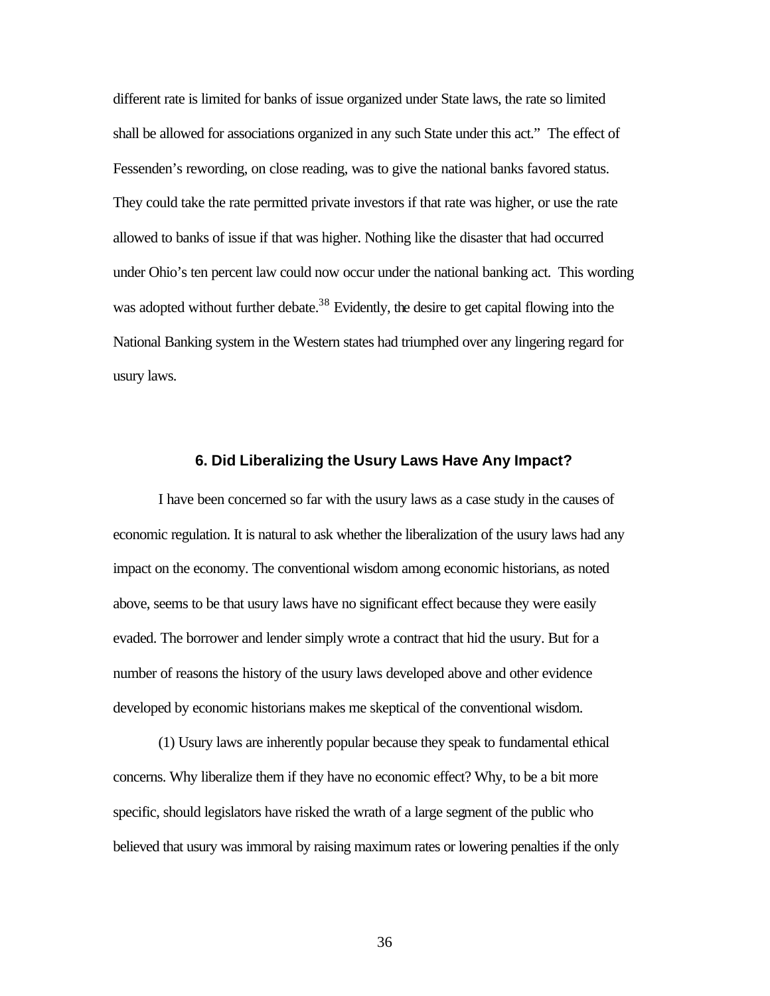different rate is limited for banks of issue organized under State laws, the rate so limited shall be allowed for associations organized in any such State under this act." The effect of Fessenden's rewording, on close reading, was to give the national banks favored status. They could take the rate permitted private investors if that rate was higher, or use the rate allowed to banks of issue if that was higher. Nothing like the disaster that had occurred under Ohio's ten percent law could now occur under the national banking act. This wording was adopted without further debate.<sup>38</sup> Evidently, the desire to get capital flowing into the National Banking system in the Western states had triumphed over any lingering regard for usury laws.

#### **6. Did Liberalizing the Usury Laws Have Any Impact?**

I have been concerned so far with the usury laws as a case study in the causes of economic regulation. It is natural to ask whether the liberalization of the usury laws had any impact on the economy. The conventional wisdom among economic historians, as noted above, seems to be that usury laws have no significant effect because they were easily evaded. The borrower and lender simply wrote a contract that hid the usury. But for a number of reasons the history of the usury laws developed above and other evidence developed by economic historians makes me skeptical of the conventional wisdom.

(1) Usury laws are inherently popular because they speak to fundamental ethical concerns. Why liberalize them if they have no economic effect? Why, to be a bit more specific, should legislators have risked the wrath of a large segment of the public who believed that usury was immoral by raising maximum rates or lowering penalties if the only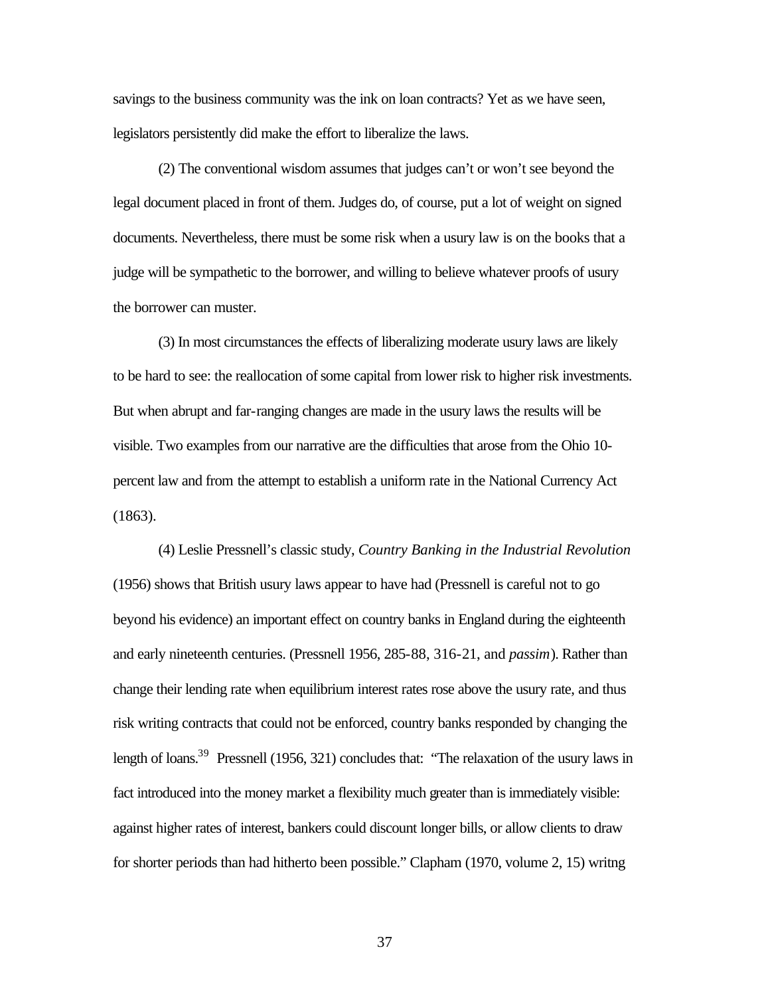savings to the business community was the ink on loan contracts? Yet as we have seen, legislators persistently did make the effort to liberalize the laws.

(2) The conventional wisdom assumes that judges can't or won't see beyond the legal document placed in front of them. Judges do, of course, put a lot of weight on signed documents. Nevertheless, there must be some risk when a usury law is on the books that a judge will be sympathetic to the borrower, and willing to believe whatever proofs of usury the borrower can muster.

(3) In most circumstances the effects of liberalizing moderate usury laws are likely to be hard to see: the reallocation of some capital from lower risk to higher risk investments. But when abrupt and far-ranging changes are made in the usury laws the results will be visible. Two examples from our narrative are the difficulties that arose from the Ohio 10 percent law and from the attempt to establish a uniform rate in the National Currency Act (1863).

(4) Leslie Pressnell's classic study, *Country Banking in the Industrial Revolution*  (1956) shows that British usury laws appear to have had (Pressnell is careful not to go beyond his evidence) an important effect on country banks in England during the eighteenth and early nineteenth centuries. (Pressnell 1956, 285-88, 316-21, and *passim*). Rather than change their lending rate when equilibrium interest rates rose above the usury rate, and thus risk writing contracts that could not be enforced, country banks responded by changing the length of loans.<sup>39</sup> Pressnell (1956, 321) concludes that: "The relaxation of the usury laws in fact introduced into the money market a flexibility much greater than is immediately visible: against higher rates of interest, bankers could discount longer bills, or allow clients to draw for shorter periods than had hitherto been possible." Clapham (1970, volume 2, 15) writng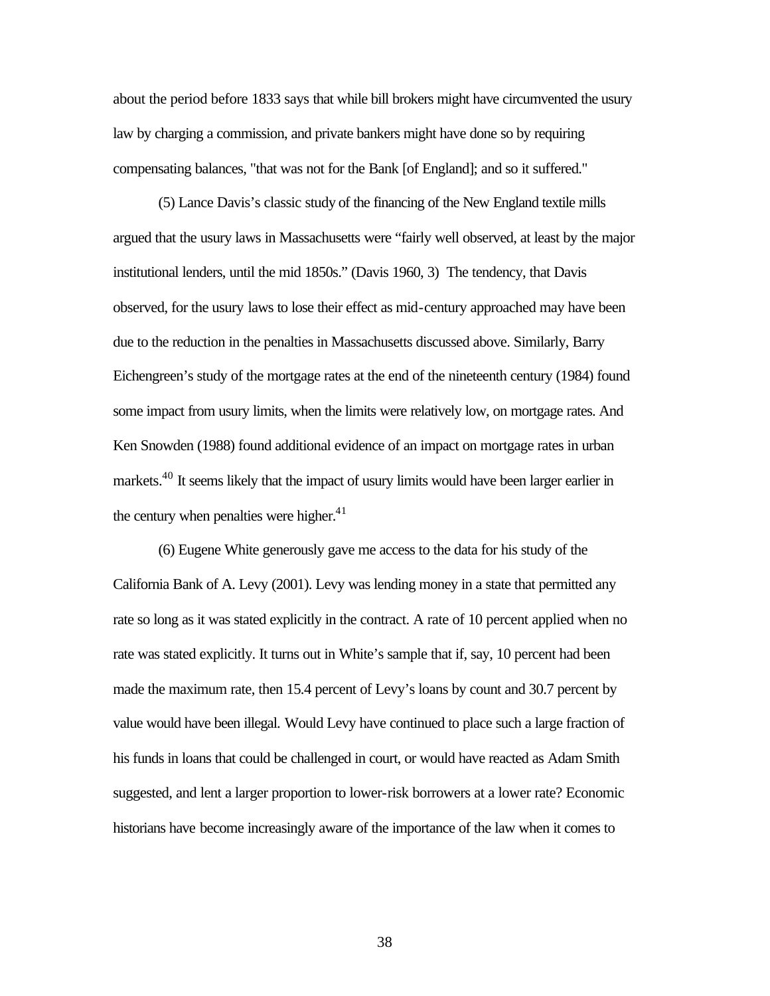about the period before 1833 says that while bill brokers might have circumvented the usury law by charging a commission, and private bankers might have done so by requiring compensating balances, "that was not for the Bank [of England]; and so it suffered."

(5) Lance Davis's classic study of the financing of the New England textile mills argued that the usury laws in Massachusetts were "fairly well observed, at least by the major institutional lenders, until the mid 1850s." (Davis 1960, 3) The tendency, that Davis observed, for the usury laws to lose their effect as mid-century approached may have been due to the reduction in the penalties in Massachusetts discussed above. Similarly, Barry Eichengreen's study of the mortgage rates at the end of the nineteenth century (1984) found some impact from usury limits, when the limits were relatively low, on mortgage rates. And Ken Snowden (1988) found additional evidence of an impact on mortgage rates in urban markets.<sup>40</sup> It seems likely that the impact of usury limits would have been larger earlier in the century when penalties were higher. $41$ 

(6) Eugene White generously gave me access to the data for his study of the California Bank of A. Levy (2001). Levy was lending money in a state that permitted any rate so long as it was stated explicitly in the contract. A rate of 10 percent applied when no rate was stated explicitly. It turns out in White's sample that if, say, 10 percent had been made the maximum rate, then 15.4 percent of Levy's loans by count and 30.7 percent by value would have been illegal. Would Levy have continued to place such a large fraction of his funds in loans that could be challenged in court, or would have reacted as Adam Smith suggested, and lent a larger proportion to lower-risk borrowers at a lower rate? Economic historians have become increasingly aware of the importance of the law when it comes to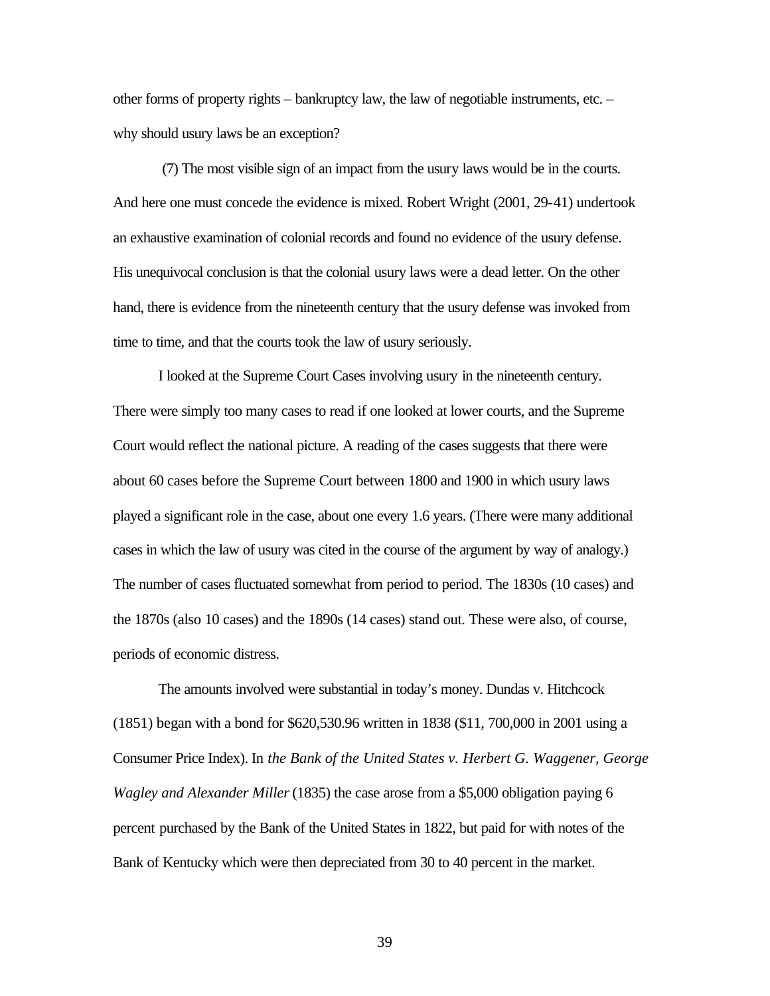other forms of property rights – bankruptcy law, the law of negotiable instruments, etc. – why should usury laws be an exception?

 (7) The most visible sign of an impact from the usury laws would be in the courts. And here one must concede the evidence is mixed. Robert Wright (2001, 29-41) undertook an exhaustive examination of colonial records and found no evidence of the usury defense. His unequivocal conclusion is that the colonial usury laws were a dead letter. On the other hand, there is evidence from the nineteenth century that the usury defense was invoked from time to time, and that the courts took the law of usury seriously.

I looked at the Supreme Court Cases involving usury in the nineteenth century. There were simply too many cases to read if one looked at lower courts, and the Supreme Court would reflect the national picture. A reading of the cases suggests that there were about 60 cases before the Supreme Court between 1800 and 1900 in which usury laws played a significant role in the case, about one every 1.6 years. (There were many additional cases in which the law of usury was cited in the course of the argument by way of analogy.) The number of cases fluctuated somewhat from period to period. The 1830s (10 cases) and the 1870s (also 10 cases) and the 1890s (14 cases) stand out. These were also, of course, periods of economic distress.

The amounts involved were substantial in today's money. Dundas v. Hitchcock (1851) began with a bond for \$620,530.96 written in 1838 (\$11, 700,000 in 2001 using a Consumer Price Index). In *the Bank of the United States v. Herbert G. Waggener, George Wagley and Alexander Miller*(1835) the case arose from a \$5,000 obligation paying 6 percent purchased by the Bank of the United States in 1822, but paid for with notes of the Bank of Kentucky which were then depreciated from 30 to 40 percent in the market.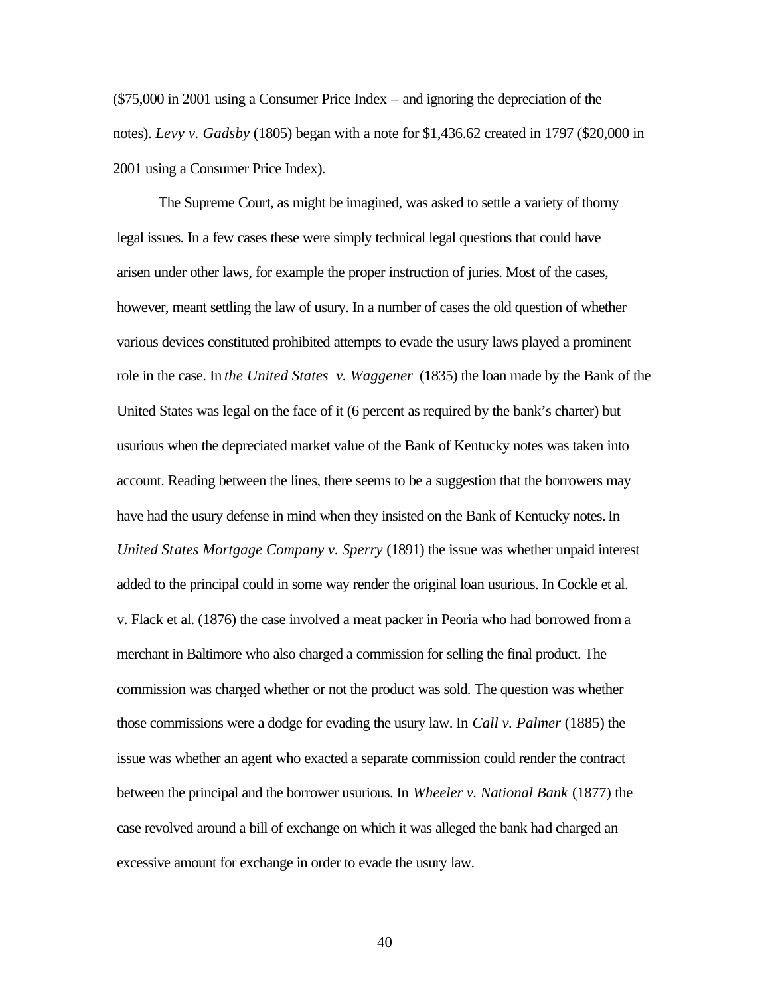(\$75,000 in 2001 using a Consumer Price Index – and ignoring the depreciation of the notes). *Levy v. Gadsby* (1805) began with a note for \$1,436.62 created in 1797 (\$20,000 in 2001 using a Consumer Price Index).

The Supreme Court, as might be imagined, was asked to settle a variety of thorny legal issues. In a few cases these were simply technical legal questions that could have arisen under other laws, for example the proper instruction of juries. Most of the cases, however, meant settling the law of usury. In a number of cases the old question of whether various devices constituted prohibited attempts to evade the usury laws played a prominent role in the case. In *the United States v. Waggener* (1835) the loan made by the Bank of the United States was legal on the face of it (6 percent as required by the bank's charter) but usurious when the depreciated market value of the Bank of Kentucky notes was taken into account. Reading between the lines, there seems to be a suggestion that the borrowers may have had the usury defense in mind when they insisted on the Bank of Kentucky notes.In *United States Mortgage Company v. Sperry* (1891) the issue was whether unpaid interest added to the principal could in some way render the original loan usurious. In Cockle et al. v. Flack et al. (1876) the case involved a meat packer in Peoria who had borrowed from a merchant in Baltimore who also charged a commission for selling the final product. The commission was charged whether or not the product was sold. The question was whether those commissions were a dodge for evading the usury law. In *Call v. Palmer* (1885) the issue was whether an agent who exacted a separate commission could render the contract between the principal and the borrower usurious. In *Wheeler v. National Bank* (1877) the case revolved around a bill of exchange on which it was alleged the bank had charged an excessive amount for exchange in order to evade the usury law.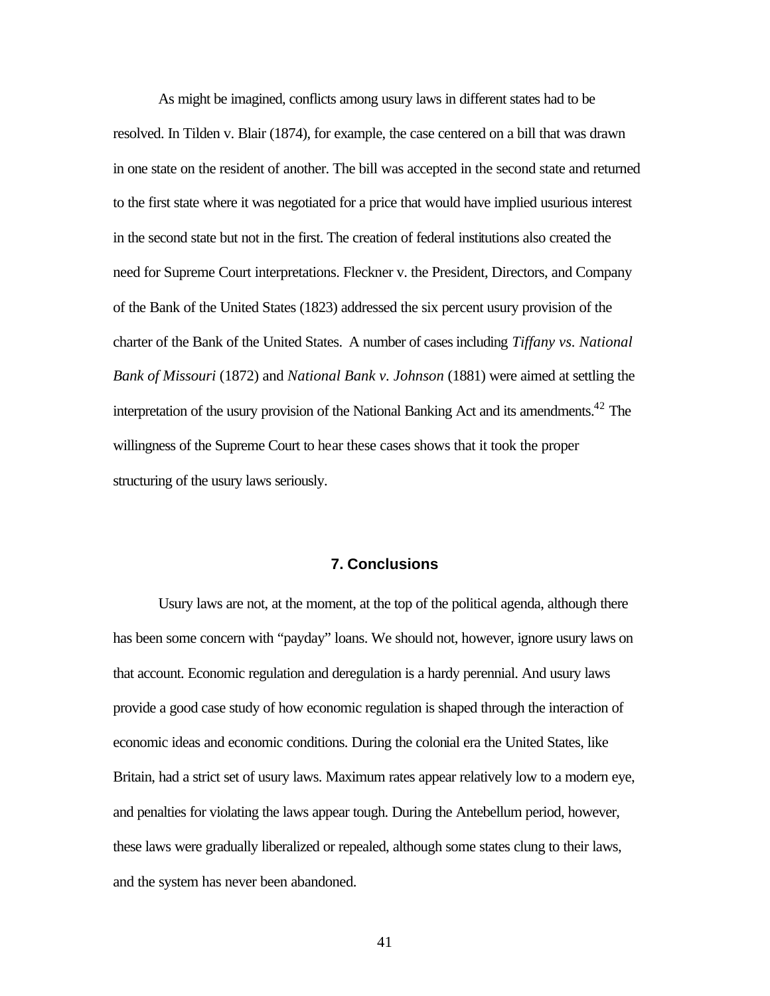As might be imagined, conflicts among usury laws in different states had to be resolved. In Tilden v. Blair (1874), for example, the case centered on a bill that was drawn in one state on the resident of another. The bill was accepted in the second state and returned to the first state where it was negotiated for a price that would have implied usurious interest in the second state but not in the first. The creation of federal institutions also created the need for Supreme Court interpretations. Fleckner v. the President, Directors, and Company of the Bank of the United States (1823) addressed the six percent usury provision of the charter of the Bank of the United States. A number of cases including *Tiffany vs. National Bank of Missouri* (1872) and *National Bank v. Johnson* (1881) were aimed at settling the interpretation of the usury provision of the National Banking Act and its amendments.<sup>42</sup> The willingness of the Supreme Court to hear these cases shows that it took the proper structuring of the usury laws seriously.

## **7. Conclusions**

Usury laws are not, at the moment, at the top of the political agenda, although there has been some concern with "payday" loans. We should not, however, ignore usury laws on that account. Economic regulation and deregulation is a hardy perennial. And usury laws provide a good case study of how economic regulation is shaped through the interaction of economic ideas and economic conditions. During the colonial era the United States, like Britain, had a strict set of usury laws. Maximum rates appear relatively low to a modern eye, and penalties for violating the laws appear tough. During the Antebellum period, however, these laws were gradually liberalized or repealed, although some states clung to their laws, and the system has never been abandoned.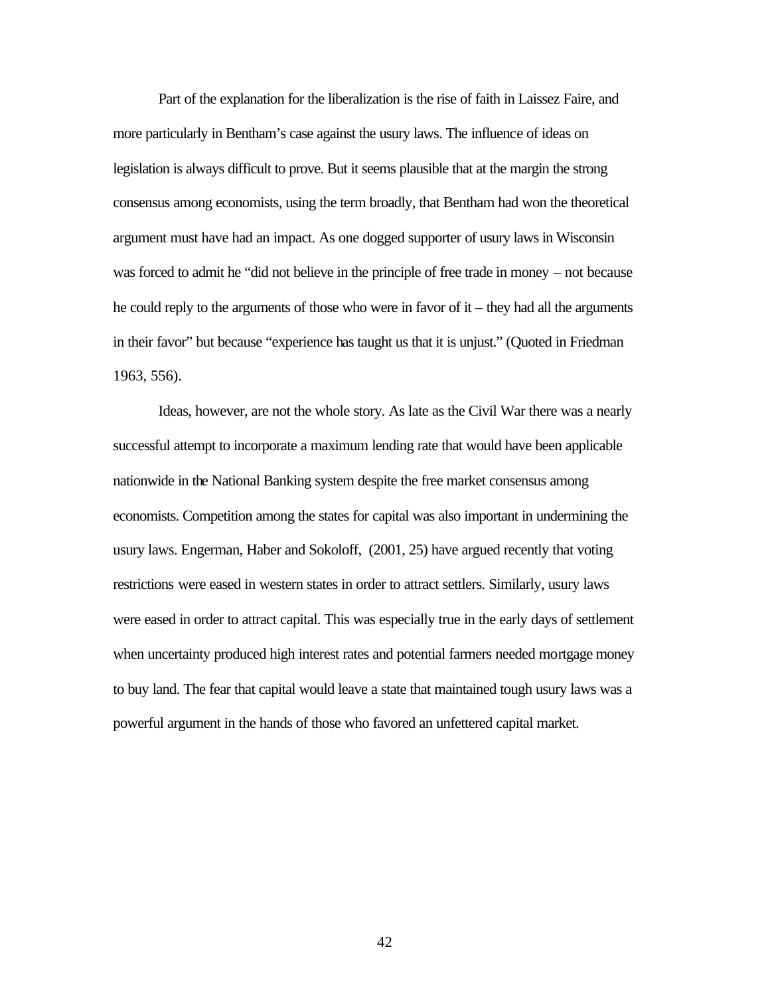Part of the explanation for the liberalization is the rise of faith in Laissez Faire, and more particularly in Bentham's case against the usury laws. The influence of ideas on legislation is always difficult to prove. But it seems plausible that at the margin the strong consensus among economists, using the term broadly, that Bentham had won the theoretical argument must have had an impact. As one dogged supporter of usury laws in Wisconsin was forced to admit he "did not believe in the principle of free trade in money – not because he could reply to the arguments of those who were in favor of it – they had all the arguments in their favor" but because "experience has taught us that it is unjust." (Quoted in Friedman 1963, 556).

Ideas, however, are not the whole story. As late as the Civil War there was a nearly successful attempt to incorporate a maximum lending rate that would have been applicable nationwide in the National Banking system despite the free market consensus among economists. Competition among the states for capital was also important in undermining the usury laws. Engerman, Haber and Sokoloff, (2001, 25) have argued recently that voting restrictions were eased in western states in order to attract settlers. Similarly, usury laws were eased in order to attract capital. This was especially true in the early days of settlement when uncertainty produced high interest rates and potential farmers needed mortgage money to buy land. The fear that capital would leave a state that maintained tough usury laws was a powerful argument in the hands of those who favored an unfettered capital market.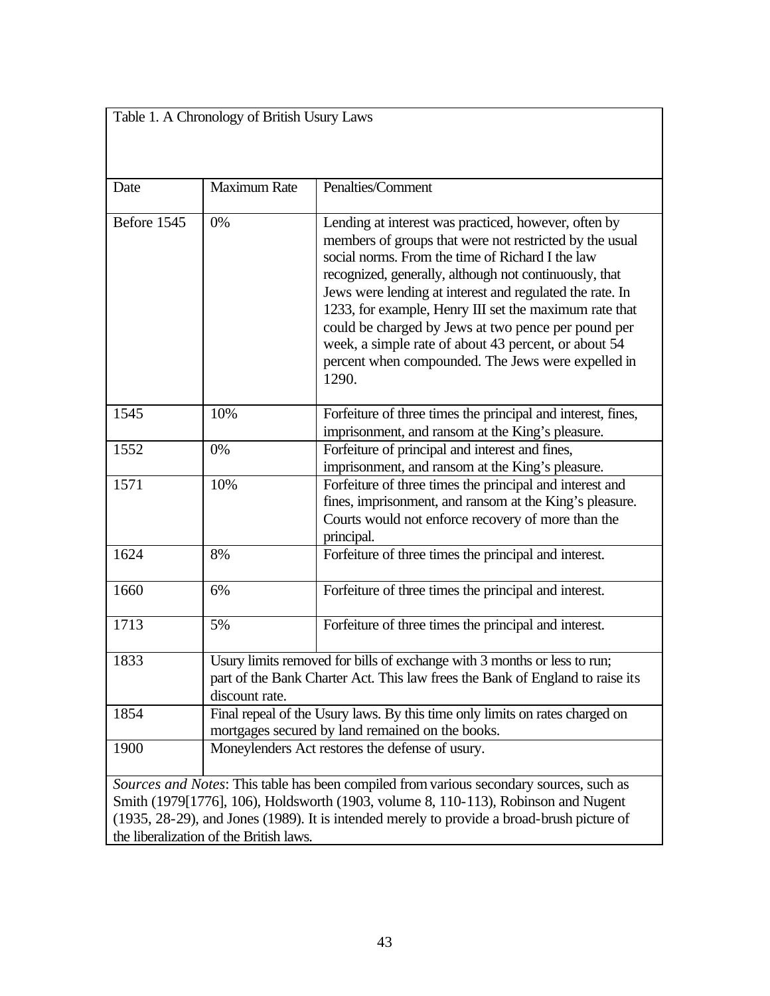# Table 1. A Chronology of British Usury Laws

| Date        | <b>Maximum Rate</b>                                                                                                                                                         | Penalties/Comment                                                                                                                                                                                                                                                                                                                                                                                                                                                                                                                 |
|-------------|-----------------------------------------------------------------------------------------------------------------------------------------------------------------------------|-----------------------------------------------------------------------------------------------------------------------------------------------------------------------------------------------------------------------------------------------------------------------------------------------------------------------------------------------------------------------------------------------------------------------------------------------------------------------------------------------------------------------------------|
| Before 1545 | 0%                                                                                                                                                                          | Lending at interest was practiced, however, often by<br>members of groups that were not restricted by the usual<br>social norms. From the time of Richard I the law<br>recognized, generally, although not continuously, that<br>Jews were lending at interest and regulated the rate. In<br>1233, for example, Henry III set the maximum rate that<br>could be charged by Jews at two pence per pound per<br>week, a simple rate of about 43 percent, or about 54<br>percent when compounded. The Jews were expelled in<br>1290. |
| 1545        | 10%                                                                                                                                                                         | Forfeiture of three times the principal and interest, fines,<br>imprisonment, and ransom at the King's pleasure.                                                                                                                                                                                                                                                                                                                                                                                                                  |
| 1552        | 0%                                                                                                                                                                          | Forfeiture of principal and interest and fines,<br>imprisonment, and ransom at the King's pleasure.                                                                                                                                                                                                                                                                                                                                                                                                                               |
| 1571        | 10%                                                                                                                                                                         | Forfeiture of three times the principal and interest and<br>fines, imprisonment, and ransom at the King's pleasure.<br>Courts would not enforce recovery of more than the<br>principal.                                                                                                                                                                                                                                                                                                                                           |
| 1624        | 8%                                                                                                                                                                          | Forfeiture of three times the principal and interest.                                                                                                                                                                                                                                                                                                                                                                                                                                                                             |
| 1660        | 6%                                                                                                                                                                          | Forfeiture of three times the principal and interest.                                                                                                                                                                                                                                                                                                                                                                                                                                                                             |
| 1713        | 5%                                                                                                                                                                          | Forfeiture of three times the principal and interest.                                                                                                                                                                                                                                                                                                                                                                                                                                                                             |
| 1833        | Usury limits removed for bills of exchange with 3 months or less to run;<br>part of the Bank Charter Act. This law frees the Bank of England to raise its<br>discount rate. |                                                                                                                                                                                                                                                                                                                                                                                                                                                                                                                                   |
| 1854        | Final repeal of the Usury laws. By this time only limits on rates charged on<br>mortgages secured by land remained on the books.                                            |                                                                                                                                                                                                                                                                                                                                                                                                                                                                                                                                   |
| 1900        | Moneylenders Act restores the defense of usury.                                                                                                                             |                                                                                                                                                                                                                                                                                                                                                                                                                                                                                                                                   |
|             | the liberalization of the British laws.                                                                                                                                     | Sources and Notes: This table has been compiled from various secondary sources, such as<br>Smith (1979[1776], 106), Holdsworth (1903, volume 8, 110-113), Robinson and Nugent<br>(1935, 28-29), and Jones (1989). It is intended merely to provide a broad-brush picture of                                                                                                                                                                                                                                                       |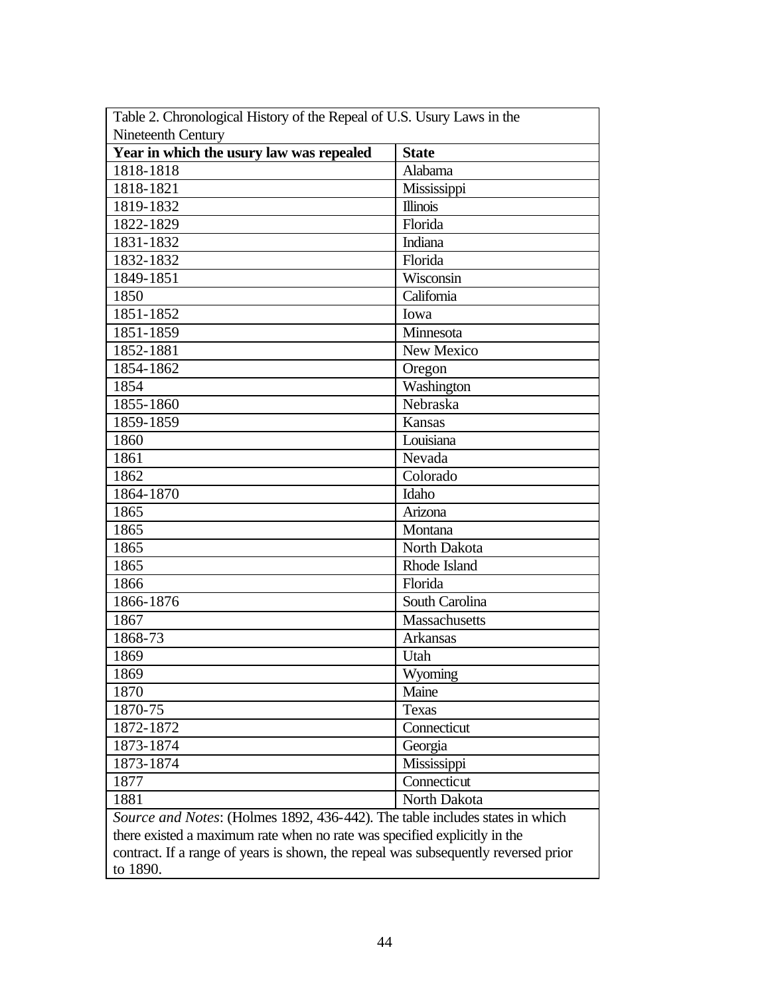| Table 2. Chronological History of the Repeal of U.S. Usury Laws in the             |                      |  |  |
|------------------------------------------------------------------------------------|----------------------|--|--|
| Nineteenth Century                                                                 |                      |  |  |
| Year in which the usury law was repealed                                           | <b>State</b>         |  |  |
| 1818-1818                                                                          | Alabama              |  |  |
| 1818-1821                                                                          | Mississippi          |  |  |
| 1819-1832                                                                          | <b>Illinois</b>      |  |  |
| 1822-1829                                                                          | Florida              |  |  |
| 1831-1832                                                                          | Indiana              |  |  |
| 1832-1832                                                                          | Florida              |  |  |
| 1849-1851                                                                          | Wisconsin            |  |  |
| 1850                                                                               | California           |  |  |
| 1851-1852                                                                          | Iowa                 |  |  |
| 1851-1859                                                                          | Minnesota            |  |  |
| 1852-1881                                                                          | New Mexico           |  |  |
| 1854-1862                                                                          | Oregon               |  |  |
| 1854                                                                               | Washington           |  |  |
| 1855-1860                                                                          | Nebraska             |  |  |
| 1859-1859                                                                          | Kansas               |  |  |
| 1860                                                                               | Louisiana            |  |  |
| 1861                                                                               | Nevada               |  |  |
| 1862                                                                               | Colorado             |  |  |
| 1864-1870                                                                          | Idaho                |  |  |
| 1865                                                                               | Arizona              |  |  |
| 1865                                                                               | Montana              |  |  |
| 1865                                                                               | North Dakota         |  |  |
| 1865                                                                               | Rhode Island         |  |  |
| 1866                                                                               | Florida              |  |  |
| 1866-1876                                                                          | South Carolina       |  |  |
| 1867                                                                               | <b>Massachusetts</b> |  |  |
| 1868-73                                                                            | <b>Arkansas</b>      |  |  |
| 1869                                                                               | Utah                 |  |  |
| 1869                                                                               | Wyoming              |  |  |
| 1870                                                                               | Maine                |  |  |
| 1870-75                                                                            | <b>Texas</b>         |  |  |
| 1872-1872                                                                          | Connecticut          |  |  |
| 1873-1874                                                                          | Georgia              |  |  |
| 1873-1874                                                                          | Mississippi          |  |  |
| 1877                                                                               | Connecticut          |  |  |
| 1881                                                                               | North Dakota         |  |  |
| Source and Notes: (Holmes 1892, 436-442). The table includes states in which       |                      |  |  |
| there existed a maximum rate when no rate was specified explicitly in the          |                      |  |  |
| contract. If a range of years is shown, the repeal was subsequently reversed prior |                      |  |  |
| to 1890.                                                                           |                      |  |  |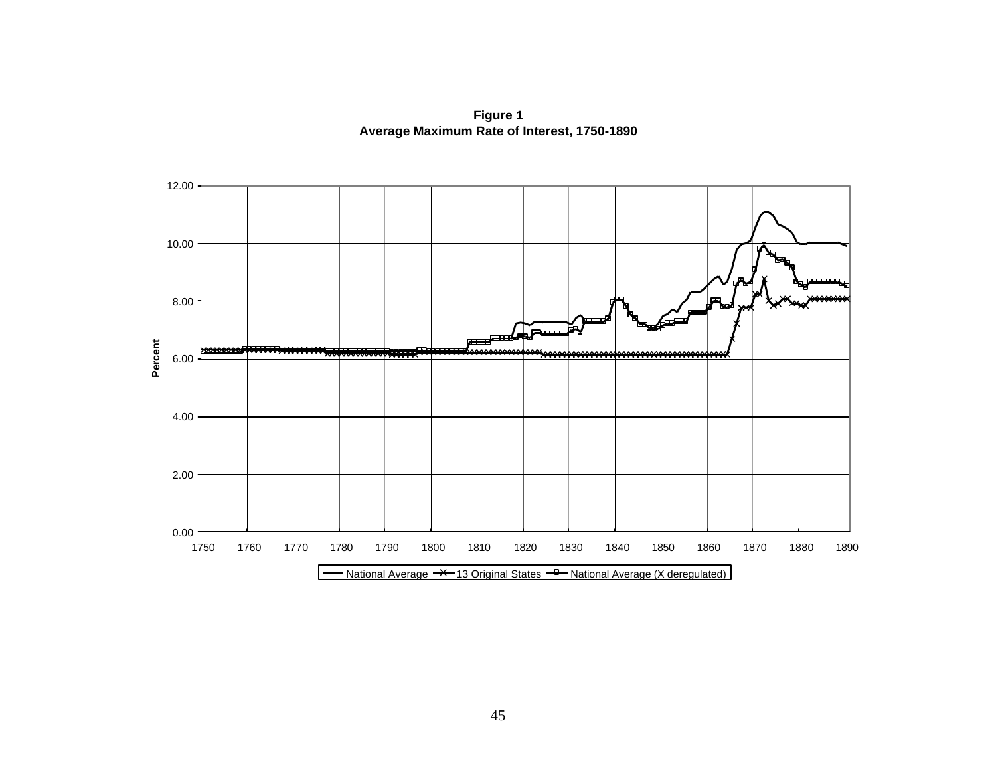**Figure 1 Average Maximum Rate of Interest, 1750-1890**

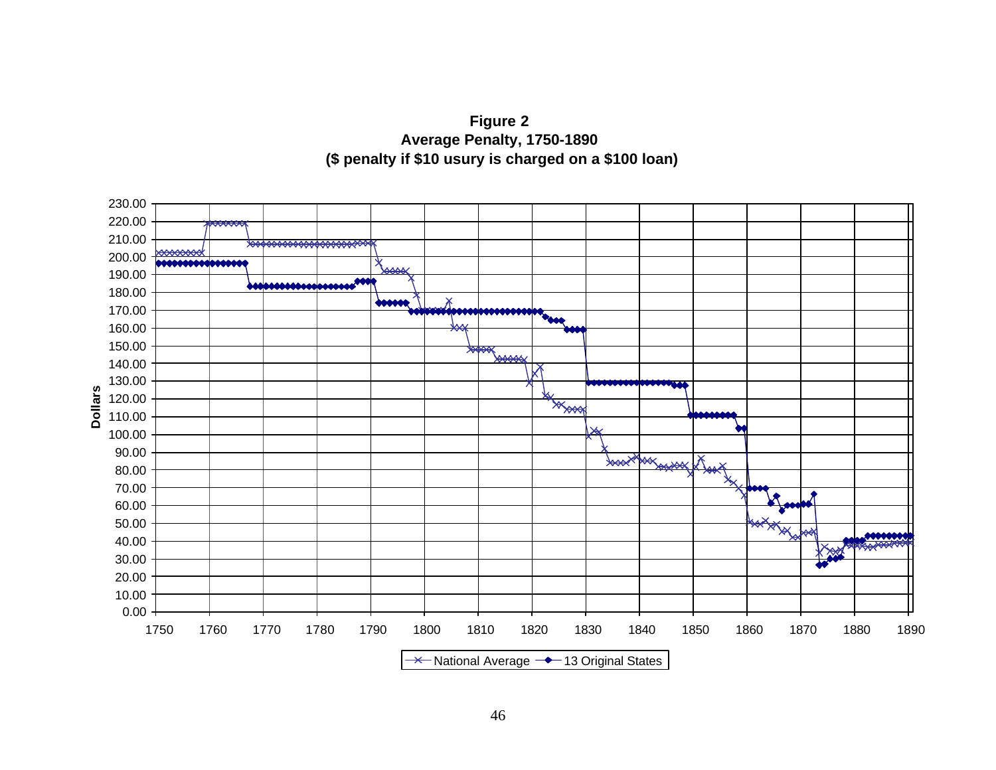

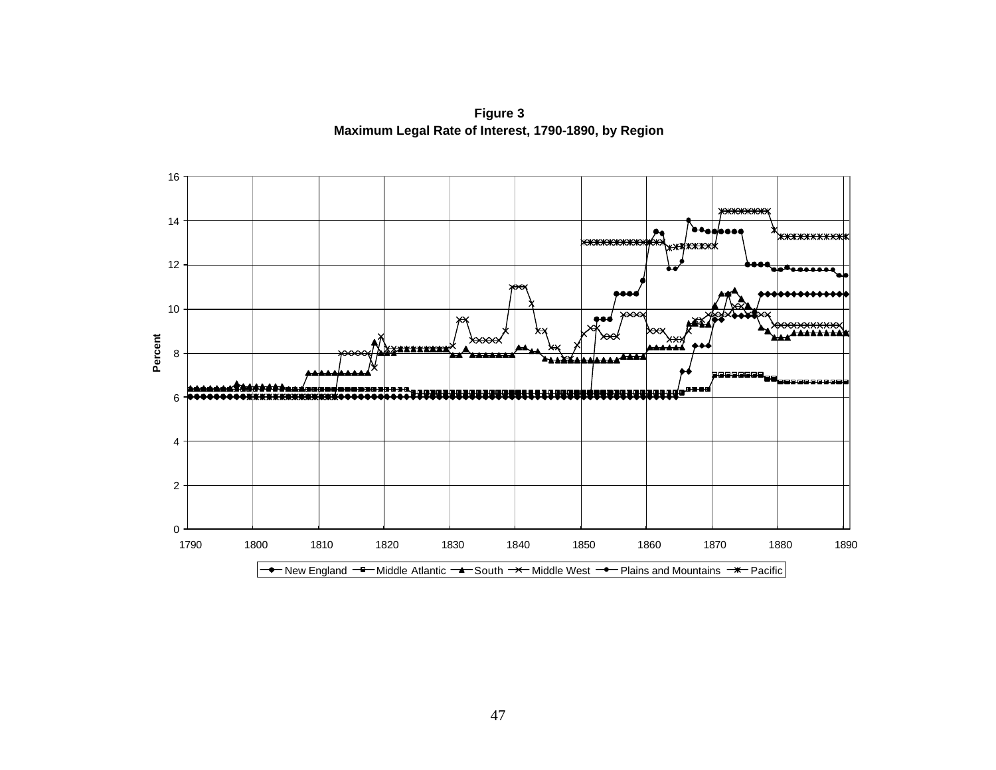**Figure 3 Maximum Legal Rate of Interest, 1790-1890, by Region**

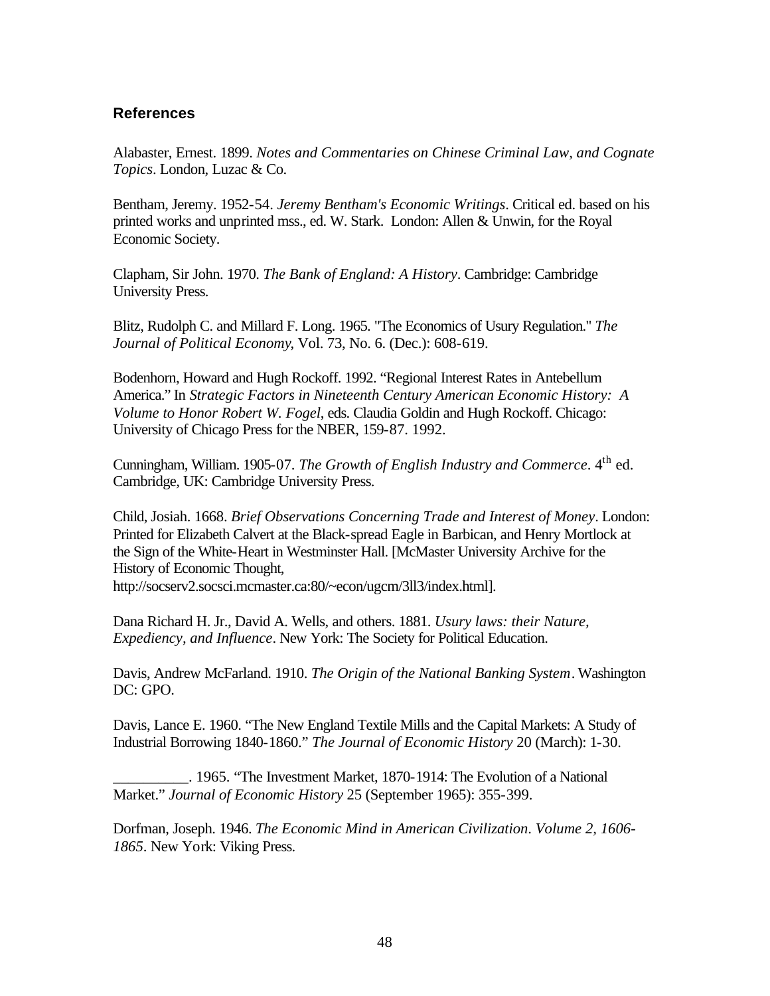# **References**

Alabaster, Ernest. 1899. *Notes and Commentaries on Chinese Criminal Law, and Cognate Topics*. London, Luzac & Co.

Bentham, Jeremy. 1952-54. *Jeremy Bentham's Economic Writings*. Critical ed. based on his printed works and unprinted mss., ed. W. Stark. London: Allen & Unwin, for the Royal Economic Society.

Clapham, Sir John. 1970. *The Bank of England: A History*. Cambridge: Cambridge University Press.

Blitz, Rudolph C. and Millard F. Long. 1965. "The Economics of Usury Regulation." *The Journal of Political Economy*, Vol. 73, No. 6. (Dec.): 608-619.

Bodenhorn, Howard and Hugh Rockoff. 1992. "Regional Interest Rates in Antebellum America." In *Strategic Factors in Nineteenth Century American Economic History: A Volume to Honor Robert W. Fogel*, eds. Claudia Goldin and Hugh Rockoff. Chicago: University of Chicago Press for the NBER, 159-87. 1992.

Cunningham, William. 1905-07. *The Growth of English Industry and Commerce*. 4th ed. Cambridge, UK: Cambridge University Press.

Child, Josiah. 1668. *Brief Observations Concerning Trade and Interest of Money*. London: Printed for Elizabeth Calvert at the Black-spread Eagle in Barbican, and Henry Mortlock at the Sign of the White-Heart in Westminster Hall. [McMaster University Archive for the History of Economic Thought, http://socserv2.socsci.mcmaster.ca:80/~econ/ugcm/3ll3/index.html].

Dana Richard H. Jr., David A. Wells, and others. 1881. *Usury laws: their Nature, Expediency, and Influence*. New York: The Society for Political Education.

Davis, Andrew McFarland. 1910. *The Origin of the National Banking System*. Washington DC: GPO.

Davis, Lance E. 1960. "The New England Textile Mills and the Capital Markets: A Study of Industrial Borrowing 1840-1860." *The Journal of Economic History* 20 (March): 1-30.

\_\_\_\_\_\_\_\_\_\_. 1965. "The Investment Market, 1870-1914: The Evolution of a National Market." *Journal of Economic History* 25 (September 1965): 355-399.

Dorfman, Joseph. 1946. *The Economic Mind in American Civilization*. *Volume 2, 1606- 1865*. New York: Viking Press.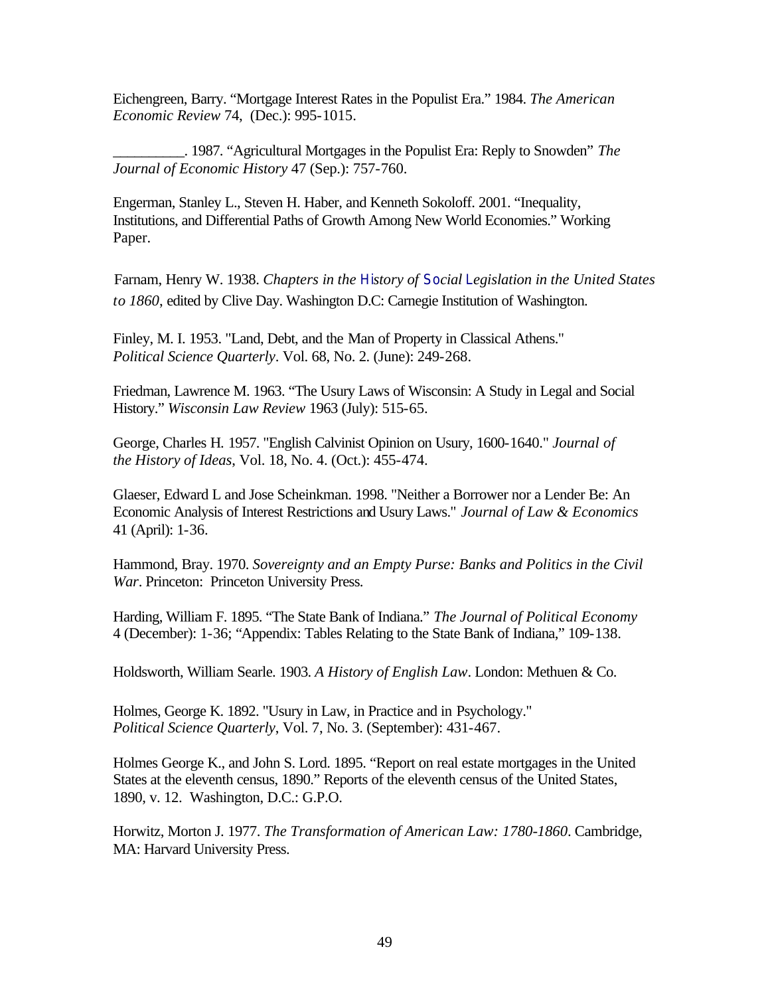Eichengreen, Barry. "Mortgage Interest Rates in the Populist Era." 1984. *The American Economic Review* 74, (Dec.): 995-1015.

\_\_\_\_\_\_\_\_\_\_. 1987. "Agricultural Mortgages in the Populist Era: Reply to Snowden" *The Journal of Economic History* 47 (Sep.): 757-760.

Engerman, Stanley L., Steven H. Haber, and Kenneth Sokoloff. 2001. "Inequality, Institutions, and Differential Paths of Growth Among New World Economies." Working Paper.

Farnam, Henry W. 1938. *Chapters in the History of Social Legislation in the United States to 1860*, edited by Clive Day. Washington D.C: Carnegie Institution of Washington.

Finley, M. I. 1953. "Land, Debt, and the Man of Property in Classical Athens." *Political Science Quarterly*. Vol. 68, No. 2. (June): 249-268.

Friedman, Lawrence M. 1963. "The Usury Laws of Wisconsin: A Study in Legal and Social History." *Wisconsin Law Review* 1963 (July): 515-65.

George, Charles H. 1957. "English Calvinist Opinion on Usury, 1600-1640." *Journal of the History of Ideas*, Vol. 18, No. 4. (Oct.): 455-474.

Glaeser, Edward L and Jose Scheinkman. 1998. "Neither a Borrower nor a Lender Be: An Economic Analysis of Interest Restrictions and Usury Laws." *Journal of Law & Economics* 41 (April): 1-36.

Hammond, Bray. 1970. *Sovereignty and an Empty Purse: Banks and Politics in the Civil War*. Princeton: Princeton University Press.

Harding, William F. 1895. "The State Bank of Indiana." *The Journal of Political Economy*  4 (December): 1-36; "Appendix: Tables Relating to the State Bank of Indiana," 109-138.

Holdsworth, William Searle. 1903. *A History of English Law*. London: Methuen & Co.

Holmes, George K. 1892. "Usury in Law, in Practice and in Psychology." *Political Science Quarterly*, Vol. 7, No. 3. (September): 431-467.

Holmes George K., and John S. Lord. 1895. "Report on real estate mortgages in the United States at the eleventh census, 1890." Reports of the eleventh census of the United States, 1890, v. 12. Washington, D.C.: G.P.O.

Horwitz, Morton J. 1977. *The Transformation of American Law: 1780-1860*. Cambridge, MA: Harvard University Press.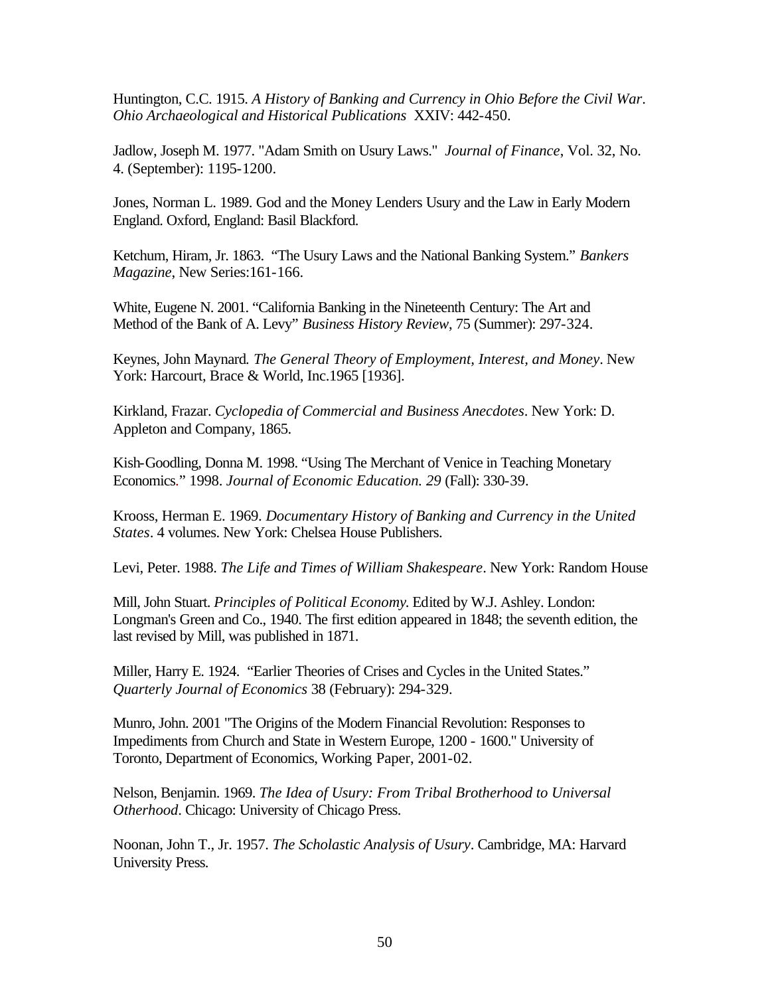Huntington, C.C. 1915. *A History of Banking and Currency in Ohio Before the Civil War*. *Ohio Archaeological and Historical Publications* XXIV: 442-450.

Jadlow, Joseph M. 1977. "Adam Smith on Usury Laws." *Journal of Finance*, Vol. 32, No. 4. (September): 1195-1200.

Jones, Norman L. 1989. God and the Money Lenders Usury and the Law in Early Modern England. Oxford, England: Basil Blackford.

Ketchum, Hiram, Jr. 1863. "The Usury Laws and the National Banking System." *Bankers Magazine*, New Series:161-166.

White, Eugene N. 2001. "California Banking in the Nineteenth Century: The Art and Method of the Bank of A. Levy" *Business History Review*, 75 (Summer): 297-324.

Keynes, John Maynard*. The General Theory of Employment, Interest, and Money*. New York: Harcourt, Brace & World, Inc.1965 [1936].

Kirkland, Frazar. *Cyclopedia of Commercial and Business Anecdotes*. New York: D. Appleton and Company, 1865.

Kish-Goodling, Donna M. 1998. "Using The Merchant of Venice in Teaching Monetary Economics." 1998. *Journal of Economic Education. 29* (Fall): 330-39.

Krooss, Herman E. 1969. *Documentary History of Banking and Currency in the United States*. 4 volumes. New York: Chelsea House Publishers.

Levi, Peter. 1988. *The Life and Times of William Shakespeare*. New York: Random House

Mill, John Stuart. *Principles of Political Economy*. Edited by W.J. Ashley. London: Longman's Green and Co., 1940. The first edition appeared in 1848; the seventh edition, the last revised by Mill, was published in 1871.

Miller, Harry E. 1924. "Earlier Theories of Crises and Cycles in the United States." *Quarterly Journal of Economics* 38 (February): 294-329.

Munro, John. 2001 "The Origins of the Modern Financial Revolution: Responses to Impediments from Church and State in Western Europe, 1200 - 1600." University of Toronto, Department of Economics, Working Paper, 2001-02.

Nelson, Benjamin. 1969. *The Idea of Usury: From Tribal Brotherhood to Universal Otherhood*. Chicago: University of Chicago Press.

Noonan, John T., Jr. 1957. *The Scholastic Analysis of Usury*. Cambridge, MA: Harvard University Press.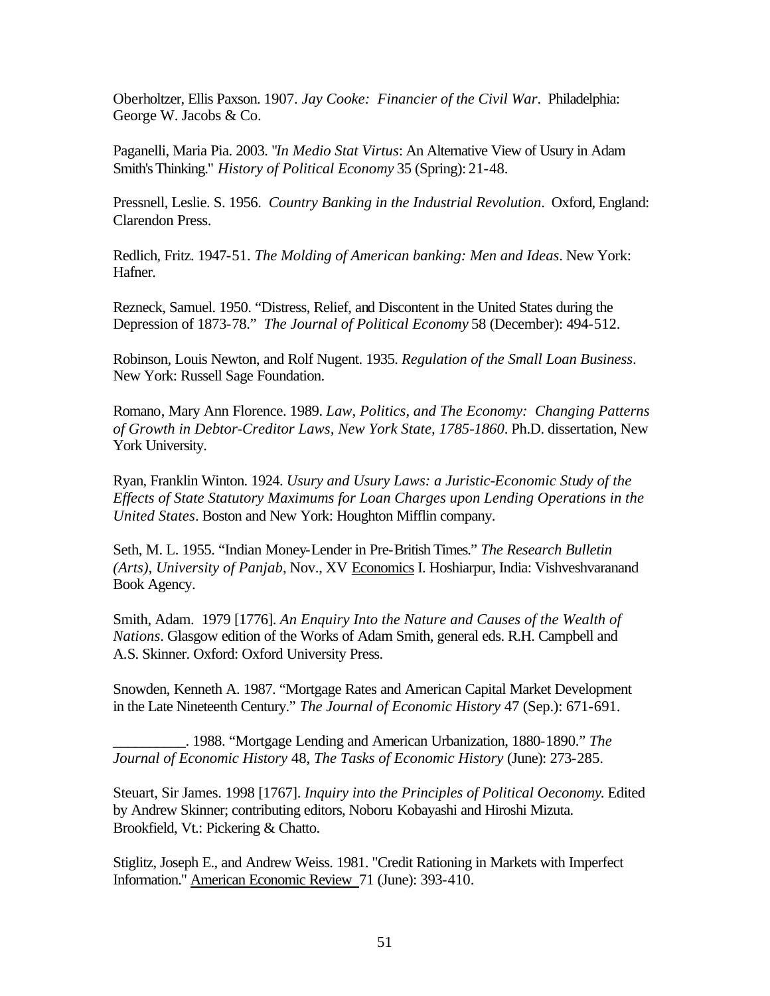Oberholtzer, Ellis Paxson. 1907. *Jay Cooke: Financier of the Civil War*. Philadelphia: George W. Jacobs & Co.

Paganelli, Maria Pia. 2003. "*In Medio Stat Virtus*: An Alternative View of Usury in Adam Smith's Thinking." *History of Political Economy* 35 (Spring): 21-48.

Pressnell, Leslie. S. 1956. *Country Banking in the Industrial Revolution*. Oxford, England: Clarendon Press.

Redlich, Fritz. 1947-51. *The Molding of American banking: Men and Ideas*. New York: Hafner.

Rezneck, Samuel. 1950. "Distress, Relief, and Discontent in the United States during the Depression of 1873-78." *The Journal of Political Economy* 58 (December): 494-512.

Robinson, Louis Newton, and Rolf Nugent. 1935. *Regulation of the Small Loan Business*. New York: Russell Sage Foundation.

Romano, Mary Ann Florence. 1989. *Law, Politics, and The Economy: Changing Patterns of Growth in Debtor-Creditor Laws, New York State, 1785-1860*. Ph.D. dissertation, New York University.

Ryan, Franklin Winton. 1924. *Usury and Usury Laws: a Juristic-Economic Study of the Effects of State Statutory Maximums for Loan Charges upon Lending Operations in the United States*. Boston and New York: Houghton Mifflin company.

Seth, M. L. 1955. "Indian Money-Lender in Pre-British Times." *The Research Bulletin (Arts), University of Panjab*, Nov., XV Economics I. Hoshiarpur, India: Vishveshvaranand Book Agency.

Smith, Adam. 1979 [1776]. *An Enquiry Into the Nature and Causes of the Wealth of Nations*. Glasgow edition of the Works of Adam Smith, general eds. R.H. Campbell and A.S. Skinner. Oxford: Oxford University Press.

Snowden, Kenneth A. 1987. "Mortgage Rates and American Capital Market Development in the Late Nineteenth Century." *The Journal of Economic History* 47 (Sep.): 671-691.

\_\_\_\_\_\_\_\_\_\_. 1988. "Mortgage Lending and American Urbanization, 1880-1890." *The Journal of Economic History* 48, *The Tasks of Economic History* (June): 273-285.

Steuart, Sir James. 1998 [1767]. *Inquiry into the Principles of Political Oeconomy*. Edited by Andrew Skinner; contributing editors, Noboru Kobayashi and Hiroshi Mizuta. Brookfield, Vt.: Pickering & Chatto.

Stiglitz, Joseph E., and Andrew Weiss. 1981. "Credit Rationing in Markets with Imperfect Information." American Economic Review 71 (June): 393-410.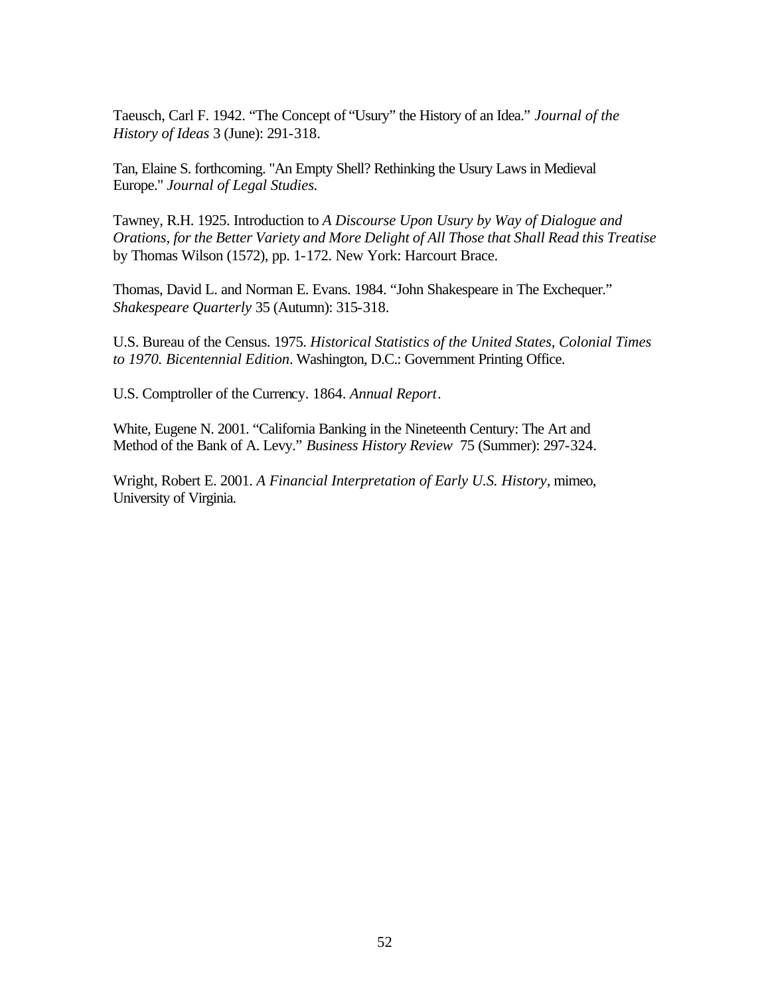Taeusch, Carl F. 1942. "The Concept of "Usury" the History of an Idea." *Journal of the History of Ideas* 3 (June): 291-318.

Tan, Elaine S. forthcoming. "An Empty Shell? Rethinking the Usury Laws in Medieval Europe." *Journal of Legal Studies.*

Tawney, R.H. 1925. Introduction to *A Discourse Upon Usury by Way of Dialogue and Orations, for the Better Variety and More Delight of All Those that Shall Read this Treatise* by Thomas Wilson (1572), pp. 1-172. New York: Harcourt Brace.

Thomas, David L. and Norman E. Evans. 1984. "John Shakespeare in The Exchequer." *Shakespeare Quarterly* 35 (Autumn): 315-318.

U.S. Bureau of the Census. 1975. *Historical Statistics of the United States, Colonial Times to 1970. Bicentennial Edition*. Washington, D.C.: Government Printing Office.

U.S. Comptroller of the Currency. 1864. *Annual Report*.

White, Eugene N. 2001. "California Banking in the Nineteenth Century: The Art and Method of the Bank of A. Levy." *Business History Review* 75 (Summer): 297-324.

Wright, Robert E. 2001. *A Financial Interpretation of Early U.S. History*, mimeo, University of Virginia.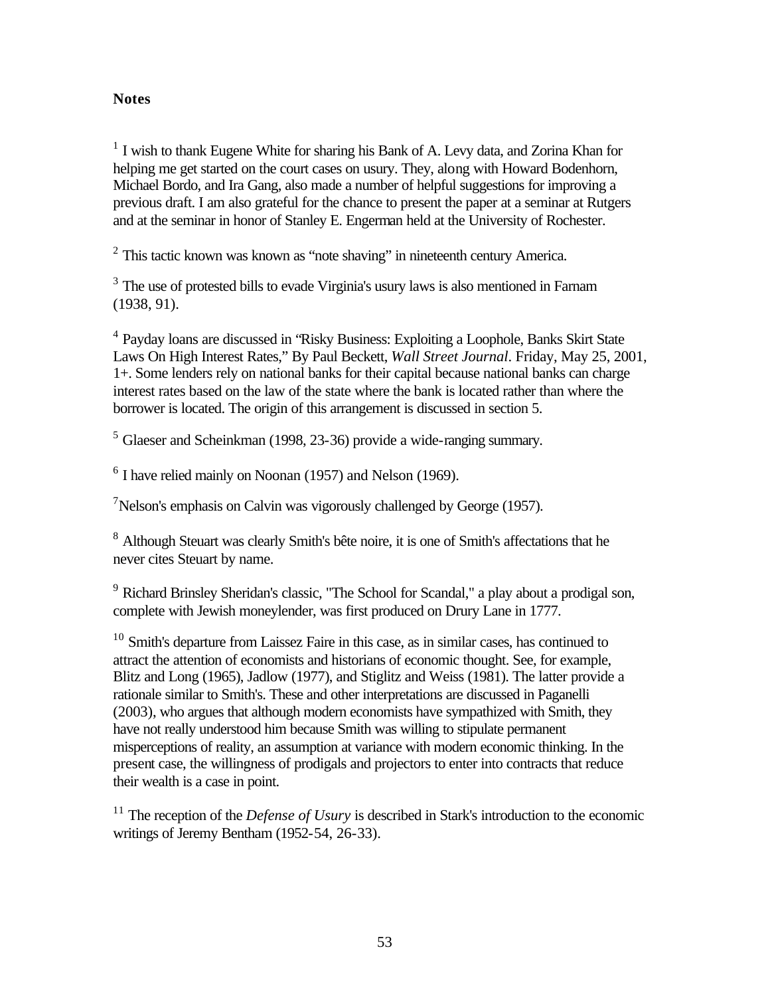# **Notes**

<sup>1</sup> I wish to thank Eugene White for sharing his Bank of A. Levy data, and Zorina Khan for helping me get started on the court cases on usury. They, along with Howard Bodenhorn, Michael Bordo, and Ira Gang, also made a number of helpful suggestions for improving a previous draft. I am also grateful for the chance to present the paper at a seminar at Rutgers and at the seminar in honor of Stanley E. Engerman held at the University of Rochester.

 $2$  This tactic known was known as "note shaving" in nineteenth century America.

<sup>3</sup> The use of protested bills to evade Virginia's usury laws is also mentioned in Farnam (1938, 91).

<sup>4</sup> Payday loans are discussed in 'Risky Business: Exploiting a Loophole, Banks Skirt State Laws On High Interest Rates," By Paul Beckett, *Wall Street Journal*. Friday, May 25, 2001, 1+. Some lenders rely on national banks for their capital because national banks can charge interest rates based on the law of the state where the bank is located rather than where the borrower is located. The origin of this arrangement is discussed in section 5.

<sup>5</sup> Glaeser and Scheinkman (1998, 23-36) provide a wide-ranging summary.

<sup>6</sup> I have relied mainly on Noonan (1957) and Nelson (1969).

 $<sup>7</sup>$ Nelson's emphasis on Calvin was vigorously challenged by George (1957).</sup>

<sup>8</sup> Although Steuart was clearly Smith's bête noire, it is one of Smith's affectations that he never cites Steuart by name.

<sup>9</sup> Richard Brinsley Sheridan's classic, "The School for Scandal," a play about a prodigal son, complete with Jewish moneylender, was first produced on Drury Lane in 1777.

<sup>10</sup> Smith's departure from Laissez Faire in this case, as in similar cases, has continued to attract the attention of economists and historians of economic thought. See, for example, Blitz and Long (1965), Jadlow (1977), and Stiglitz and Weiss (1981). The latter provide a rationale similar to Smith's. These and other interpretations are discussed in Paganelli (2003), who argues that although modern economists have sympathized with Smith, they have not really understood him because Smith was willing to stipulate permanent misperceptions of reality, an assumption at variance with modern economic thinking. In the present case, the willingness of prodigals and projectors to enter into contracts that reduce their wealth is a case in point.

<sup>11</sup> The reception of the *Defense of Usury* is described in Stark's introduction to the economic writings of Jeremy Bentham (1952-54, 26-33).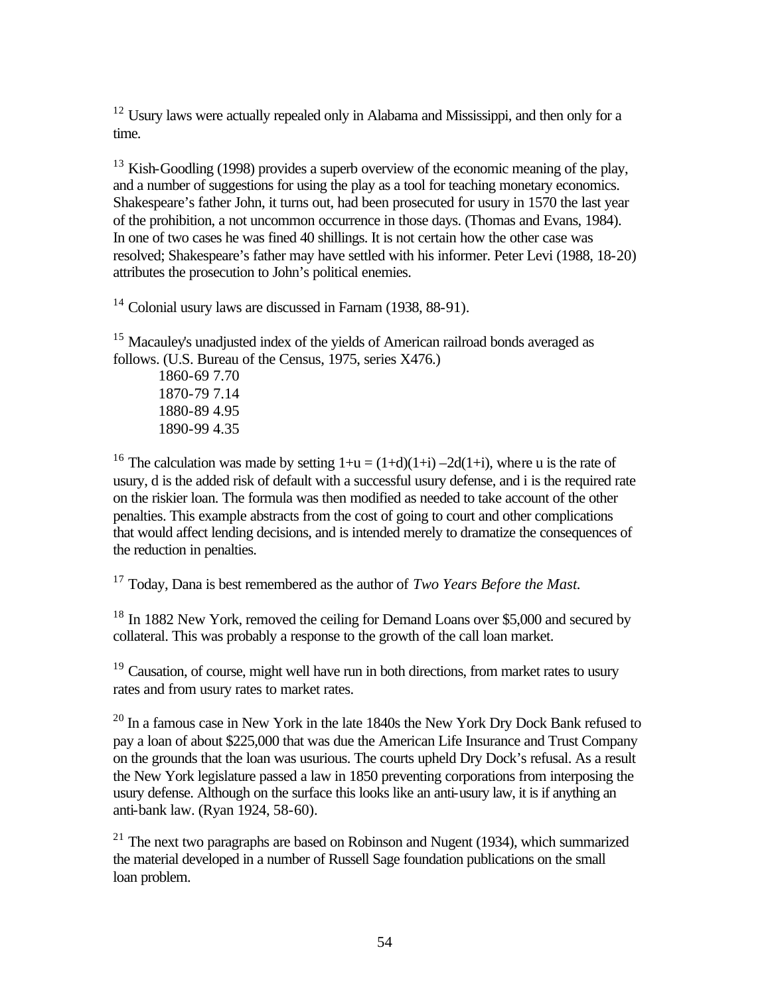<sup>12</sup> Usury laws were actually repealed only in Alabama and Mississippi, and then only for a time.

 $13$  Kish-Goodling (1998) provides a superb overview of the economic meaning of the play. and a number of suggestions for using the play as a tool for teaching monetary economics. Shakespeare's father John, it turns out, had been prosecuted for usury in 1570 the last year of the prohibition, a not uncommon occurrence in those days. (Thomas and Evans, 1984). In one of two cases he was fined 40 shillings. It is not certain how the other case was resolved; Shakespeare's father may have settled with his informer. Peter Levi (1988, 18-20) attributes the prosecution to John's political enemies.

<sup>14</sup> Colonial usury laws are discussed in Farnam (1938, 88-91).

<sup>15</sup> Macauley's unadjusted index of the yields of American railroad bonds averaged as follows. (U.S. Bureau of the Census, 1975, series X476.)

1860-69 7.70 1870-79 7.14 1880-89 4.95 1890-99 4.35

<sup>16</sup> The calculation was made by setting  $1+u = (1+d)(1+i) - 2d(1+i)$ , where u is the rate of usury, d is the added risk of default with a successful usury defense, and i is the required rate on the riskier loan. The formula was then modified as needed to take account of the other penalties. This example abstracts from the cost of going to court and other complications that would affect lending decisions, and is intended merely to dramatize the consequences of the reduction in penalties.

<sup>17</sup> Today, Dana is best remembered as the author of *Two Years Before the Mast.*

<sup>18</sup> In 1882 New York, removed the ceiling for Demand Loans over \$5,000 and secured by collateral. This was probably a response to the growth of the call loan market.

 $19$  Causation, of course, might well have run in both directions, from market rates to usury rates and from usury rates to market rates.

 $20$  In a famous case in New York in the late 1840s the New York Dry Dock Bank refused to pay a loan of about \$225,000 that was due the American Life Insurance and Trust Company on the grounds that the loan was usurious. The courts upheld Dry Dock's refusal. As a result the New York legislature passed a law in 1850 preventing corporations from interposing the usury defense. Although on the surface this looks like an anti-usury law, it is if anything an anti-bank law. (Ryan 1924, 58-60).

 $21$  The next two paragraphs are based on Robinson and Nugent (1934), which summarized the material developed in a number of Russell Sage foundation publications on the small loan problem.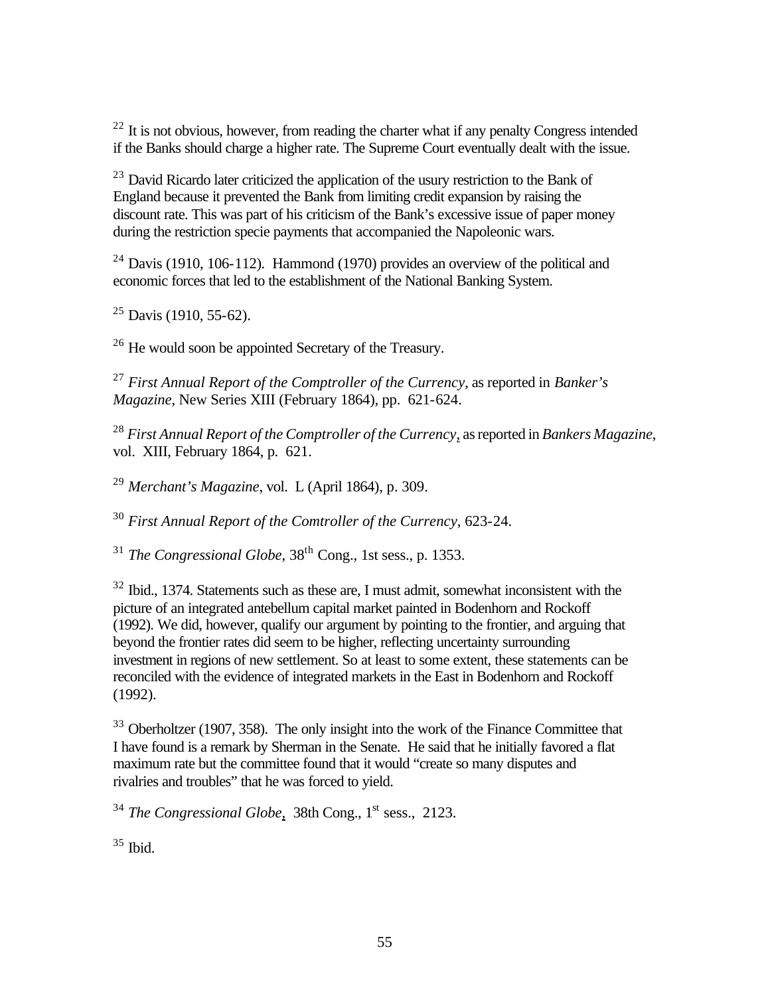$22$  It is not obvious, however, from reading the charter what if any penalty Congress intended if the Banks should charge a higher rate. The Supreme Court eventually dealt with the issue.

<sup>23</sup> David Ricardo later criticized the application of the usury restriction to the Bank of England because it prevented the Bank from limiting credit expansion by raising the discount rate. This was part of his criticism of the Bank's excessive issue of paper money during the restriction specie payments that accompanied the Napoleonic wars.

 $^{24}$  Davis (1910, 106-112). Hammond (1970) provides an overview of the political and economic forces that led to the establishment of the National Banking System.

 $25$  Davis (1910, 55-62).

<sup>26</sup> He would soon be appointed Secretary of the Treasury.

<sup>27</sup> *First Annual Report of the Comptroller of the Currency*, as reported in *Banker's Magazine*, New Series XIII (February 1864), pp. 621-624.

<sup>28</sup> *First Annual Report of the Comptroller of the Currency*, as reported in *Bankers Magazine*, vol. XIII, February 1864, p. 621.

<sup>29</sup> *Merchant's Magazine*, vol. L (April 1864), p. 309.

<sup>30</sup> *First Annual Report of the Comtroller of the Currency*, 623-24.

<sup>31</sup> The Congressional Globe, 38<sup>th</sup> Cong., 1st sess., p. 1353.

<sup>32</sup> Ibid., 1374. Statements such as these are, I must admit, somewhat inconsistent with the picture of an integrated antebellum capital market painted in Bodenhorn and Rockoff (1992). We did, however, qualify our argument by pointing to the frontier, and arguing that beyond the frontier rates did seem to be higher, reflecting uncertainty surrounding investment in regions of new settlement. So at least to some extent, these statements can be reconciled with the evidence of integrated markets in the East in Bodenhorn and Rockoff (1992).

<sup>33</sup> Oberholtzer (1907, 358). The only insight into the work of the Finance Committee that I have found is a remark by Sherman in the Senate. He said that he initially favored a flat maximum rate but the committee found that it would "create so many disputes and rivalries and troubles" that he was forced to yield.

<sup>34</sup> *The Congressional Globe*, 38th Cong., 1<sup>st</sup> sess., 2123.

 $35$  Ibid.